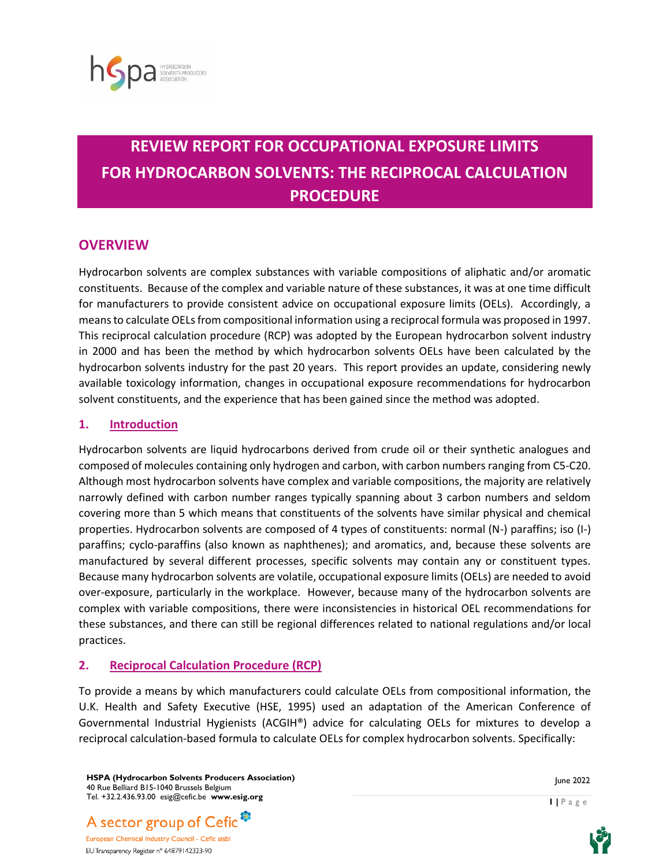

# **REVIEW REPORT FOR OCCUPATIONAL EXPOSURE LIMITS FOR HYDROCARBON SOLVENTS: THE RECIPROCAL CALCULATION PROCEDURE**

# **OVERVIEW**

Hydrocarbon solvents are complex substances with variable compositions of aliphatic and/or aromatic constituents. Because of the complex and variable nature of these substances, it was at one time difficult for manufacturers to provide consistent advice on occupational exposure limits (OELs). Accordingly, a means to calculate OELs from compositional information using a reciprocal formula was proposed in 1997. This reciprocal calculation procedure (RCP) was adopted by the European hydrocarbon solvent industry in 2000 and has been the method by which hydrocarbon solvents OELs have been calculated by the hydrocarbon solvents industry for the past 20 years. This report provides an update, considering newly available toxicology information, changes in occupational exposure recommendations for hydrocarbon solvent constituents, and the experience that has been gained since the method was adopted.

## **1. Introduction**

Hydrocarbon solvents are liquid hydrocarbons derived from crude oil or their synthetic analogues and composed of molecules containing only hydrogen and carbon, with carbon numbers ranging from C5-C20. Although most hydrocarbon solvents have complex and variable compositions, the majority are relatively narrowly defined with carbon number ranges typically spanning about 3 carbon numbers and seldom covering more than 5 which means that constituents of the solvents have similar physical and chemical properties. Hydrocarbon solvents are composed of 4 types of constituents: normal (N-) paraffins; iso (I-) paraffins; cyclo-paraffins (also known as naphthenes); and aromatics, and, because these solvents are manufactured by several different processes, specific solvents may contain any or constituent types. Because many hydrocarbon solvents are volatile, occupational exposure limits (OELs) are needed to avoid over-exposure, particularly in the workplace. However, because many of the hydrocarbon solvents are complex with variable compositions, there were inconsistencies in historical OEL recommendations for these substances, and there can still be regional differences related to national regulations and/or local practices.

## **2. Reciprocal Calculation Procedure (RCP)**

To provide a means by which manufacturers could calculate OELs from compositional information, the U.K. Health and Safety Executive (HSE, 1995) used an adaptation of the American Conference of Governmental Industrial Hygienists (ACGIH®) advice for calculating OELs for mixtures to develop a reciprocal calculation-based formula to calculate OELs for complex hydrocarbon solvents. Specifically:

**HSPA (Hydrocarbon Solvents Producers Association)** 40 Rue Belliard B15-1040 Brussels Belgium Tel. +32.2.436.93.00 esig@cefic.be **www.esig.org**



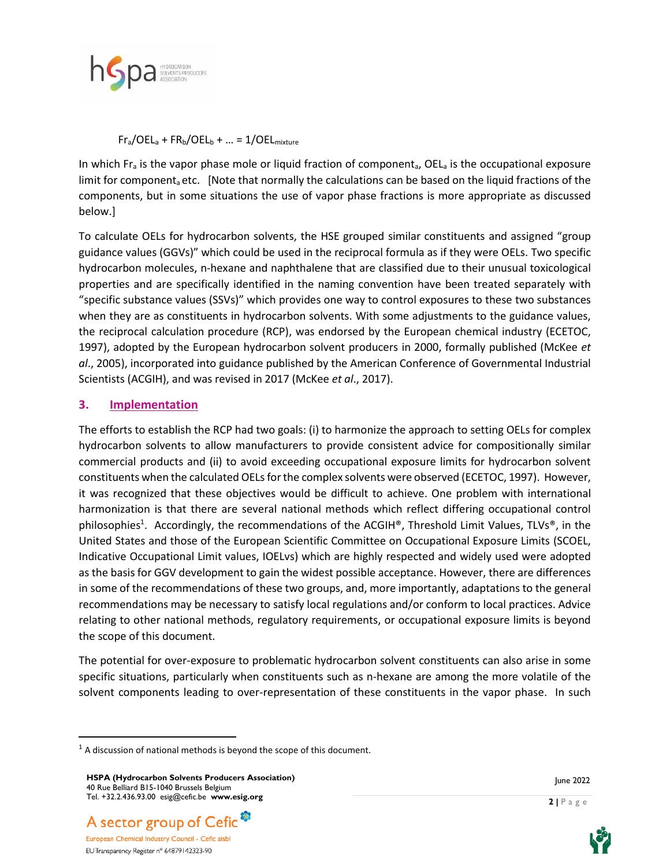

 $Fr_a/OEL_a + FR_b/OEL_b + ... = 1/OEL_{mixture}$ 

In which  $F_{\text{a}}$  is the vapor phase mole or liquid fraction of component<sub>a</sub>, OEL<sub>a</sub> is the occupational exposure limit for component<sub>a</sub> etc. [Note that normally the calculations can be based on the liquid fractions of the components, but in some situations the use of vapor phase fractions is more appropriate as discussed below.]

To calculate OELs for hydrocarbon solvents, the HSE grouped similar constituents and assigned "group guidance values (GGVs)" which could be used in the reciprocal formula as if they were OELs. Two specific hydrocarbon molecules, n-hexane and naphthalene that are classified due to their unusual toxicological properties and are specifically identified in the naming convention have been treated separately with "specific substance values (SSVs)" which provides one way to control exposures to these two substances when they are as constituents in hydrocarbon solvents. With some adjustments to the guidance values, the reciprocal calculation procedure (RCP), was endorsed by the European chemical industry (ECETOC, 1997), adopted by the European hydrocarbon solvent producers in 2000, formally published (McKee *et al*., 2005), incorporated into guidance published by the American Conference of Governmental Industrial Scientists (ACGIH), and was revised in 2017 (McKee *et al*., 2017).

## **3. Implementation**

The efforts to establish the RCP had two goals: (i) to harmonize the approach to setting OELs for complex hydrocarbon solvents to allow manufacturers to provide consistent advice for compositionally similar commercial products and (ii) to avoid exceeding occupational exposure limits for hydrocarbon solvent constituents when the calculated OELs for the complex solvents were observed (ECETOC, 1997). However, it was recognized that these objectives would be difficult to achieve. One problem with international harmonization is that there are several national methods which reflect differing occupational control philosophies<sup>1</sup>. Accordingly, the recommendations of the ACGIH®, Threshold Limit Values, TLVs®, in the United States and those of the European Scientific Committee on Occupational Exposure Limits (SCOEL, Indicative Occupational Limit values, IOELvs) which are highly respected and widely used were adopted as the basis for GGV development to gain the widest possible acceptance. However, there are differences in some of the recommendations of these two groups, and, more importantly, adaptations to the general recommendations may be necessary to satisfy local regulations and/or conform to local practices. Advice relating to other national methods, regulatory requirements, or occupational exposure limits is beyond the scope of this document.

The potential for over-exposure to problematic hydrocarbon solvent constituents can also arise in some specific situations, particularly when constituents such as n-hexane are among the more volatile of the solvent components leading to over-representation of these constituents in the vapor phase. In such

June 2022



EU Transparency Register n° 64879142323-90



 $1$  A discussion of national methods is beyond the scope of this document.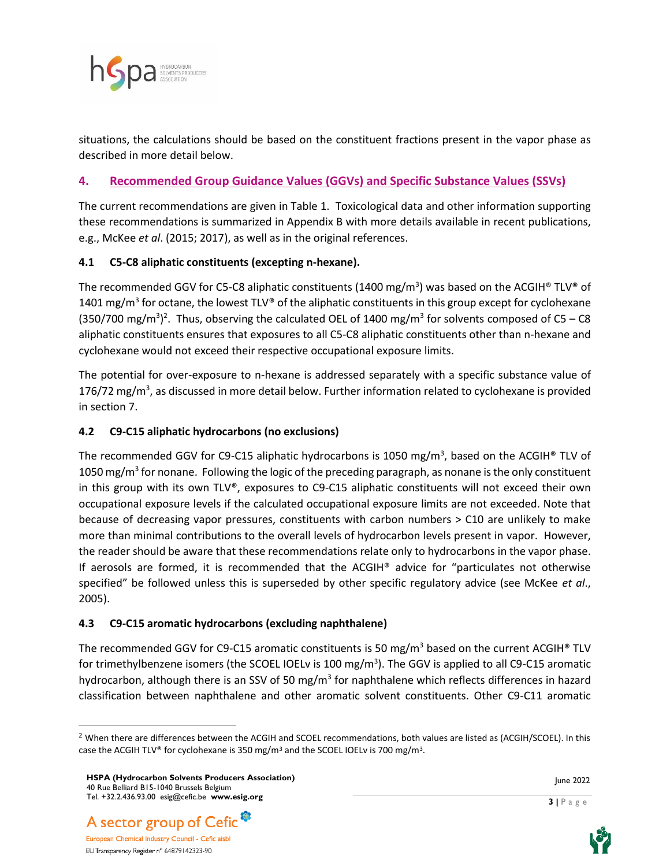

situations, the calculations should be based on the constituent fractions present in the vapor phase as described in more detail below.

# **4. Recommended Group Guidance Values (GGVs) and Specific Substance Values (SSVs)**

The current recommendations are given in Table 1. Toxicological data and other information supporting these recommendations is summarized in Appendix B with more details available in recent publications, e.g., McKee *et al*. (2015; 2017), as well as in the original references.

# **4.1 C5-C8 aliphatic constituents (excepting n-hexane).**

The recommended GGV for C5-C8 aliphatic constituents (1400 mg/m<sup>3</sup>) was based on the ACGIH® TLV® of 1401 mg/m<sup>3</sup> for octane, the lowest TLV® of the aliphatic constituents in this group except for cyclohexane (350/700 mg/m<sup>3</sup>)<sup>2</sup>. Thus, observing the calculated OEL of 1400 mg/m<sup>3</sup> for solvents composed of C5 – C8 aliphatic constituents ensures that exposures to all C5-C8 aliphatic constituents other than n-hexane and cyclohexane would not exceed their respective occupational exposure limits.

The potential for over-exposure to n-hexane is addressed separately with a specific substance value of 176/72 mg/m<sup>3</sup>, as discussed in more detail below. Further information related to cyclohexane is provided in section 7.

# **4.2 C9-C15 aliphatic hydrocarbons (no exclusions)**

The recommended GGV for C9-C15 aliphatic hydrocarbons is 1050 mg/m<sup>3</sup>, based on the ACGIH® TLV of 1050 mg/m<sup>3</sup> for nonane. Following the logic of the preceding paragraph, as nonane is the only constituent in this group with its own TLV®, exposures to C9-C15 aliphatic constituents will not exceed their own occupational exposure levels if the calculated occupational exposure limits are not exceeded. Note that because of decreasing vapor pressures, constituents with carbon numbers > C10 are unlikely to make more than minimal contributions to the overall levels of hydrocarbon levels present in vapor. However, the reader should be aware that these recommendations relate only to hydrocarbons in the vapor phase. If aerosols are formed, it is recommended that the ACGIH® advice for "particulates not otherwise specified" be followed unless this is superseded by other specific regulatory advice (see McKee *et al*., 2005).

## **4.3 C9-C15 aromatic hydrocarbons (excluding naphthalene)**

The recommended GGV for C9-C15 aromatic constituents is 50 mg/m<sup>3</sup> based on the current ACGIH<sup>®</sup> TLV for trimethylbenzene isomers (the SCOEL IOELv is 100 mg/m<sup>3</sup>). The GGV is applied to all C9-C15 aromatic hydrocarbon, although there is an SSV of 50 mg/m<sup>3</sup> for naphthalene which reflects differences in hazard classification between naphthalene and other aromatic solvent constituents. Other C9-C11 aromatic





 $<sup>2</sup>$  When there are differences between the ACGIH and SCOEL recommendations, both values are listed as (ACGIH/SCOEL). In this</sup> case the ACGIH TLV® for cyclohexane is 350 mg/m<sup>3</sup> and the SCOEL IOELv is 700 mg/m<sup>3</sup>.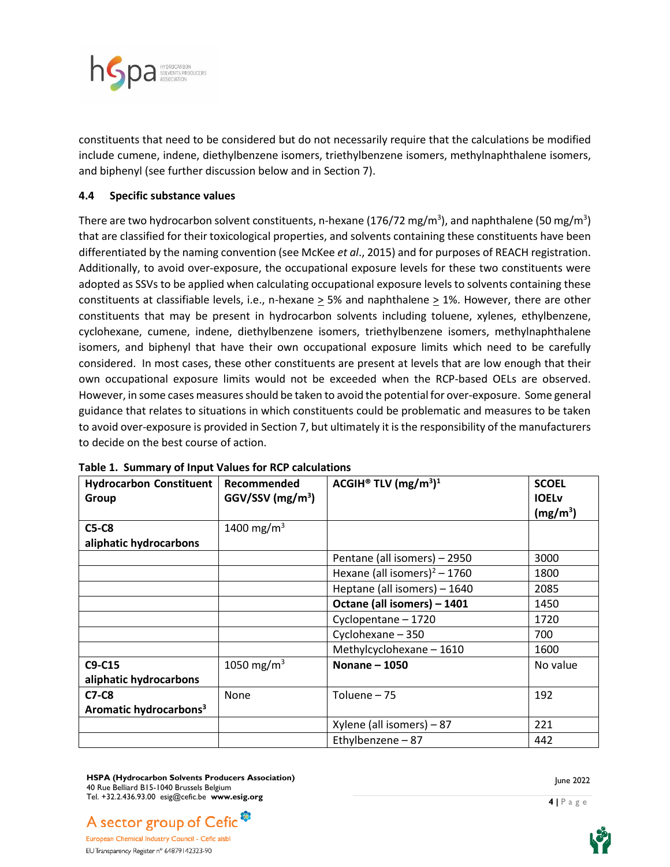

constituents that need to be considered but do not necessarily require that the calculations be modified include cumene, indene, diethylbenzene isomers, triethylbenzene isomers, methylnaphthalene isomers, and biphenyl (see further discussion below and in Section 7).

#### **4.4 Specific substance values**

There are two hydrocarbon solvent constituents, n-hexane (176/72 mg/m<sup>3</sup>), and naphthalene (50 mg/m<sup>3</sup>) that are classified for their toxicological properties, and solvents containing these constituents have been differentiated by the naming convention (see McKee *et al*., 2015) and for purposes of REACH registration. Additionally, to avoid over-exposure, the occupational exposure levels for these two constituents were adopted as SSVs to be applied when calculating occupational exposure levels to solvents containing these constituents at classifiable levels, i.e., n-hexane  $\geq$  5% and naphthalene  $\geq$  1%. However, there are other constituents that may be present in hydrocarbon solvents including toluene, xylenes, ethylbenzene, cyclohexane, cumene, indene, diethylbenzene isomers, triethylbenzene isomers, methylnaphthalene isomers, and biphenyl that have their own occupational exposure limits which need to be carefully considered. In most cases, these other constituents are present at levels that are low enough that their own occupational exposure limits would not be exceeded when the RCP-based OELs are observed. However, in some cases measures should be taken to avoid the potential for over-exposure. Some general guidance that relates to situations in which constituents could be problematic and measures to be taken to avoid over-exposure is provided in Section 7, but ultimately it is the responsibility of the manufacturers to decide on the best course of action.

| <b>Hydrocarbon Constituent</b><br>Group | Recommended<br>$GGV/SSV$ (mg/m <sup>3</sup> ) | ACGIH <sup>®</sup> TLV $(mg/m3)1$ | <b>SCOEL</b><br><b>IOELv</b><br>(mg/m <sup>3</sup> ) |
|-----------------------------------------|-----------------------------------------------|-----------------------------------|------------------------------------------------------|
| <b>C5-C8</b>                            | 1400 mg/m <sup>3</sup>                        |                                   |                                                      |
| aliphatic hydrocarbons                  |                                               |                                   |                                                      |
|                                         |                                               | Pentane (all isomers) - 2950      | 3000                                                 |
|                                         |                                               | Hexane (all isomers) $2 - 1760$   | 1800                                                 |
|                                         |                                               | Heptane (all isomers) - 1640      | 2085                                                 |
|                                         |                                               | Octane (all isomers) - 1401       | 1450                                                 |
|                                         |                                               | Cyclopentane - 1720               | 1720                                                 |
|                                         |                                               | Cyclohexane - 350                 | 700                                                  |
|                                         |                                               | Methylcyclohexane - 1610          | 1600                                                 |
| C9-C15                                  | 1050 mg/m <sup>3</sup>                        | Nonane - 1050                     | No value                                             |
| aliphatic hydrocarbons                  |                                               |                                   |                                                      |
| $C7-C8$                                 | None                                          | Toluene - 75                      | 192                                                  |
| Aromatic hydrocarbons <sup>3</sup>      |                                               |                                   |                                                      |
|                                         |                                               | Xylene (all isomers) - 87         | 221                                                  |
|                                         |                                               | Ethylbenzene - 87                 | 442                                                  |

|  |  |  | Table 1. Summary of Input Values for RCP calculations |
|--|--|--|-------------------------------------------------------|
|--|--|--|-------------------------------------------------------|

**HSPA (Hydrocarbon Solvents Producers Association)** 40 Rue Belliard B15-1040 Brussels Belgium Tel. +32.2.436.93.00 esig@cefic.be **www.esig.org**

June 2022



European Chemical Industry Council - Cefic aisbl EU Transparency Register n° 64879142323-90

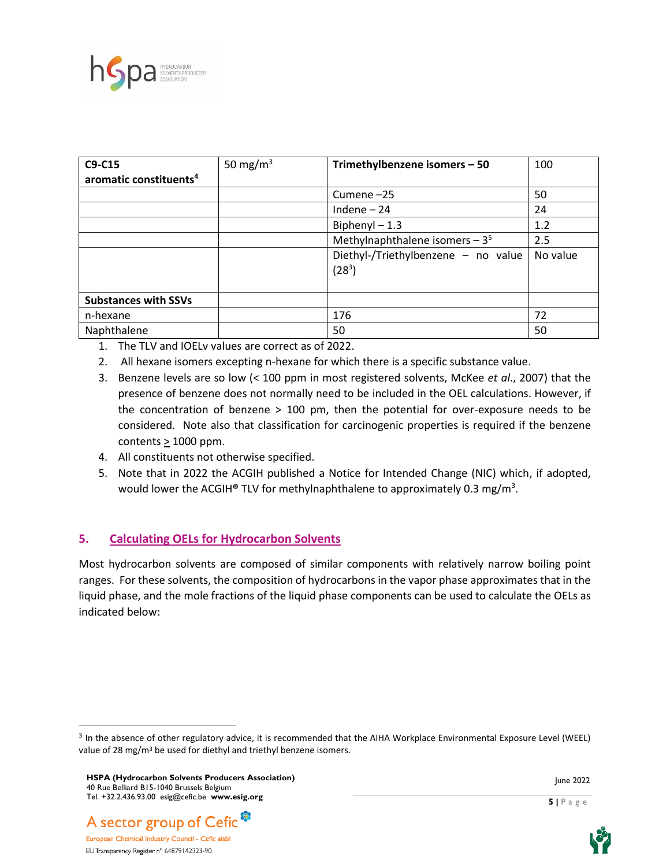

| C9-C15                             | 50 mg/m <sup>3</sup> | Trimethylbenzene isomers - 50                   | 100      |
|------------------------------------|----------------------|-------------------------------------------------|----------|
| aromatic constituents <sup>4</sup> |                      |                                                 |          |
|                                    |                      | Cumene-25                                       | 50       |
|                                    |                      | Indene $-24$                                    | 24       |
|                                    |                      | Biphenyl $-1.3$                                 | 1.2      |
|                                    |                      | Methylnaphthalene isomers $-35$                 | 2.5      |
|                                    |                      | Diethyl-/Triethylbenzene - no value<br>$(28^3)$ | No value |
| <b>Substances with SSVs</b>        |                      |                                                 |          |
| n-hexane                           |                      | 176                                             | 72       |
| Naphthalene                        |                      | 50                                              | 50       |

- 1. The TLV and IOELv values are correct as of 2022.
- 2. All hexane isomers excepting n-hexane for which there is a specific substance value.
- 3. Benzene levels are so low (< 100 ppm in most registered solvents, McKee *et al*., 2007) that the presence of benzene does not normally need to be included in the OEL calculations. However, if the concentration of benzene > 100 pm, then the potential for over-exposure needs to be considered. Note also that classification for carcinogenic properties is required if the benzene contents  $\geq 1000$  ppm.
- 4. All constituents not otherwise specified.
- 5. Note that in 2022 the ACGIH published a Notice for Intended Change (NIC) which, if adopted, would lower the ACGIH**®** TLV for methylnaphthalene to approximately 0.3 mg/m<sup>3</sup> .

## **5. Calculating OELs for Hydrocarbon Solvents**

Most hydrocarbon solvents are composed of similar components with relatively narrow boiling point ranges. For these solvents, the composition of hydrocarbons in the vapor phase approximates that in the liquid phase, and the mole fractions of the liquid phase components can be used to calculate the OELs as indicated below:









<sup>&</sup>lt;sup>3</sup> In the absence of other regulatory advice, it is recommended that the AIHA Workplace Environmental Exposure Level (WEEL) value of 28 mg/ $m<sup>3</sup>$  be used for diethyl and triethyl benzene isomers.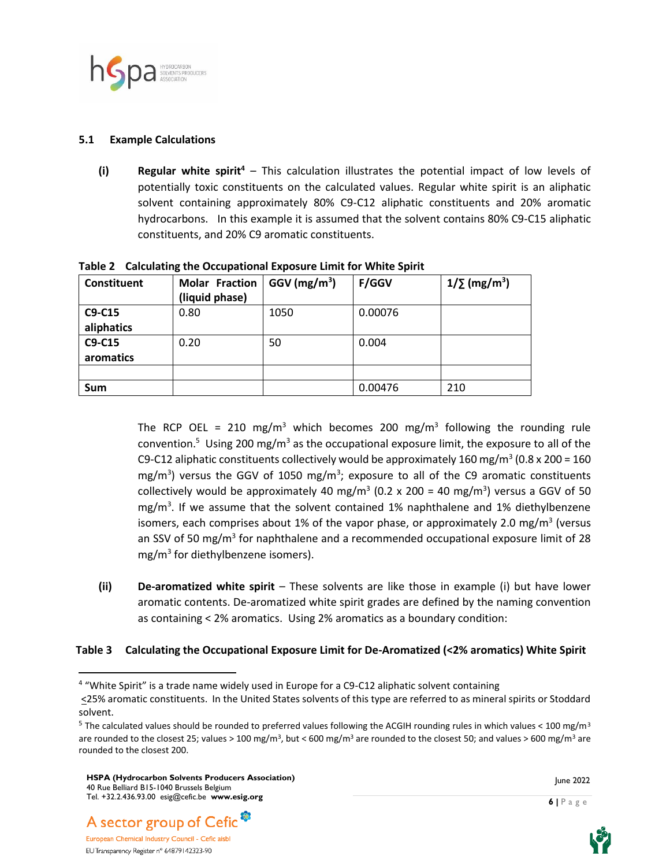

#### **5.1 Example Calculations**

**(i) Regular white spirit<sup>4</sup>** – This calculation illustrates the potential impact of low levels of potentially toxic constituents on the calculated values. Regular white spirit is an aliphatic solvent containing approximately 80% C9-C12 aliphatic constituents and 20% aromatic hydrocarbons. In this example it is assumed that the solvent contains 80% C9-C15 aliphatic constituents, and 20% C9 aromatic constituents.

| Constituent | <b>Molar Fraction</b> | $GGV$ (mg/m <sup>3</sup> ) | <b>F/GGV</b> | $1/\sum$ (mg/m <sup>3</sup> ) |
|-------------|-----------------------|----------------------------|--------------|-------------------------------|
|             | (liquid phase)        |                            |              |                               |
| C9-C15      | 0.80                  | 1050                       | 0.00076      |                               |
| aliphatics  |                       |                            |              |                               |
| C9-C15      | 0.20                  | 50                         | 0.004        |                               |
| aromatics   |                       |                            |              |                               |
|             |                       |                            |              |                               |
| <b>Sum</b>  |                       |                            | 0.00476      | 210                           |

**Table 2 Calculating the Occupational Exposure Limit for White Spirit** 

The RCP OEL = 210 mg/m<sup>3</sup> which becomes 200 mg/m<sup>3</sup> following the rounding rule convention.<sup>5</sup> Using 200 mg/m<sup>3</sup> as the occupational exposure limit, the exposure to all of the C9-C12 aliphatic constituents collectively would be approximately 160 mg/m<sup>3</sup> (0.8 x 200 = 160 mg/m<sup>3</sup>) versus the GGV of 1050 mg/m<sup>3</sup>; exposure to all of the C9 aromatic constituents collectively would be approximately 40 mg/m<sup>3</sup> (0.2 x 200 = 40 mg/m<sup>3</sup>) versus a GGV of 50 mg/m<sup>3</sup>. If we assume that the solvent contained 1% naphthalene and 1% diethylbenzene isomers, each comprises about 1% of the vapor phase, or approximately 2.0 mg/m<sup>3</sup> (versus an SSV of 50 mg/m<sup>3</sup> for naphthalene and a recommended occupational exposure limit of 28 mg/m<sup>3</sup> for diethylbenzene isomers).

**(ii) De-aromatized white spirit** – These solvents are like those in example (i) but have lower aromatic contents. De-aromatized white spirit grades are defined by the naming convention as containing < 2% aromatics. Using 2% aromatics as a boundary condition:

#### **Table 3 Calculating the Occupational Exposure Limit for De-Aromatized (<2% aromatics) White Spirit**





<sup>&</sup>lt;sup>4</sup> "White Spirit" is a trade name widely used in Europe for a C9-C12 aliphatic solvent containing <25% aromatic constituents. In the United States solvents of this type are referred to as mineral spirits or Stoddard solvent.

<sup>&</sup>lt;sup>5</sup> The calculated values should be rounded to preferred values following the ACGIH rounding rules in which values < 100 mg/m<sup>3</sup> are rounded to the closest 25; values > 100 mg/m<sup>3</sup>, but < 600 mg/m<sup>3</sup> are rounded to the closest 50; and values > 600 mg/m<sup>3</sup> are rounded to the closest 200.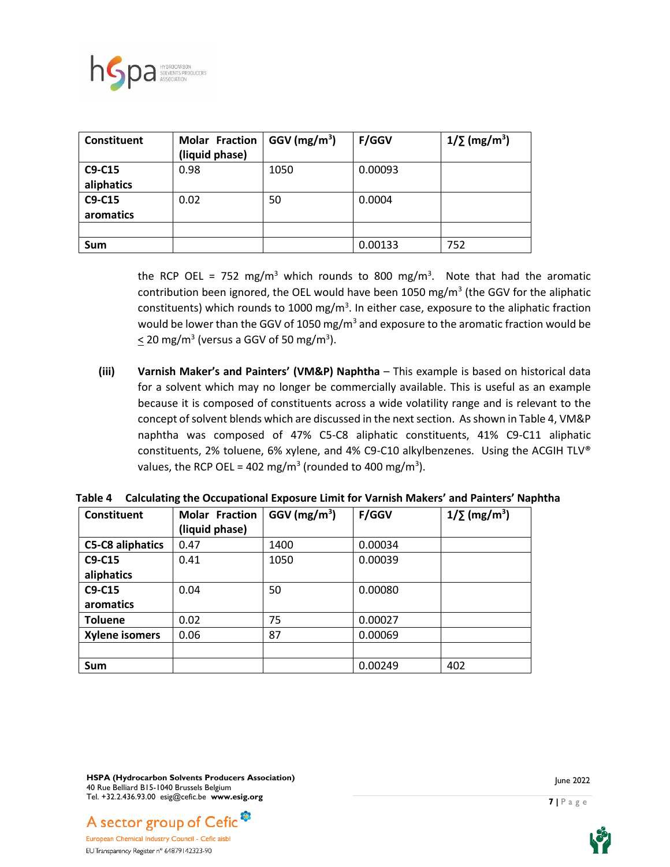

| Constituent | <b>Molar Fraction</b><br>(liquid phase) | $GGV$ (mg/m <sup>3</sup> ) | <b>F/GGV</b> | $1/\sum$ (mg/m <sup>3</sup> ) |
|-------------|-----------------------------------------|----------------------------|--------------|-------------------------------|
| C9-C15      | 0.98                                    | 1050                       | 0.00093      |                               |
| aliphatics  |                                         |                            |              |                               |
| C9-C15      | 0.02                                    | 50                         | 0.0004       |                               |
| aromatics   |                                         |                            |              |                               |
|             |                                         |                            |              |                               |
| Sum         |                                         |                            | 0.00133      | 752                           |

the RCP OEL = 752 mg/m<sup>3</sup> which rounds to 800 mg/m<sup>3</sup>. Note that had the aromatic contribution been ignored, the OEL would have been 1050 mg/m<sup>3</sup> (the GGV for the aliphatic constituents) which rounds to 1000 mg/m<sup>3</sup>. In either case, exposure to the aliphatic fraction would be lower than the GGV of 1050 mg/m<sup>3</sup> and exposure to the aromatic fraction would be  $\leq$  20 mg/m<sup>3</sup> (versus a GGV of 50 mg/m<sup>3</sup>).

**(iii) Varnish Maker's and Painters' (VM&P) Naphtha** – This example is based on historical data for a solvent which may no longer be commercially available. This is useful as an example because it is composed of constituents across a wide volatility range and is relevant to the concept of solvent blends which are discussed in the next section. As shown in Table 4, VM&P naphtha was composed of 47% C5-C8 aliphatic constituents, 41% C9-C11 aliphatic constituents, 2% toluene, 6% xylene, and 4% C9-C10 alkylbenzenes. Using the ACGIH TLV® values, the RCP OEL = 402 mg/m<sup>3</sup> (rounded to 400 mg/m<sup>3</sup>).

| Constituent             | <b>Molar Fraction</b><br>(liquid phase) | $GGV$ (mg/m <sup>3</sup> ) | <b>F/GGV</b> | $1/\sum$ (mg/m <sup>3</sup> ) |
|-------------------------|-----------------------------------------|----------------------------|--------------|-------------------------------|
| <b>C5-C8 aliphatics</b> | 0.47                                    | 1400                       | 0.00034      |                               |
| C9-C15                  | 0.41                                    | 1050                       | 0.00039      |                               |
| aliphatics              |                                         |                            |              |                               |
| C9-C15                  | 0.04                                    | 50                         | 0.00080      |                               |
| aromatics               |                                         |                            |              |                               |
| <b>Toluene</b>          | 0.02                                    | 75                         | 0.00027      |                               |
| Xylene isomers          | 0.06                                    | 87                         | 0.00069      |                               |
|                         |                                         |                            |              |                               |
| <b>Sum</b>              |                                         |                            | 0.00249      | 402                           |

|  |  | Table 4 Calculating the Occupational Exposure Limit for Varnish Makers' and Painters' Naphtha |  |
|--|--|-----------------------------------------------------------------------------------------------|--|
|--|--|-----------------------------------------------------------------------------------------------|--|

**HSPA (Hydrocarbon Solvents Producers Association)** 40 Rue Belliard B15-1040 Brussels Belgium Tel. +32.2.436.93.00 esig@cefic.be **www.esig.org**





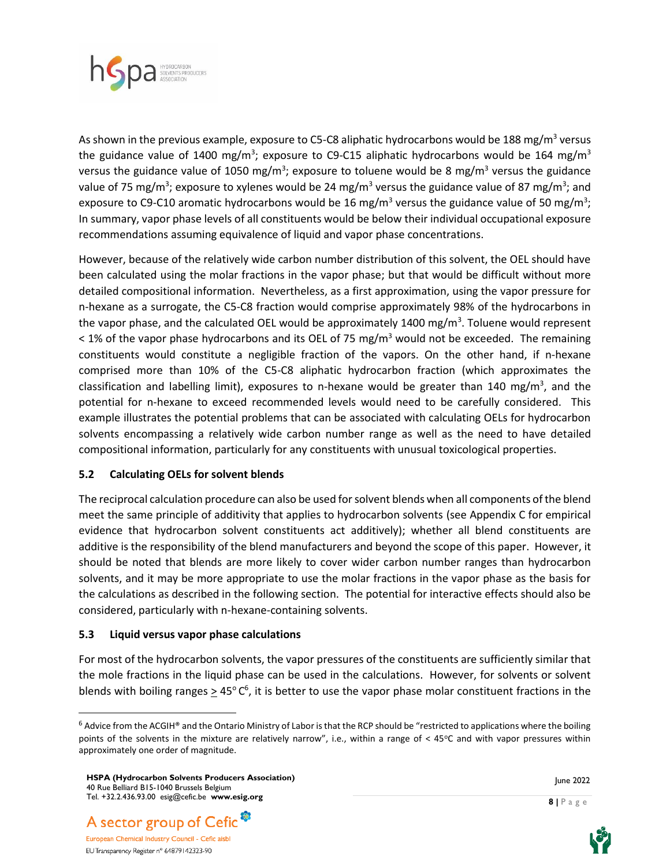

As shown in the previous example, exposure to C5-C8 aliphatic hydrocarbons would be 188 mg/m<sup>3</sup> versus the guidance value of 1400 mg/m<sup>3</sup>; exposure to C9-C15 aliphatic hydrocarbons would be 164 mg/m<sup>3</sup> versus the guidance value of 1050 mg/m<sup>3</sup>; exposure to toluene would be 8 mg/m<sup>3</sup> versus the guidance value of 75 mg/m<sup>3</sup>; exposure to xylenes would be 24 mg/m<sup>3</sup> versus the guidance value of 87 mg/m<sup>3</sup>; and exposure to C9-C10 aromatic hydrocarbons would be 16 mg/m<sup>3</sup> versus the guidance value of 50 mg/m<sup>3</sup>; In summary, vapor phase levels of all constituents would be below their individual occupational exposure recommendations assuming equivalence of liquid and vapor phase concentrations.

However, because of the relatively wide carbon number distribution of this solvent, the OEL should have been calculated using the molar fractions in the vapor phase; but that would be difficult without more detailed compositional information. Nevertheless, as a first approximation, using the vapor pressure for n-hexane as a surrogate, the C5-C8 fraction would comprise approximately 98% of the hydrocarbons in the vapor phase, and the calculated OEL would be approximately 1400 mg/m<sup>3</sup>. Toluene would represent  $<$  1% of the vapor phase hydrocarbons and its OEL of 75 mg/m<sup>3</sup> would not be exceeded. The remaining constituents would constitute a negligible fraction of the vapors. On the other hand, if n-hexane comprised more than 10% of the C5-C8 aliphatic hydrocarbon fraction (which approximates the classification and labelling limit), exposures to n-hexane would be greater than 140 mg/m<sup>3</sup>, and the potential for n-hexane to exceed recommended levels would need to be carefully considered. This example illustrates the potential problems that can be associated with calculating OELs for hydrocarbon solvents encompassing a relatively wide carbon number range as well as the need to have detailed compositional information, particularly for any constituents with unusual toxicological properties.

#### **5.2 Calculating OELs for solvent blends**

The reciprocal calculation procedure can also be used for solvent blends when all components of the blend meet the same principle of additivity that applies to hydrocarbon solvents (see Appendix C for empirical evidence that hydrocarbon solvent constituents act additively); whether all blend constituents are additive is the responsibility of the blend manufacturers and beyond the scope of this paper. However, it should be noted that blends are more likely to cover wider carbon number ranges than hydrocarbon solvents, and it may be more appropriate to use the molar fractions in the vapor phase as the basis for the calculations as described in the following section. The potential for interactive effects should also be considered, particularly with n-hexane-containing solvents.

#### **5.3 Liquid versus vapor phase calculations**

For most of the hydrocarbon solvents, the vapor pressures of the constituents are sufficiently similar that the mole fractions in the liquid phase can be used in the calculations. However, for solvents or solvent blends with boiling ranges  $\geq 45^{\circ}$  C<sup>6</sup>, it is better to use the vapor phase molar constituent fractions in the





 $6$  Advice from the ACGIH® and the Ontario Ministry of Labor is that the RCP should be "restricted to applications where the boiling points of the solvents in the mixture are relatively narrow", i.e., within a range of  $<$  45 $\degree$ C and with vapor pressures within approximately one order of magnitude.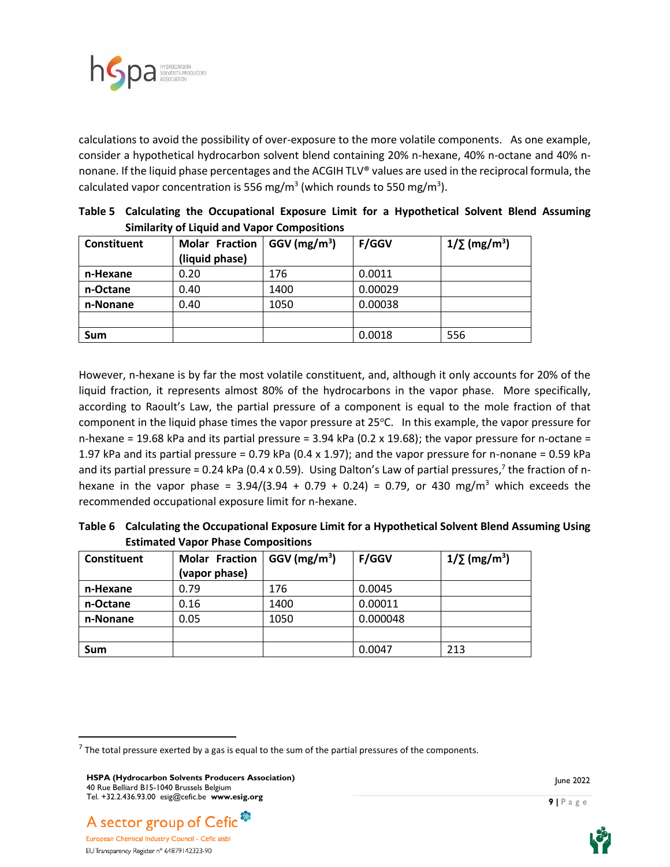

calculations to avoid the possibility of over-exposure to the more volatile components. As one example, consider a hypothetical hydrocarbon solvent blend containing 20% n-hexane, 40% n-octane and 40% nnonane. If the liquid phase percentages and the ACGIH TLV® values are used in the reciprocal formula, the calculated vapor concentration is 556 mg/m<sup>3</sup> (which rounds to 550 mg/m<sup>3</sup>).

| Constituent | <b>Molar Fraction</b><br>(liquid phase) | $GGV$ (mg/m <sup>3</sup> ) | <b>F/GGV</b> | $1/\sum$ (mg/m <sup>3</sup> ) |  |  |
|-------------|-----------------------------------------|----------------------------|--------------|-------------------------------|--|--|
| n-Hexane    | 0.20                                    | 176                        | 0.0011       |                               |  |  |
| n-Octane    | 0.40                                    | 1400                       | 0.00029      |                               |  |  |
| n-Nonane    | 0.40                                    | 1050                       | 0.00038      |                               |  |  |
|             |                                         |                            |              |                               |  |  |
| <b>Sum</b>  |                                         |                            | 0.0018       | 556                           |  |  |

**Table 5 Calculating the Occupational Exposure Limit for a Hypothetical Solvent Blend Assuming Similarity of Liquid and Vapor Compositions** 

However, n-hexane is by far the most volatile constituent, and, although it only accounts for 20% of the liquid fraction, it represents almost 80% of the hydrocarbons in the vapor phase. More specifically, according to Raoult's Law, the partial pressure of a component is equal to the mole fraction of that component in the liquid phase times the vapor pressure at  $25^{\circ}$ C. In this example, the vapor pressure for n-hexane = 19.68 kPa and its partial pressure = 3.94 kPa (0.2 x 19.68); the vapor pressure for n-octane = 1.97 kPa and its partial pressure = 0.79 kPa (0.4 x 1.97); and the vapor pressure for n-nonane = 0.59 kPa and its partial pressure = 0.24 kPa (0.4 x 0.59). Using Dalton's Law of partial pressures,<sup>7</sup> the fraction of nhexane in the vapor phase =  $3.94/(3.94 + 0.79 + 0.24) = 0.79$ , or 430 mg/m<sup>3</sup> which exceeds the recommended occupational exposure limit for n-hexane.

**Table 6 Calculating the Occupational Exposure Limit for a Hypothetical Solvent Blend Assuming Using Estimated Vapor Phase Compositions** 

| Constituent | <b>Molar Fraction</b><br>(vapor phase) | $GGV$ (mg/m <sup>3</sup> ) | <b>F/GGV</b> | $1/\sum$ (mg/m <sup>3</sup> ) |
|-------------|----------------------------------------|----------------------------|--------------|-------------------------------|
| n-Hexane    | 0.79                                   | 176                        | 0.0045       |                               |
| n-Octane    | 0.16                                   | 1400                       | 0.00011      |                               |
| n-Nonane    | 0.05                                   | 1050                       | 0.000048     |                               |
|             |                                        |                            |              |                               |
| Sum         |                                        |                            | 0.0047       | 213                           |





 $^7$  The total pressure exerted by a gas is equal to the sum of the partial pressures of the components.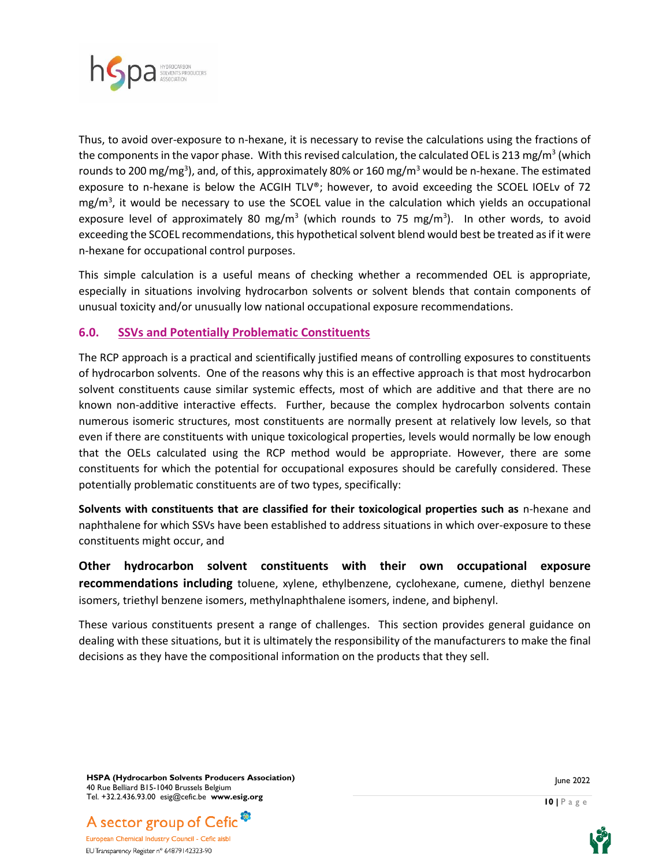

Thus, to avoid over-exposure to n-hexane, it is necessary to revise the calculations using the fractions of the components in the vapor phase. With this revised calculation, the calculated OEL is 213 mg/m<sup>3</sup> (which rounds to 200 mg/mg<sup>3</sup>), and, of this, approximately 80% or 160 mg/m<sup>3</sup> would be n-hexane. The estimated exposure to n-hexane is below the ACGIH TLV®; however, to avoid exceeding the SCOEL IOELv of 72 mg/m<sup>3</sup>, it would be necessary to use the SCOEL value in the calculation which yields an occupational exposure level of approximately 80 mg/m<sup>3</sup> (which rounds to 75 mg/m<sup>3</sup>). In other words, to avoid exceeding the SCOEL recommendations, this hypothetical solvent blend would best be treated as if it were n-hexane for occupational control purposes.

This simple calculation is a useful means of checking whether a recommended OEL is appropriate, especially in situations involving hydrocarbon solvents or solvent blends that contain components of unusual toxicity and/or unusually low national occupational exposure recommendations.

#### **6.0. SSVs and Potentially Problematic Constituents**

The RCP approach is a practical and scientifically justified means of controlling exposures to constituents of hydrocarbon solvents. One of the reasons why this is an effective approach is that most hydrocarbon solvent constituents cause similar systemic effects, most of which are additive and that there are no known non-additive interactive effects. Further, because the complex hydrocarbon solvents contain numerous isomeric structures, most constituents are normally present at relatively low levels, so that even if there are constituents with unique toxicological properties, levels would normally be low enough that the OELs calculated using the RCP method would be appropriate. However, there are some constituents for which the potential for occupational exposures should be carefully considered. These potentially problematic constituents are of two types, specifically:

**Solvents with constituents that are classified for their toxicological properties such as** n-hexane and naphthalene for which SSVs have been established to address situations in which over-exposure to these constituents might occur, and

**Other hydrocarbon solvent constituents with their own occupational exposure recommendations including** toluene, xylene, ethylbenzene, cyclohexane, cumene, diethyl benzene isomers, triethyl benzene isomers, methylnaphthalene isomers, indene, and biphenyl.

These various constituents present a range of challenges. This section provides general guidance on dealing with these situations, but it is ultimately the responsibility of the manufacturers to make the final decisions as they have the compositional information on the products that they sell.

**HSPA (Hydrocarbon Solvents Producers Association)** 40 Rue Belliard B15-1040 Brussels Belgium Tel. +32.2.436.93.00 esig@cefic.be **www.esig.org**



European Chemical Industry Council - Cefic aisbl EU Transparency Register n° 64879142323-90

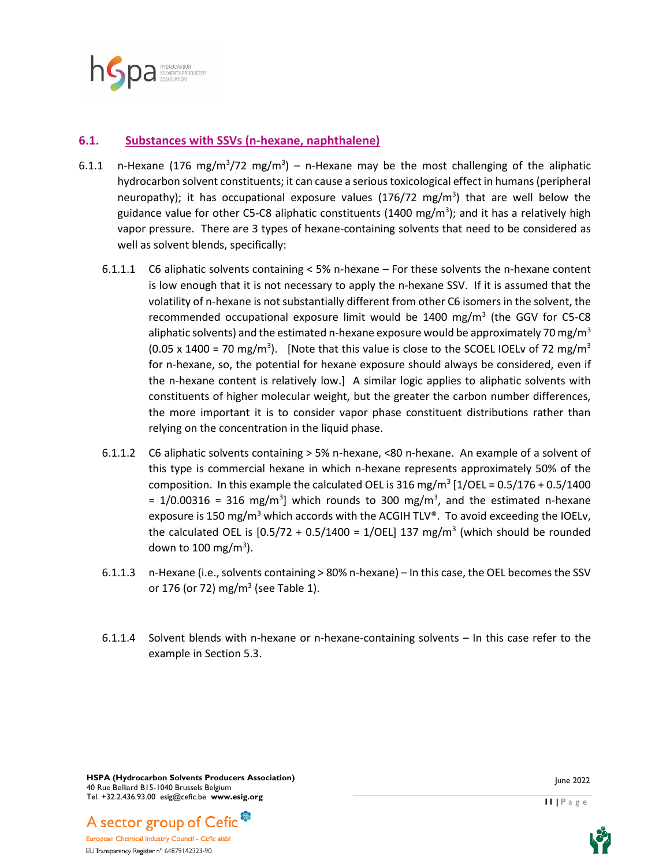

## **6.1. Substances with SSVs (n-hexane, naphthalene)**

- 6.1.1 n-Hexane (176 mg/m<sup>3</sup>/72 mg/m<sup>3</sup>) n-Hexane may be the most challenging of the aliphatic hydrocarbon solvent constituents; it can cause a serious toxicological effect in humans (peripheral neuropathy); it has occupational exposure values (176/72 mg/m<sup>3</sup>) that are well below the guidance value for other C5-C8 aliphatic constituents (1400 mg/m<sup>3</sup>); and it has a relatively high vapor pressure. There are 3 types of hexane-containing solvents that need to be considered as well as solvent blends, specifically:
	- 6.1.1.1 C6 aliphatic solvents containing < 5% n-hexane For these solvents the n-hexane content is low enough that it is not necessary to apply the n-hexane SSV. If it is assumed that the volatility of n-hexane is not substantially different from other C6 isomers in the solvent, the recommended occupational exposure limit would be  $1400$  mg/m<sup>3</sup> (the GGV for C5-C8 aliphatic solvents) and the estimated n-hexane exposure would be approximately 70 mg/m<sup>3</sup> (0.05 x 1400 = 70 mg/m<sup>3</sup>). [Note that this value is close to the SCOEL IOELv of 72 mg/m<sup>3</sup> for n-hexane, so, the potential for hexane exposure should always be considered, even if the n-hexane content is relatively low.]A similar logic applies to aliphatic solvents with constituents of higher molecular weight, but the greater the carbon number differences, the more important it is to consider vapor phase constituent distributions rather than relying on the concentration in the liquid phase.
	- 6.1.1.2 C6 aliphatic solvents containing > 5% n-hexane, <80 n-hexane. An example of a solvent of this type is commercial hexane in which n-hexane represents approximately 50% of the composition. In this example the calculated OEL is 316 mg/m<sup>3</sup> [1/OEL = 0.5/176 + 0.5/1400  $= 1/0.00316 = 316$  mg/m<sup>3</sup>] which rounds to 300 mg/m<sup>3</sup>, and the estimated n-hexane exposure is 150 mg/m<sup>3</sup> which accords with the ACGIH TLV®. To avoid exceeding the IOELv, the calculated OEL is  $[0.5/72 + 0.5/1400 = 1/OEL]$  137 mg/m<sup>3</sup> (which should be rounded down to 100 mg/m $^3$ ).
	- 6.1.1.3 n-Hexane (i.e., solvents containing > 80% n-hexane) In this case, the OEL becomes the SSV or 176 (or 72) mg/m<sup>3</sup> (see Table 1).
	- 6.1.1.4 Solvent blends with n-hexane or n-hexane-containing solvents In this case refer to the example in Section 5.3.

**HSPA (Hydrocarbon Solvents Producers Association)** 40 Rue Belliard B15-1040 Brussels Belgium Tel. +32.2.436.93.00 esig@cefic.be **www.esig.org**





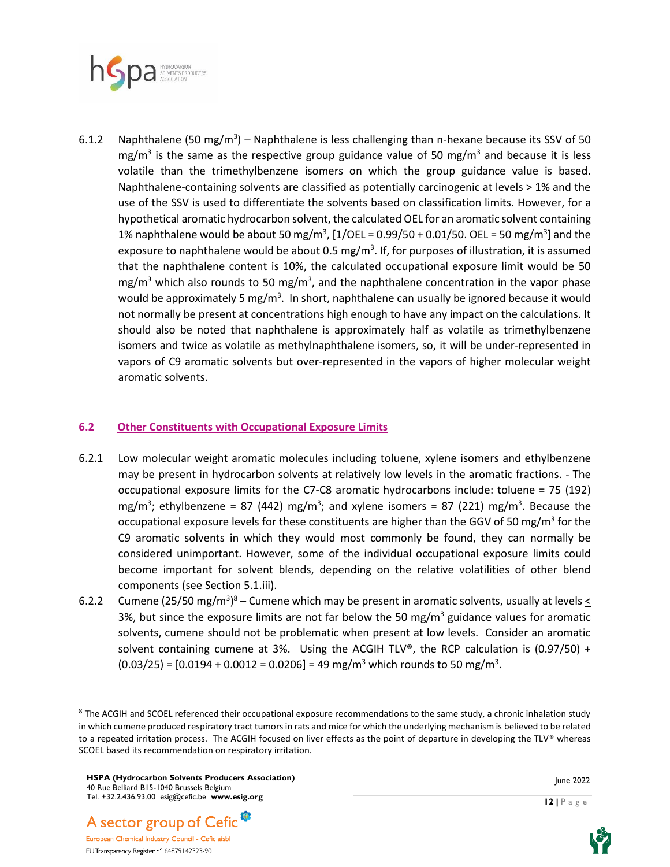

6.1.2 Naphthalene (50 mg/m<sup>3</sup>) – Naphthalene is less challenging than n-hexane because its SSV of 50 mg/m<sup>3</sup> is the same as the respective group guidance value of 50 mg/m<sup>3</sup> and because it is less volatile than the trimethylbenzene isomers on which the group guidance value is based. Naphthalene-containing solvents are classified as potentially carcinogenic at levels > 1% and the use of the SSV is used to differentiate the solvents based on classification limits. However, for a hypothetical aromatic hydrocarbon solvent, the calculated OEL for an aromatic solvent containing 1% naphthalene would be about 50 mg/m<sup>3</sup>, [1/OEL = 0.99/50 + 0.01/50. OEL = 50 mg/m<sup>3</sup>] and the exposure to naphthalene would be about 0.5 mg/m<sup>3</sup>. If, for purposes of illustration, it is assumed that the naphthalene content is 10%, the calculated occupational exposure limit would be 50 mg/m<sup>3</sup> which also rounds to 50 mg/m<sup>3</sup>, and the naphthalene concentration in the vapor phase would be approximately 5 mg/m<sup>3</sup>. In short, naphthalene can usually be ignored because it would not normally be present at concentrations high enough to have any impact on the calculations. It should also be noted that naphthalene is approximately half as volatile as trimethylbenzene isomers and twice as volatile as methylnaphthalene isomers, so, it will be under-represented in vapors of C9 aromatic solvents but over-represented in the vapors of higher molecular weight aromatic solvents.

#### **6.2 Other Constituents with Occupational Exposure Limits**

- 6.2.1 Low molecular weight aromatic molecules including toluene, xylene isomers and ethylbenzene may be present in hydrocarbon solvents at relatively low levels in the aromatic fractions. - The occupational exposure limits for the C7-C8 aromatic hydrocarbons include: toluene = 75 (192) mg/m<sup>3</sup>; ethylbenzene = 87 (442) mg/m<sup>3</sup>; and xylene isomers = 87 (221) mg/m<sup>3</sup>. Because the occupational exposure levels for these constituents are higher than the GGV of 50 mg/m<sup>3</sup> for the C9 aromatic solvents in which they would most commonly be found, they can normally be considered unimportant. However, some of the individual occupational exposure limits could become important for solvent blends, depending on the relative volatilities of other blend components (see Section 5.1.iii).
- 6.2.2 Cumene (25/50 mg/m<sup>3</sup>)<sup>8</sup> Cumene which may be present in aromatic solvents, usually at levels  $\leq$ 3%, but since the exposure limits are not far below the 50 mg/m<sup>3</sup> guidance values for aromatic solvents, cumene should not be problematic when present at low levels. Consider an aromatic solvent containing cumene at 3%. Using the ACGIH TLV®, the RCP calculation is  $(0.97/50)$  +  $(0.03/25)$  =  $[0.0194 + 0.0012 = 0.0206] = 49$  mg/m<sup>3</sup> which rounds to 50 mg/m<sup>3</sup>.







<sup>&</sup>lt;sup>8</sup> The ACGIH and SCOEL referenced their occupational exposure recommendations to the same study, a chronic inhalation study in which cumene produced respiratory tract tumors in rats and mice for which the underlying mechanism is believed to be related to a repeated irritation process. The ACGIH focused on liver effects as the point of departure in developing the TLV® whereas SCOEL based its recommendation on respiratory irritation.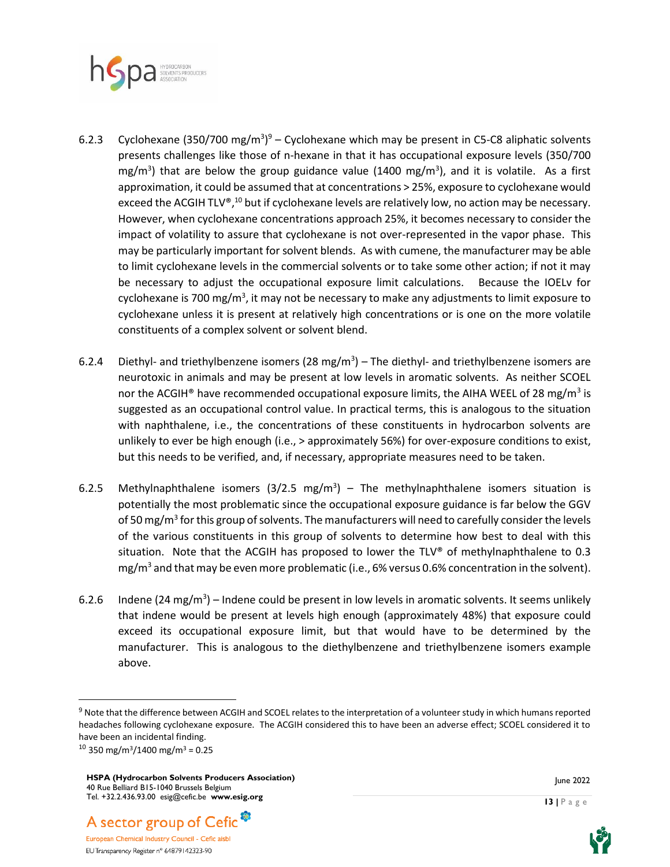

- 6.2.3 Cyclohexane (350/700 mg/m<sup>3</sup>)<sup>9</sup> Cyclohexane which may be present in C5-C8 aliphatic solvents presents challenges like those of n-hexane in that it has occupational exposure levels (350/700 mg/m<sup>3</sup>) that are below the group guidance value (1400 mg/m<sup>3</sup>), and it is volatile. As a first approximation, it could be assumed that at concentrations > 25%, exposure to cyclohexane would exceed the ACGIH TLV®,<sup>10</sup> but if cyclohexane levels are relatively low, no action may be necessary. However, when cyclohexane concentrations approach 25%, it becomes necessary to consider the impact of volatility to assure that cyclohexane is not over-represented in the vapor phase. This may be particularly important for solvent blends. As with cumene, the manufacturer may be able to limit cyclohexane levels in the commercial solvents or to take some other action; if not it may be necessary to adjust the occupational exposure limit calculations. Because the IOELv for cyclohexane is 700 mg/m<sup>3</sup>, it may not be necessary to make any adjustments to limit exposure to cyclohexane unless it is present at relatively high concentrations or is one on the more volatile constituents of a complex solvent or solvent blend.
- 6.2.4 Diethyl- and triethylbenzene isomers (28 mg/m<sup>3</sup>) The diethyl- and triethylbenzene isomers are neurotoxic in animals and may be present at low levels in aromatic solvents. As neither SCOEL nor the ACGIH<sup>®</sup> have recommended occupational exposure limits, the AIHA WEEL of 28 mg/m<sup>3</sup> is suggested as an occupational control value. In practical terms, this is analogous to the situation with naphthalene, i.e., the concentrations of these constituents in hydrocarbon solvents are unlikely to ever be high enough (i.e., > approximately 56%) for over-exposure conditions to exist, but this needs to be verified, and, if necessary, appropriate measures need to be taken.
- 6.2.5 Methylnaphthalene isomers  $(3/2.5 \text{ mg/m}^3)$  The methylnaphthalene isomers situation is potentially the most problematic since the occupational exposure guidance is far below the GGV of 50 mg/m<sup>3</sup> for this group of solvents. The manufacturers will need to carefully consider the levels of the various constituents in this group of solvents to determine how best to deal with this situation. Note that the ACGIH has proposed to lower the TLV® of methylnaphthalene to 0.3 mg/m<sup>3</sup> and that may be even more problematic (i.e., 6% versus 0.6% concentration in the solvent).
- 6.2.6 Indene (24 mg/m<sup>3</sup>) Indene could be present in low levels in aromatic solvents. It seems unlikely that indene would be present at levels high enough (approximately 48%) that exposure could exceed its occupational exposure limit, but that would have to be determined by the manufacturer. This is analogous to the diethylbenzene and triethylbenzene isomers example above.

A sector group of Cefic<sup>®</sup>



<sup>&</sup>lt;sup>9</sup> Note that the difference between ACGIH and SCOEL relates to the interpretation of a volunteer study in which humans reported headaches following cyclohexane exposure. The ACGIH considered this to have been an adverse effect; SCOEL considered it to have been an incidental finding.

 $10$  350 mg/m<sup>3</sup>/1400 mg/m<sup>3</sup> = 0.25

**HSPA (Hydrocarbon Solvents Producers Association)** 40 Rue Belliard B15-1040 Brussels Belgium Tel. +32.2.436.93.00 esig@cefic.be **www.esig.org**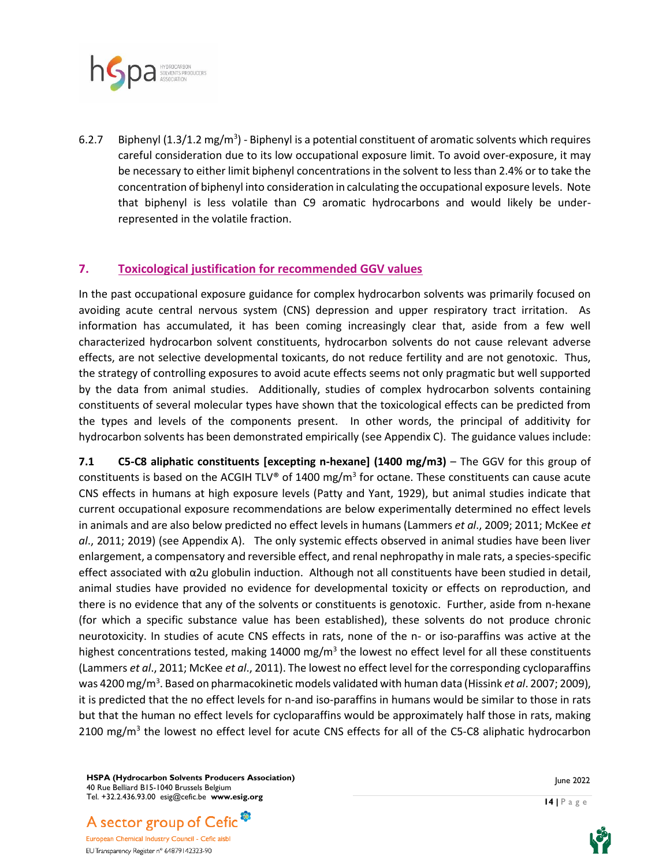

6.2.7 Biphenyl (1.3/1.2 mg/m<sup>3</sup>) - Biphenyl is a potential constituent of aromatic solvents which requires careful consideration due to its low occupational exposure limit. To avoid over-exposure, it may be necessary to either limit biphenyl concentrations in the solvent to less than 2.4% or to take the concentration of biphenyl into consideration in calculating the occupational exposure levels. Note that biphenyl is less volatile than C9 aromatic hydrocarbons and would likely be underrepresented in the volatile fraction.

## **7. Toxicological justification for recommended GGV values**

In the past occupational exposure guidance for complex hydrocarbon solvents was primarily focused on avoiding acute central nervous system (CNS) depression and upper respiratory tract irritation. As information has accumulated, it has been coming increasingly clear that, aside from a few well characterized hydrocarbon solvent constituents, hydrocarbon solvents do not cause relevant adverse effects, are not selective developmental toxicants, do not reduce fertility and are not genotoxic. Thus, the strategy of controlling exposures to avoid acute effects seems not only pragmatic but well supported by the data from animal studies. Additionally, studies of complex hydrocarbon solvents containing constituents of several molecular types have shown that the toxicological effects can be predicted from the types and levels of the components present. In other words, the principal of additivity for hydrocarbon solvents has been demonstrated empirically (see Appendix C). The guidance values include:

**7.1 C5-C8 aliphatic constituents [excepting n-hexane] (1400 mg/m3)** – The GGV for this group of constituents is based on the ACGIH TLV® of 1400 mg/m<sup>3</sup> for octane. These constituents can cause acute CNS effects in humans at high exposure levels (Patty and Yant, 1929), but animal studies indicate that current occupational exposure recommendations are below experimentally determined no effect levels in animals and are also below predicted no effect levels in humans (Lammers *et al*., 2009; 2011; McKee *et al*., 2011; 2019) (see Appendix A). The only systemic effects observed in animal studies have been liver enlargement, a compensatory and reversible effect, and renal nephropathy in male rats, a species-specific effect associated with α2u globulin induction. Although not all constituents have been studied in detail, animal studies have provided no evidence for developmental toxicity or effects on reproduction, and there is no evidence that any of the solvents or constituents is genotoxic. Further, aside from n-hexane (for which a specific substance value has been established), these solvents do not produce chronic neurotoxicity. In studies of acute CNS effects in rats, none of the n- or iso-paraffins was active at the highest concentrations tested, making 14000 mg/m<sup>3</sup> the lowest no effect level for all these constituents (Lammers *et al*., 2011; McKee *et al*., 2011). The lowest no effect level for the corresponding cycloparaffins was 4200 mg/m<sup>3</sup> . Based on pharmacokinetic models validated with human data (Hissink *et al*. 2007; 2009), it is predicted that the no effect levels for n-and iso-paraffins in humans would be similar to those in rats but that the human no effect levels for cycloparaffins would be approximately half those in rats, making 2100 mg/m<sup>3</sup> the lowest no effect level for acute CNS effects for all of the C5-C8 aliphatic hydrocarbon

**HSPA (Hydrocarbon Solvents Producers Association)** 40 Rue Belliard B15-1040 Brussels Belgium Tel. +32.2.436.93.00 esig@cefic.be **www.esig.org**



European Chemical Industry Council - Cefic aisbl EU Transparency Register n° 64879142323-90

June 2022

**14 |** P a g e

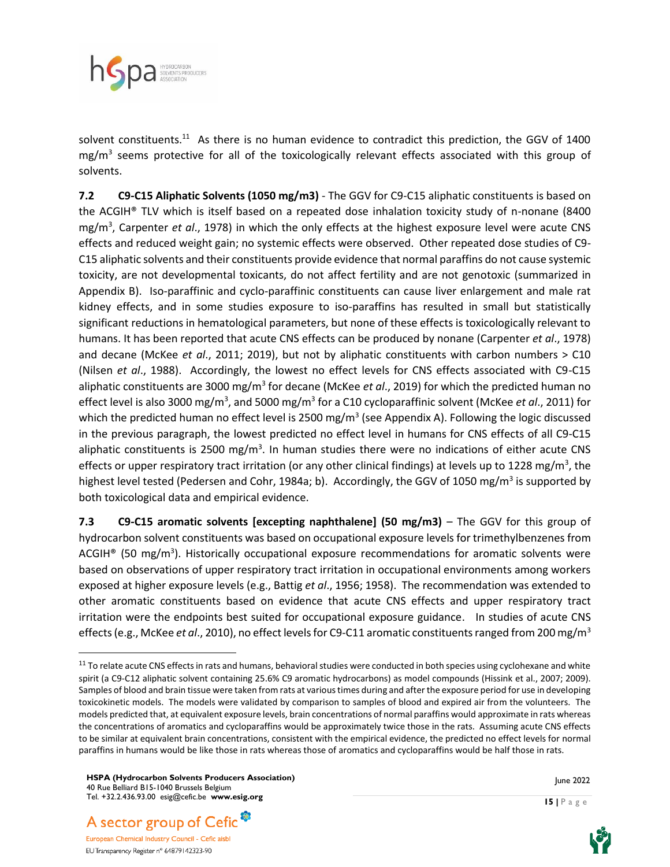

solvent constituents.<sup>11</sup> As there is no human evidence to contradict this prediction, the GGV of 1400 mg/m<sup>3</sup> seems protective for all of the toxicologically relevant effects associated with this group of solvents.

**7.2 C9-C15 Aliphatic Solvents (1050 mg/m3)** - The GGV for C9-C15 aliphatic constituents is based on the ACGIH® TLV which is itself based on a repeated dose inhalation toxicity study of n-nonane (8400 mg/m<sup>3</sup> , Carpenter *et al*., 1978) in which the only effects at the highest exposure level were acute CNS effects and reduced weight gain; no systemic effects were observed. Other repeated dose studies of C9- C15 aliphatic solvents and their constituents provide evidence that normal paraffins do not cause systemic toxicity, are not developmental toxicants, do not affect fertility and are not genotoxic (summarized in Appendix B). Iso-paraffinic and cyclo-paraffinic constituents can cause liver enlargement and male rat kidney effects, and in some studies exposure to iso-paraffins has resulted in small but statistically significant reductions in hematological parameters, but none of these effects is toxicologically relevant to humans. It has been reported that acute CNS effects can be produced by nonane (Carpenter *et al*., 1978) and decane (McKee *et al*., 2011; 2019), but not by aliphatic constituents with carbon numbers > C10 (Nilsen *et al*., 1988). Accordingly, the lowest no effect levels for CNS effects associated with C9-C15 aliphatic constituents are 3000 mg/m<sup>3</sup> for decane (McKee *et al.*, 2019) for which the predicted human no effect level is also 3000 mg/m<sup>3</sup>, and 5000 mg/m<sup>3</sup> for a C10 cycloparaffinic solvent (McKee *et al.*, 2011) for which the predicted human no effect level is 2500 mg/m<sup>3</sup> (see Appendix A). Following the logic discussed in the previous paragraph, the lowest predicted no effect level in humans for CNS effects of all C9-C15 aliphatic constituents is 2500 mg/m<sup>3</sup>. In human studies there were no indications of either acute CNS effects or upper respiratory tract irritation (or any other clinical findings) at levels up to 1228 mg/m<sup>3</sup>, the highest level tested (Pedersen and Cohr, 1984a; b). Accordingly, the GGV of 1050 mg/m<sup>3</sup> is supported by both toxicological data and empirical evidence.

**7.3 C9-C15 aromatic solvents [excepting naphthalene] (50 mg/m3)** – The GGV for this group of hydrocarbon solvent constituents was based on occupational exposure levels for trimethylbenzenes from ACGIH® (50 mg/m<sup>3</sup>). Historically occupational exposure recommendations for aromatic solvents were based on observations of upper respiratory tract irritation in occupational environments among workers exposed at higher exposure levels (e.g., Battig *et al*., 1956; 1958). The recommendation was extended to other aromatic constituents based on evidence that acute CNS effects and upper respiratory tract irritation were the endpoints best suited for occupational exposure guidance. In studies of acute CNS effects (e.g., McKee *et al*., 2010), no effect levels for C9-C11 aromatic constituents ranged from 200 mg/m<sup>3</sup>







<sup>&</sup>lt;sup>11</sup> To relate acute CNS effects in rats and humans, behavioral studies were conducted in both species using cyclohexane and white spirit (a C9-C12 aliphatic solvent containing 25.6% C9 aromatic hydrocarbons) as model compounds (Hissink et al., 2007; 2009). Samples of blood and brain tissue were taken from rats at various times during and after the exposure period for use in developing toxicokinetic models. The models were validated by comparison to samples of blood and expired air from the volunteers. The models predicted that, at equivalent exposure levels, brain concentrations of normal paraffins would approximate in rats whereas the concentrations of aromatics and cycloparaffins would be approximately twice those in the rats. Assuming acute CNS effects to be similar at equivalent brain concentrations, consistent with the empirical evidence, the predicted no effect levels for normal paraffins in humans would be like those in rats whereas those of aromatics and cycloparaffins would be half those in rats.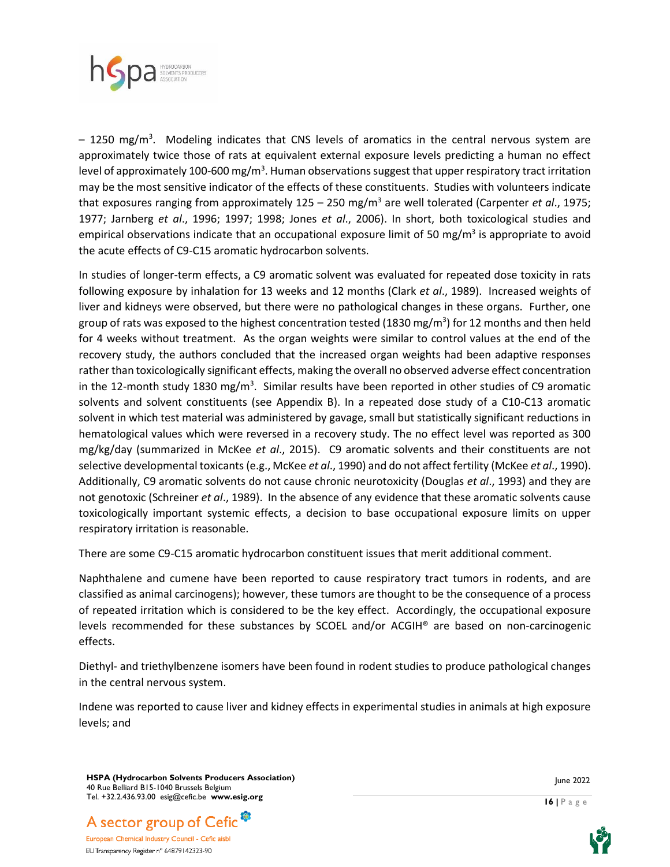

- 1250 mg/m<sup>3</sup>. Modeling indicates that CNS levels of aromatics in the central nervous system are approximately twice those of rats at equivalent external exposure levels predicting a human no effect level of approximately 100-600 mg/m<sup>3</sup>. Human observations suggest that upper respiratory tract irritation may be the most sensitive indicator of the effects of these constituents. Studies with volunteers indicate that exposures ranging from approximately 125 – 250 mg/m<sup>3</sup> are well tolerated (Carpenter *et al*., 1975; 1977; Jarnberg *et al*., 1996; 1997; 1998; Jones *et al*., 2006). In short, both toxicological studies and empirical observations indicate that an occupational exposure limit of 50 mg/m<sup>3</sup> is appropriate to avoid the acute effects of C9-C15 aromatic hydrocarbon solvents.

In studies of longer-term effects, a C9 aromatic solvent was evaluated for repeated dose toxicity in rats following exposure by inhalation for 13 weeks and 12 months (Clark *et al*., 1989). Increased weights of liver and kidneys were observed, but there were no pathological changes in these organs. Further, one group of rats was exposed to the highest concentration tested (1830 mg/m<sup>3</sup>) for 12 months and then held for 4 weeks without treatment. As the organ weights were similar to control values at the end of the recovery study, the authors concluded that the increased organ weights had been adaptive responses rather than toxicologically significant effects, making the overall no observed adverse effect concentration in the 12-month study 1830 mg/m<sup>3</sup>. Similar results have been reported in other studies of C9 aromatic solvents and solvent constituents (see Appendix B). In a repeated dose study of a C10-C13 aromatic solvent in which test material was administered by gavage, small but statistically significant reductions in hematological values which were reversed in a recovery study. The no effect level was reported as 300 mg/kg/day (summarized in McKee *et al*., 2015). C9 aromatic solvents and their constituents are not selective developmental toxicants (e.g., McKee *et al*., 1990) and do not affect fertility (McKee *et al*., 1990). Additionally, C9 aromatic solvents do not cause chronic neurotoxicity (Douglas *et al*., 1993) and they are not genotoxic (Schreiner *et al*., 1989). In the absence of any evidence that these aromatic solvents cause toxicologically important systemic effects, a decision to base occupational exposure limits on upper respiratory irritation is reasonable.

There are some C9-C15 aromatic hydrocarbon constituent issues that merit additional comment.

Naphthalene and cumene have been reported to cause respiratory tract tumors in rodents, and are classified as animal carcinogens); however, these tumors are thought to be the consequence of a process of repeated irritation which is considered to be the key effect. Accordingly, the occupational exposure levels recommended for these substances by SCOEL and/or ACGIH® are based on non-carcinogenic effects.

Diethyl- and triethylbenzene isomers have been found in rodent studies to produce pathological changes in the central nervous system.

Indene was reported to cause liver and kidney effects in experimental studies in animals at high exposure levels; and

**HSPA (Hydrocarbon Solvents Producers Association)** 40 Rue Belliard B15-1040 Brussels Belgium Tel. +32.2.436.93.00 esig@cefic.be **www.esig.org**



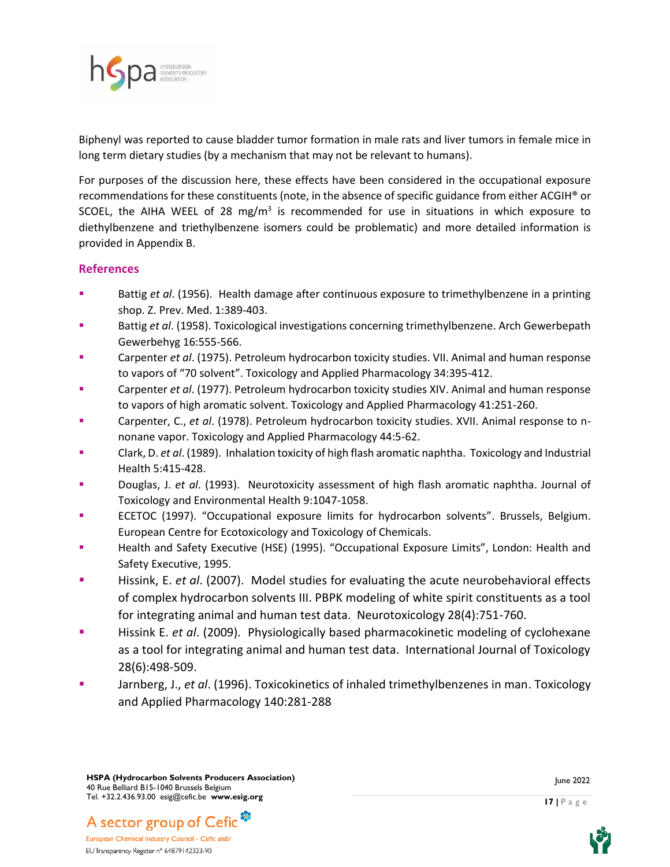

Biphenyl was reported to cause bladder tumor formation in male rats and liver tumors in female mice in long term dietary studies (by a mechanism that may not be relevant to humans).

For purposes of the discussion here, these effects have been considered in the occupational exposure recommendations for these constituents (note, in the absence of specific guidance from either ACGIH® or SCOEL, the AIHA WEEL of 28 mg/m<sup>3</sup> is recommended for use in situations in which exposure to diethylbenzene and triethylbenzene isomers could be problematic) and more detailed information is provided in Appendix B.

## **References**

- Battig et al. (1956). Health damage after continuous exposure to trimethylbenzene in a printing shop. Z. Prev. Med. 1:389-403.
- Battig *et al.* (1958). Toxicological investigations concerning trimethylbenzene. Arch Gewerbepath Gewerbehyg 16:555-566.
- Carpenter et al. (1975). Petroleum hydrocarbon toxicity studies. VII. Animal and human response to vapors of "70 solvent". Toxicology and Applied Pharmacology 34:395-412.
- Carpenter *et al.* (1977). Petroleum hydrocarbon toxicity studies XIV. Animal and human response to vapors of high aromatic solvent. Toxicology and Applied Pharmacology 41:251-260.
- Carpenter, C., et al. (1978). Petroleum hydrocarbon toxicity studies. XVII. Animal response to nnonane vapor. Toxicology and Applied Pharmacology 44:5-62.
- Clark, D. *et al.* (1989). Inhalation toxicity of high flash aromatic naphtha. Toxicology and Industrial Health 5:415-428.
- Douglas, J. *et al.* (1993). Neurotoxicity assessment of high flash aromatic naphtha. Journal of Toxicology and Environmental Health 9:1047-1058.
- ECETOC (1997). "Occupational exposure limits for hydrocarbon solvents". Brussels, Belgium. European Centre for Ecotoxicology and Toxicology of Chemicals.
- Health and Safety Executive (HSE) (1995). "Occupational Exposure Limits", London: Health and Safety Executive, 1995.
- Hissink, E. *et al.* (2007). Model studies for evaluating the acute neurobehavioral effects of complex hydrocarbon solvents III. PBPK modeling of white spirit constituents as a tool for integrating animal and human test data. Neurotoxicology 28(4):751-760.
- Hissink E. *et al.* (2009). Physiologically based pharmacokinetic modeling of cyclohexane as a tool for integrating animal and human test data. International Journal of Toxicology 28(6):498-509.
- Jarnberg, J., *et al.* (1996). Toxicokinetics of inhaled trimethylbenzenes in man. Toxicology and Applied Pharmacology 140:281-288

**HSPA (Hydrocarbon Solvents Producers Association)** 40 Rue Belliard B15-1040 Brussels Belgium Tel. +32.2.436.93.00 esig@cefic.be **www.esig.org**



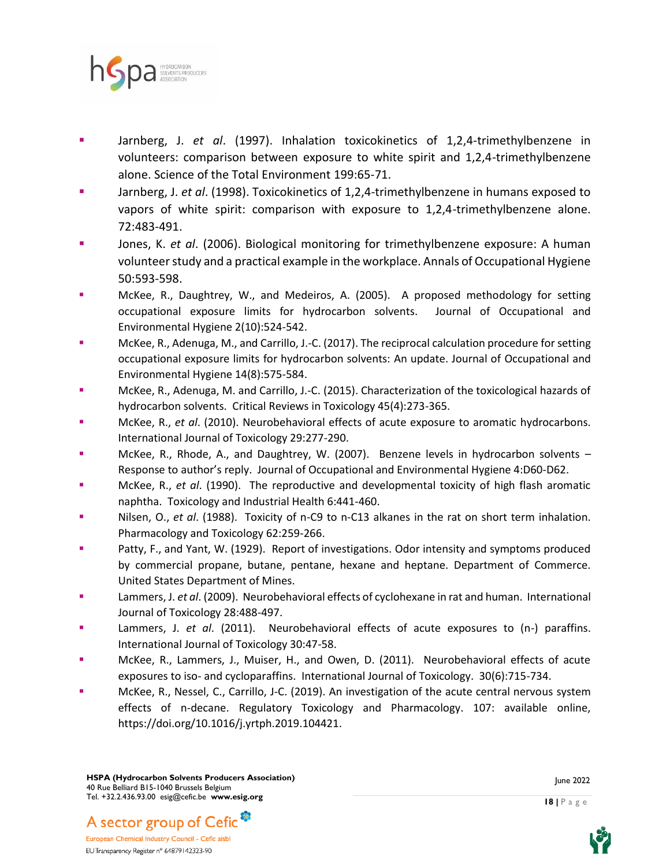

- Jarnberg, J. *et al.* (1997). Inhalation toxicokinetics of 1,2,4-trimethylbenzene in volunteers: comparison between exposure to white spirit and 1,2,4-trimethylbenzene alone. Science of the Total Environment 199:65-71.
- Jarnberg, J. et al. (1998). Toxicokinetics of 1,2,4-trimethylbenzene in humans exposed to vapors of white spirit: comparison with exposure to 1,2,4-trimethylbenzene alone. 72:483-491.
- Jones, K. *et al.* (2006). Biological monitoring for trimethylbenzene exposure: A human volunteer study and a practical example in the workplace. Annals of Occupational Hygiene 50:593-598.
- McKee, R., Daughtrey, W., and Medeiros, A. (2005). A proposed methodology for setting occupational exposure limits for hydrocarbon solvents. Journal of Occupational and Environmental Hygiene 2(10):524-542.
- McKee, R., Adenuga, M., and Carrillo, J.-C. (2017). The reciprocal calculation procedure for setting occupational exposure limits for hydrocarbon solvents: An update. Journal of Occupational and Environmental Hygiene 14(8):575-584.
- McKee, R., Adenuga, M. and Carrillo, J.-C. (2015). Characterization of the toxicological hazards of hydrocarbon solvents. Critical Reviews in Toxicology 45(4):273-365.
- McKee, R., *et al.* (2010). Neurobehavioral effects of acute exposure to aromatic hydrocarbons. International Journal of Toxicology 29:277-290.
- McKee, R., Rhode, A., and Daughtrey, W. (2007). Benzene levels in hydrocarbon solvents  $-$ Response to author's reply. Journal of Occupational and Environmental Hygiene 4:D60-D62.
- McKee, R., *et al*. (1990). The reproductive and developmental toxicity of high flash aromatic naphtha. Toxicology and Industrial Health 6:441-460.
- Nilsen, O., *et al.* (1988). Toxicity of n-C9 to n-C13 alkanes in the rat on short term inhalation. Pharmacology and Toxicology 62:259-266.
- Patty, F., and Yant, W. (1929). Report of investigations. Odor intensity and symptoms produced by commercial propane, butane, pentane, hexane and heptane. Department of Commerce. United States Department of Mines.
- Lammers, J. *et al*. (2009). Neurobehavioral effects of cyclohexane in rat and human. International Journal of Toxicology 28:488-497.
- Lammers, J. *et al.* (2011). Neurobehavioral effects of acute exposures to (n-) paraffins. International Journal of Toxicology 30:47-58.
- McKee, R., Lammers, J., Muiser, H., and Owen, D. (2011). Neurobehavioral effects of acute exposures to iso- and cycloparaffins. International Journal of Toxicology. 30(6):715-734.
- McKee, R., Nessel, C., Carrillo, J-C. (2019). An investigation of the acute central nervous system effects of n-decane. Regulatory Toxicology and Pharmacology. 107: available online, https://doi.org/10.1016/j.yrtph.2019.104421.



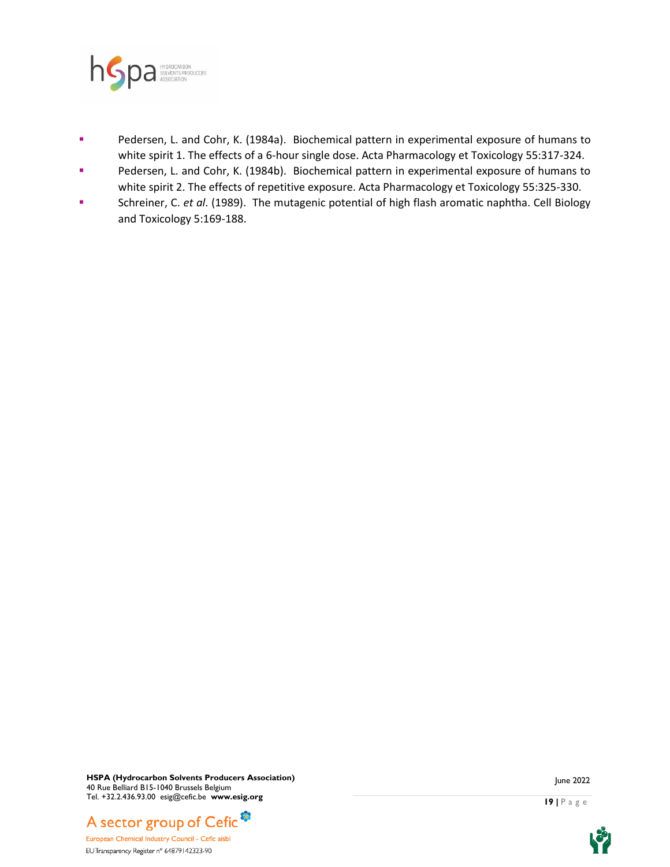

- Pedersen, L. and Cohr, K. (1984a). Biochemical pattern in experimental exposure of humans to white spirit 1. The effects of a 6-hour single dose. Acta Pharmacology et Toxicology 55:317-324.
- Pedersen, L. and Cohr, K. (1984b). Biochemical pattern in experimental exposure of humans to white spirit 2. The effects of repetitive exposure. Acta Pharmacology et Toxicology 55:325-330.
- Schreiner, C. et al. (1989). The mutagenic potential of high flash aromatic naphtha. Cell Biology and Toxicology 5:169-188.

**HSPA (Hydrocarbon Solvents Producers Association)** 40 Rue Belliard B15-1040 Brussels Belgium Tel. +32.2.436.93.00 esig@cefic.be **www.esig.org**



European Chemical Industry Council - Cefic aisbl EU Transparency Register n° 64879142323-90



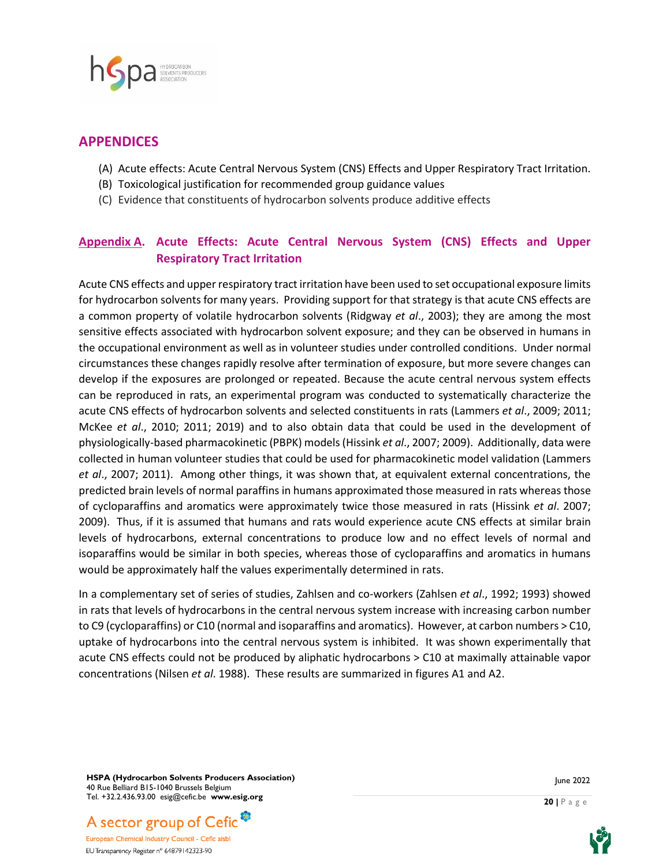

# **APPENDICES**

- (A) Acute effects: Acute Central Nervous System (CNS) Effects and Upper Respiratory Tract Irritation.
- (B) Toxicological justification for recommended group guidance values
- (C) Evidence that constituents of hydrocarbon solvents produce additive effects

# **Appendix A. Acute Effects: Acute Central Nervous System (CNS) Effects and Upper Respiratory Tract Irritation**

Acute CNS effects and upper respiratory tract irritation have been used to set occupational exposure limits for hydrocarbon solvents for many years. Providing support for that strategy is that acute CNS effects are a common property of volatile hydrocarbon solvents (Ridgway *et al*., 2003); they are among the most sensitive effects associated with hydrocarbon solvent exposure; and they can be observed in humans in the occupational environment as well as in volunteer studies under controlled conditions. Under normal circumstances these changes rapidly resolve after termination of exposure, but more severe changes can develop if the exposures are prolonged or repeated. Because the acute central nervous system effects can be reproduced in rats, an experimental program was conducted to systematically characterize the acute CNS effects of hydrocarbon solvents and selected constituents in rats (Lammers *et al*., 2009; 2011; McKee *et al*., 2010; 2011; 2019) and to also obtain data that could be used in the development of physiologically-based pharmacokinetic (PBPK) models (Hissink *et al*., 2007; 2009). Additionally, data were collected in human volunteer studies that could be used for pharmacokinetic model validation (Lammers *et al*., 2007; 2011). Among other things, it was shown that, at equivalent external concentrations, the predicted brain levels of normal paraffins in humans approximated those measured in rats whereas those of cycloparaffins and aromatics were approximately twice those measured in rats (Hissink *et al*. 2007; 2009). Thus, if it is assumed that humans and rats would experience acute CNS effects at similar brain levels of hydrocarbons, external concentrations to produce low and no effect levels of normal and isoparaffins would be similar in both species, whereas those of cycloparaffins and aromatics in humans would be approximately half the values experimentally determined in rats.

In a complementary set of series of studies, Zahlsen and co-workers (Zahlsen *et al*., 1992; 1993) showed in rats that levels of hydrocarbons in the central nervous system increase with increasing carbon number to C9 (cycloparaffins) or C10 (normal and isoparaffins and aromatics). However, at carbon numbers > C10, uptake of hydrocarbons into the central nervous system is inhibited. It was shown experimentally that acute CNS effects could not be produced by aliphatic hydrocarbons > C10 at maximally attainable vapor concentrations (Nilsen *et al*. 1988). These results are summarized in figures A1 and A2.

**HSPA (Hydrocarbon Solvents Producers Association)** 40 Rue Belliard B15-1040 Brussels Belgium Tel. +32.2.436.93.00 esig@cefic.be **www.esig.org**





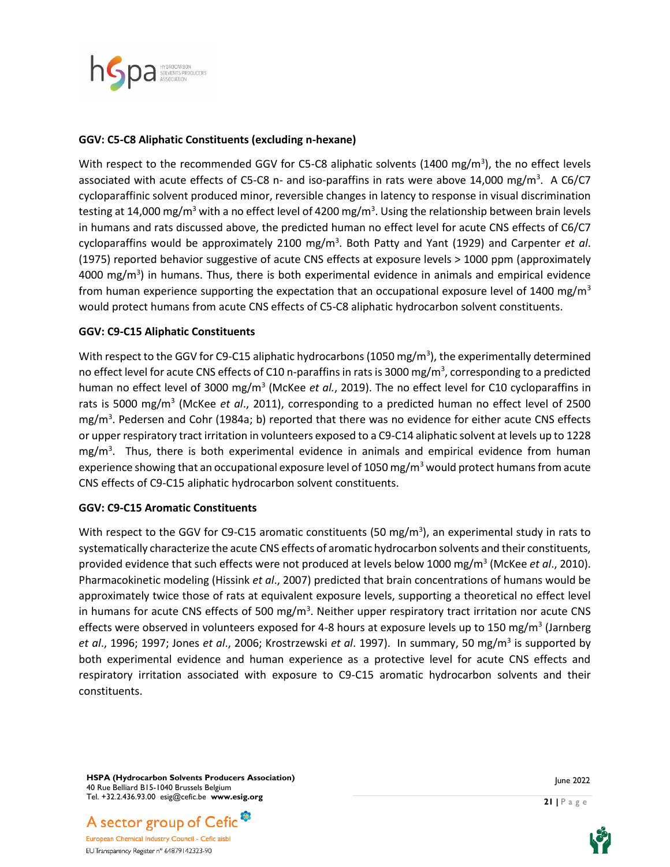

#### **GGV: C5-C8 Aliphatic Constituents (excluding n-hexane)**

With respect to the recommended GGV for C5-C8 aliphatic solvents (1400 mg/m<sup>3</sup>), the no effect levels associated with acute effects of C5-C8 n- and iso-paraffins in rats were above 14,000 mg/m<sup>3</sup>. A C6/C7 cycloparaffinic solvent produced minor, reversible changes in latency to response in visual discrimination testing at 14,000 mg/m<sup>3</sup> with a no effect level of 4200 mg/m<sup>3</sup>. Using the relationship between brain levels in humans and rats discussed above, the predicted human no effect level for acute CNS effects of C6/C7 cycloparaffins would be approximately 2100 mg/m<sup>3</sup> . Both Patty and Yant (1929) and Carpenter *et al*. (1975) reported behavior suggestive of acute CNS effects at exposure levels > 1000 ppm (approximately 4000 mg/m<sup>3</sup>) in humans. Thus, there is both experimental evidence in animals and empirical evidence from human experience supporting the expectation that an occupational exposure level of 1400 mg/m<sup>3</sup> would protect humans from acute CNS effects of C5-C8 aliphatic hydrocarbon solvent constituents.

#### **GGV: C9-C15 Aliphatic Constituents**

With respect to the GGV for C9-C15 aliphatic hydrocarbons (1050 mg/m<sup>3</sup>), the experimentally determined no effect level for acute CNS effects of C10 n-paraffins in rats is 3000 mg/m<sup>3</sup>, corresponding to a predicted human no effect level of 3000 mg/m<sup>3</sup> (McKee et al., 2019). The no effect level for C10 cycloparaffins in rats is 5000 mg/m<sup>3</sup> (McKee et al., 2011), corresponding to a predicted human no effect level of 2500 mg/m<sup>3</sup>. Pedersen and Cohr (1984a; b) reported that there was no evidence for either acute CNS effects or upper respiratory tract irritation in volunteers exposed to a C9-C14 aliphatic solvent at levels up to 1228 mg/m<sup>3</sup>. Thus, there is both experimental evidence in animals and empirical evidence from human experience showing that an occupational exposure level of 1050 mg/m<sup>3</sup> would protect humans from acute CNS effects of C9-C15 aliphatic hydrocarbon solvent constituents.

#### **GGV: C9-C15 Aromatic Constituents**

With respect to the GGV for C9-C15 aromatic constituents (50 mg/m<sup>3</sup>), an experimental study in rats to systematically characterize the acute CNS effects of aromatic hydrocarbon solvents and their constituents, provided evidence that such effects were not produced at levels below 1000 mg/m<sup>3</sup> (McKee *et al.,* 2010). Pharmacokinetic modeling (Hissink *et al*., 2007) predicted that brain concentrations of humans would be approximately twice those of rats at equivalent exposure levels, supporting a theoretical no effect level in humans for acute CNS effects of 500 mg/m<sup>3</sup>. Neither upper respiratory tract irritation nor acute CNS effects were observed in volunteers exposed for 4-8 hours at exposure levels up to 150 mg/m<sup>3</sup> (Jarnberg *et al*., 1996; 1997; Jones *et al*., 2006; Krostrzewski *et al*. 1997). In summary, 50 mg/m<sup>3</sup> is supported by both experimental evidence and human experience as a protective level for acute CNS effects and respiratory irritation associated with exposure to C9-C15 aromatic hydrocarbon solvents and their constituents.

**HSPA (Hydrocarbon Solvents Producers Association)** 40 Rue Belliard B15-1040 Brussels Belgium Tel. +32.2.436.93.00 esig@cefic.be **www.esig.org**





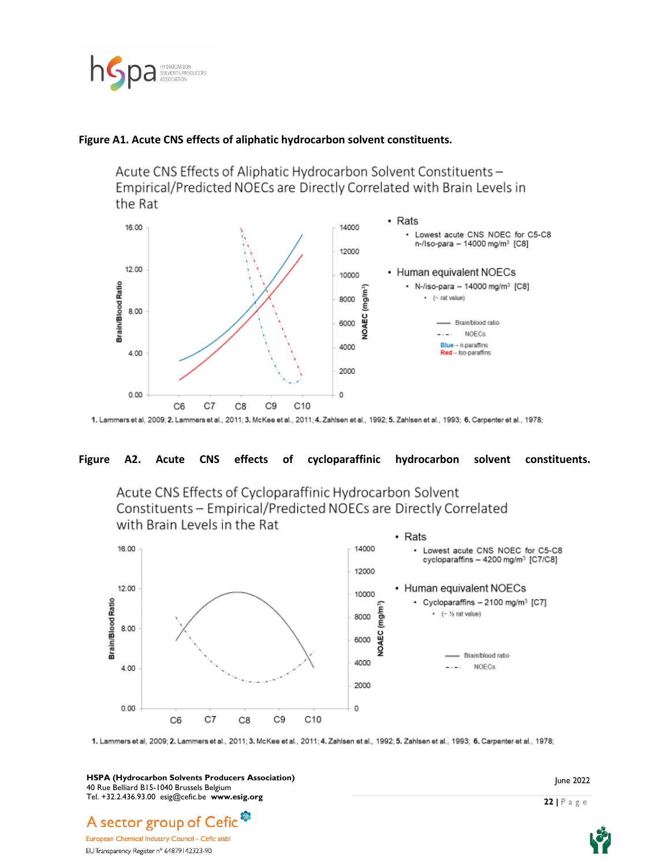

#### **Figure A1. Acute CNS effects of aliphatic hydrocarbon solvent constituents.**

Acute CNS Effects of Aliphatic Hydrocarbon Solvent Constituents-Empirical/Predicted NOECs are Directly Correlated with Brain Levels in the Rat



#### **Figure A2. Acute CNS effects of cycloparaffinic hydrocarbon solvent constituents.**





1. Lammers et al, 2009; 2. Lammers et al., 2011; 3. McKee et al., 2011; 4. Zahlsen et al., 1992; 5. Zahlsen et al., 1993; 6. Carpenter et al., 1978;

**HSPA (Hydrocarbon Solvents Producers Association)** 40 Rue Belliard B15-1040 Brussels Belgium Tel. +32.2.436.93.00 esig@cefic.be **www.esig.org**

June 2022

# A sector group of Cefic<sup>3</sup> European Chemical Industry Council - Cefic aisb

EU Transparency Register n° 64879142323-90

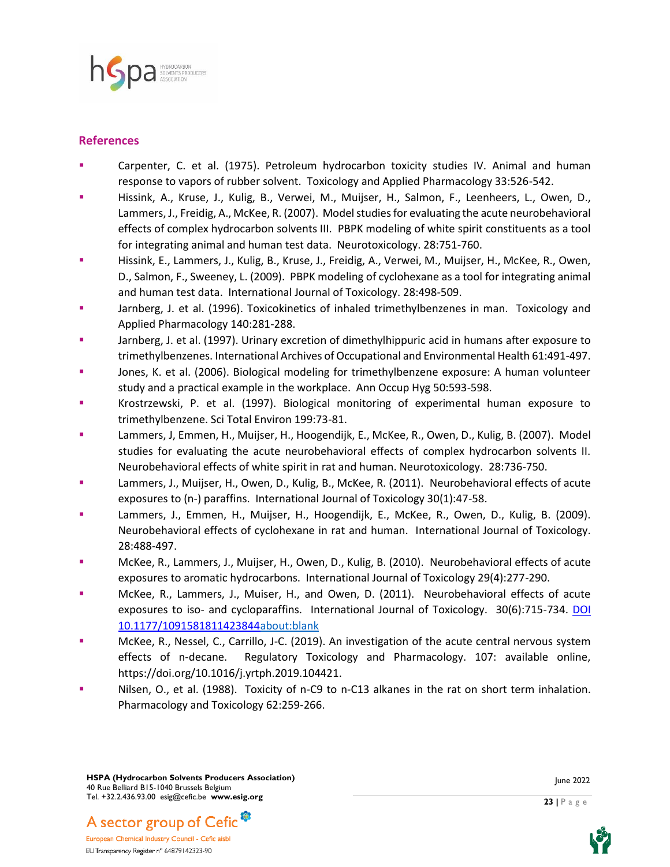

#### **References**

- Carpenter, C. et al. (1975). Petroleum hydrocarbon toxicity studies IV. Animal and human response to vapors of rubber solvent. Toxicology and Applied Pharmacology 33:526-542.
- Hissink, A., Kruse, J., Kulig, B., Verwei, M., Muijser, H., Salmon, F., Leenheers, L., Owen, D., Lammers, J., Freidig, A., McKee, R. (2007). Model studies for evaluating the acute neurobehavioral effects of complex hydrocarbon solvents III. PBPK modeling of white spirit constituents as a tool for integrating animal and human test data. Neurotoxicology. 28:751-760.
- Hissink, E., Lammers, J., Kulig, B., Kruse, J., Freidig, A., Verwei, M., Muijser, H., McKee, R., Owen, D., Salmon, F., Sweeney, L. (2009). PBPK modeling of cyclohexane as a tool for integrating animal and human test data. International Journal of Toxicology. 28:498-509.
- Jarnberg, J. et al. (1996). Toxicokinetics of inhaled trimethylbenzenes in man. Toxicology and Applied Pharmacology 140:281-288.
- Jarnberg, J. et al. (1997). Urinary excretion of dimethylhippuric acid in humans after exposure to trimethylbenzenes. International Archives of Occupational and Environmental Health 61:491-497.
- **■** Jones, K. et al. (2006). Biological modeling for trimethylbenzene exposure: A human volunteer study and a practical example in the workplace. Ann Occup Hyg 50:593-598.
- Krostrzewski, P. et al. (1997). Biological monitoring of experimental human exposure to trimethylbenzene. Sci Total Environ 199:73-81.
- Lammers, J, Emmen, H., Muijser, H., Hoogendijk, E., McKee, R., Owen, D., Kulig, B. (2007). Model studies for evaluating the acute neurobehavioral effects of complex hydrocarbon solvents II. Neurobehavioral effects of white spirit in rat and human. Neurotoxicology. 28:736-750.
- Lammers, J., Muijser, H., Owen, D., Kulig, B., McKee, R. (2011). Neurobehavioral effects of acute exposures to (n-) paraffins. International Journal of Toxicology 30(1):47-58.
- Lammers, J., Emmen, H., Muijser, H., Hoogendijk, E., McKee, R., Owen, D., Kulig, B. (2009). Neurobehavioral effects of cyclohexane in rat and human. International Journal of Toxicology. 28:488-497.
- McKee, R., Lammers, J., Muijser, H., Owen, D., Kulig, B. (2010). Neurobehavioral effects of acute exposures to aromatic hydrocarbons. International Journal of Toxicology 29(4):277-290.
- McKee, R., Lammers, J., Muiser, H., and Owen, D. (2011). Neurobehavioral effects of acute exposures to iso- and cycloparaffins. International Journal of Toxicology. 30(6):715-734. [DOI](about:blank)  [10.1177/1091581811423844about:blank](about:blank)
- McKee, R., Nessel, C., Carrillo, J-C. (2019). An investigation of the acute central nervous system effects of n-decane. Regulatory Toxicology and Pharmacology. 107: available online, https://doi.org/10.1016/j.yrtph.2019.104421.
- Nilsen, O., et al. (1988). Toxicity of n-C9 to n-C13 alkanes in the rat on short term inhalation. Pharmacology and Toxicology 62:259-266.

**HSPA (Hydrocarbon Solvents Producers Association)** 40 Rue Belliard B15-1040 Brussels Belgium Tel. +32.2.436.93.00 esig@cefic.be **www.esig.org**



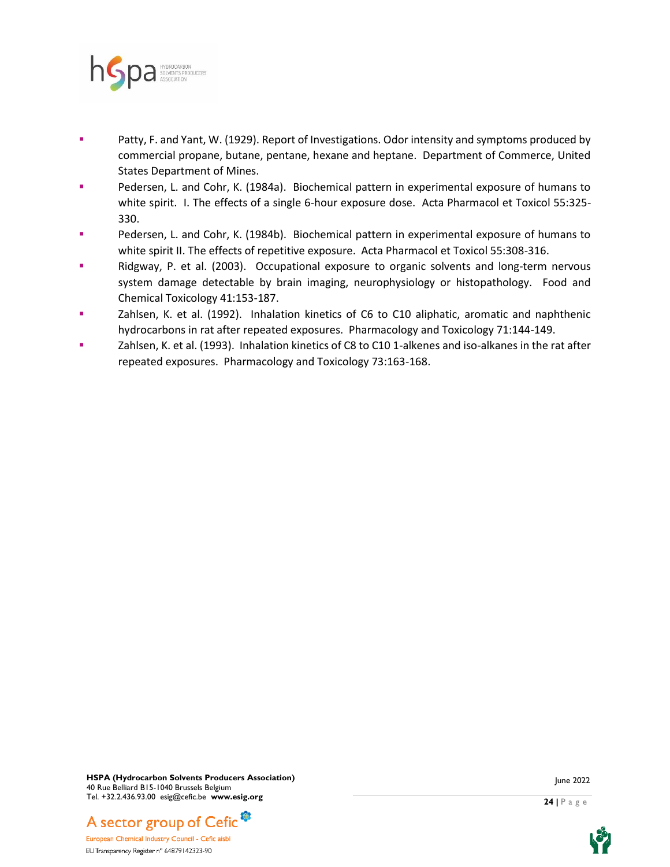

- Patty, F. and Yant, W. (1929). Report of Investigations. Odor intensity and symptoms produced by commercial propane, butane, pentane, hexane and heptane. Department of Commerce, United States Department of Mines.
- Pedersen, L. and Cohr, K. (1984a). Biochemical pattern in experimental exposure of humans to white spirit. I. The effects of a single 6-hour exposure dose. Acta Pharmacol et Toxicol 55:325- 330.
- Pedersen, L. and Cohr, K. (1984b). Biochemical pattern in experimental exposure of humans to white spirit II. The effects of repetitive exposure. Acta Pharmacol et Toxicol 55:308-316.
- Ridgway, P. et al. (2003). Occupational exposure to organic solvents and long-term nervous system damage detectable by brain imaging, neurophysiology or histopathology. Food and Chemical Toxicology 41:153-187.
- Zahlsen, K. et al. (1992). Inhalation kinetics of C6 to C10 aliphatic, aromatic and naphthenic hydrocarbons in rat after repeated exposures. Pharmacology and Toxicology 71:144-149.
- Zahlsen, K. et al. (1993). Inhalation kinetics of C8 to C10 1-alkenes and iso-alkanes in the rat after repeated exposures. Pharmacology and Toxicology 73:163-168.



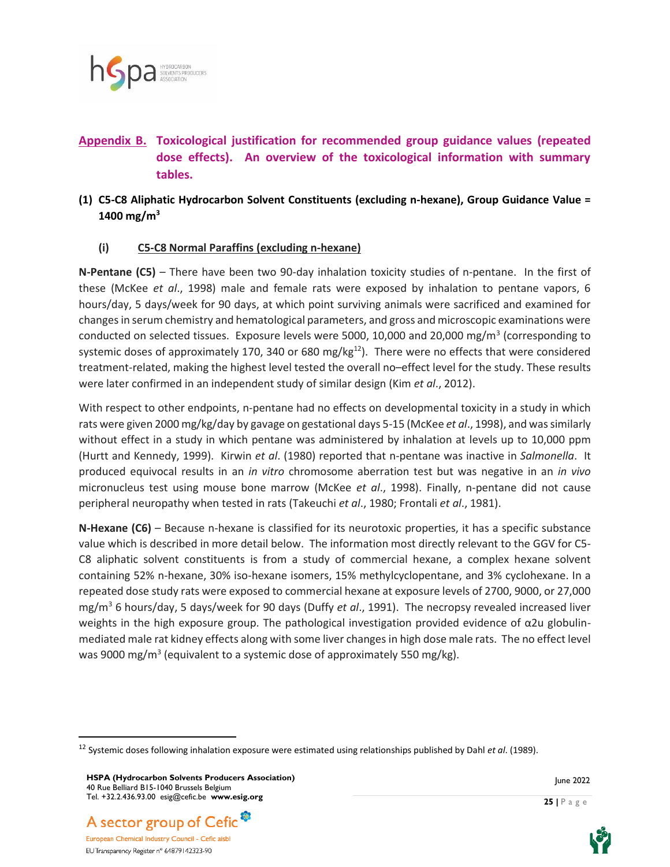

# **Appendix B. Toxicological justification for recommended group guidance values (repeated dose effects). An overview of the toxicological information with summary tables.**

# **(1) C5-C8 Aliphatic Hydrocarbon Solvent Constituents (excluding n-hexane), Group Guidance Value = 1400 mg/m<sup>3</sup>**

#### **(i) C5-C8 Normal Paraffins (excluding n-hexane)**

**N-Pentane (C5)** – There have been two 90-day inhalation toxicity studies of n-pentane. In the first of these (McKee *et al*., 1998) male and female rats were exposed by inhalation to pentane vapors, 6 hours/day, 5 days/week for 90 days, at which point surviving animals were sacrificed and examined for changes in serum chemistry and hematological parameters, and gross and microscopic examinations were conducted on selected tissues. Exposure levels were 5000, 10,000 and 20,000 mg/m<sup>3</sup> (corresponding to systemic doses of approximately 170, 340 or 680 mg/kg $^{12}$ ). There were no effects that were considered treatment-related, making the highest level tested the overall no–effect level for the study. These results were later confirmed in an independent study of similar design (Kim *et al*., 2012).

With respect to other endpoints, n-pentane had no effects on developmental toxicity in a study in which rats were given 2000 mg/kg/day by gavage on gestational days 5-15 (McKee *et al*., 1998), and was similarly without effect in a study in which pentane was administered by inhalation at levels up to 10,000 ppm (Hurtt and Kennedy, 1999). Kirwin *et al*. (1980) reported that n-pentane was inactive in *Salmonella*. It produced equivocal results in an *in vitro* chromosome aberration test but was negative in an *in vivo* micronucleus test using mouse bone marrow (McKee *et al*., 1998). Finally, n-pentane did not cause peripheral neuropathy when tested in rats (Takeuchi *et al*., 1980; Frontali *et al*., 1981).

**N-Hexane (C6)** – Because n-hexane is classified for its neurotoxic properties, it has a specific substance value which is described in more detail below. The information most directly relevant to the GGV for C5- C8 aliphatic solvent constituents is from a study of commercial hexane, a complex hexane solvent containing 52% n-hexane, 30% iso-hexane isomers, 15% methylcyclopentane, and 3% cyclohexane. In a repeated dose study rats were exposed to commercial hexane at exposure levels of 2700, 9000, or 27,000 mg/m<sup>3</sup> 6 hours/day, 5 days/week for 90 days (Duffy *et al*., 1991). The necropsy revealed increased liver weights in the high exposure group. The pathological investigation provided evidence of  $\alpha$ 2u globulinmediated male rat kidney effects along with some liver changes in high dose male rats. The no effect level was 9000 mg/m<sup>3</sup> (equivalent to a systemic dose of approximately 550 mg/kg).







<sup>12</sup> Systemic doses following inhalation exposure were estimated using relationships published by Dahl *et al*. (1989).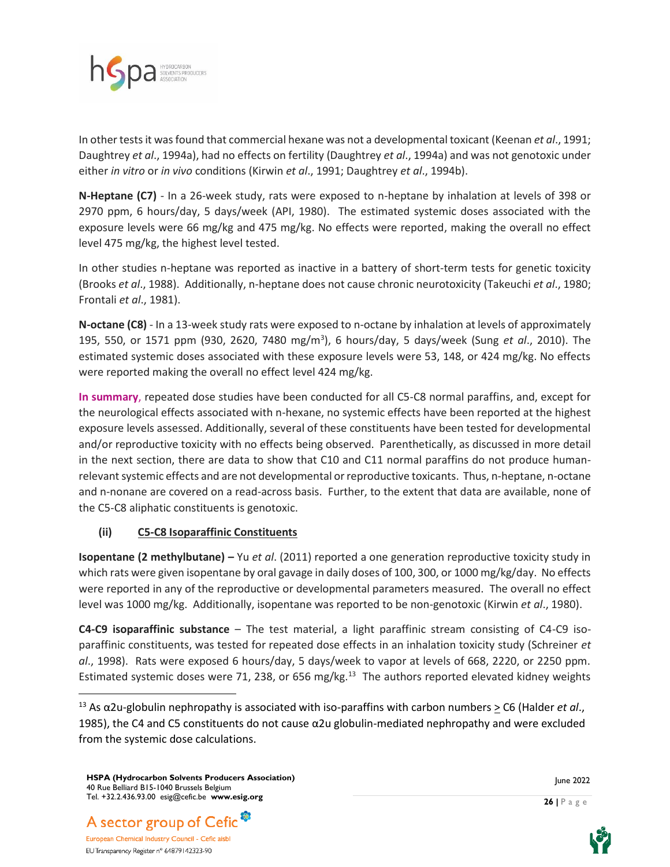

In other tests it was found that commercial hexane was not a developmental toxicant (Keenan *et al*., 1991; Daughtrey *et al*., 1994a), had no effects on fertility (Daughtrey *et al*., 1994a) and was not genotoxic under either *in vitro* or *in vivo* conditions (Kirwin *et al*., 1991; Daughtrey *et al*., 1994b).

**N-Heptane (C7)** - In a 26-week study, rats were exposed to n-heptane by inhalation at levels of 398 or 2970 ppm, 6 hours/day, 5 days/week (API, 1980). The estimated systemic doses associated with the exposure levels were 66 mg/kg and 475 mg/kg. No effects were reported, making the overall no effect level 475 mg/kg, the highest level tested.

In other studies n-heptane was reported as inactive in a battery of short-term tests for genetic toxicity (Brooks *et al*., 1988). Additionally, n-heptane does not cause chronic neurotoxicity (Takeuchi *et al*., 1980; Frontali *et al*., 1981).

**N-octane (C8)** - In a 13-week study rats were exposed to n-octane by inhalation at levels of approximately 195, 550, or 1571 ppm (930, 2620, 7480 mg/m<sup>3</sup> ), 6 hours/day, 5 days/week (Sung *et al*., 2010). The estimated systemic doses associated with these exposure levels were 53, 148, or 424 mg/kg. No effects were reported making the overall no effect level 424 mg/kg.

**In summary**, repeated dose studies have been conducted for all C5-C8 normal paraffins, and, except for the neurological effects associated with n-hexane, no systemic effects have been reported at the highest exposure levels assessed. Additionally, several of these constituents have been tested for developmental and/or reproductive toxicity with no effects being observed. Parenthetically, as discussed in more detail in the next section, there are data to show that C10 and C11 normal paraffins do not produce humanrelevant systemic effects and are not developmental or reproductive toxicants. Thus, n-heptane, n-octane and n-nonane are covered on a read-across basis. Further, to the extent that data are available, none of the C5-C8 aliphatic constituents is genotoxic.

## **(ii) C5-C8 Isoparaffinic Constituents**

**Isopentane (2 methylbutane) –** Yu *et al*. (2011) reported a one generation reproductive toxicity study in which rats were given isopentane by oral gavage in daily doses of 100, 300, or 1000 mg/kg/day. No effects were reported in any of the reproductive or developmental parameters measured. The overall no effect level was 1000 mg/kg. Additionally, isopentane was reported to be non-genotoxic (Kirwin *et al*., 1980).

**C4-C9 isoparaffinic substance** – The test material, a light paraffinic stream consisting of C4-C9 isoparaffinic constituents, was tested for repeated dose effects in an inhalation toxicity study (Schreiner *et al*., 1998). Rats were exposed 6 hours/day, 5 days/week to vapor at levels of 668, 2220, or 2250 ppm. Estimated systemic doses were 71, 238, or 656 mg/kg.<sup>13</sup> The authors reported elevated kidney weights





<sup>&</sup>lt;sup>13</sup> As α2u-globulin nephropathy is associated with iso-paraffins with carbon numbers > C6 (Halder *et al.*, 1985), the C4 and C5 constituents do not cause α2u globulin-mediated nephropathy and were excluded from the systemic dose calculations.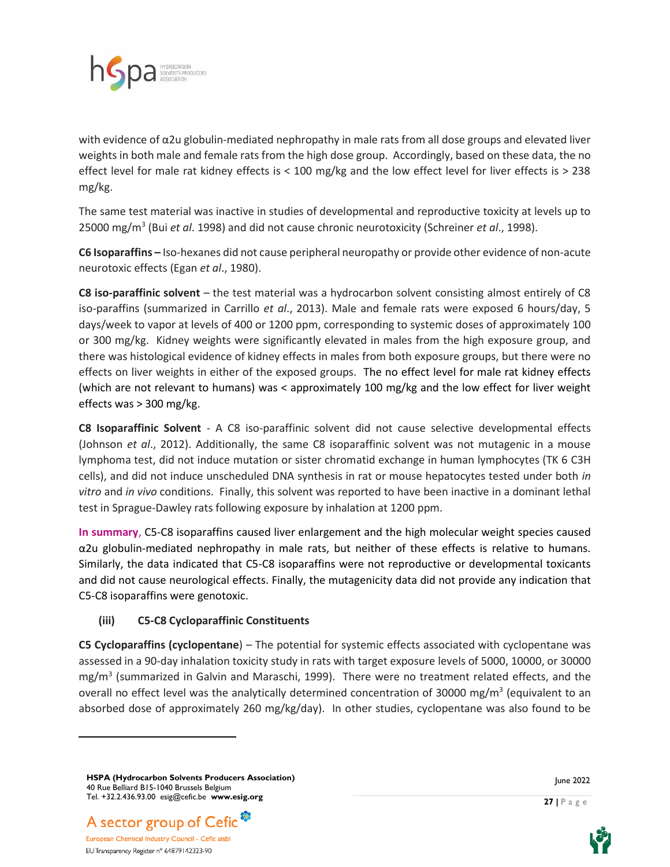

with evidence of α2u globulin-mediated nephropathy in male rats from all dose groups and elevated liver weights in both male and female rats from the high dose group. Accordingly, based on these data, the no effect level for male rat kidney effects is < 100 mg/kg and the low effect level for liver effects is > 238 mg/kg.

The same test material was inactive in studies of developmental and reproductive toxicity at levels up to 25000 mg/m<sup>3</sup> (Bui *et al*. 1998) and did not cause chronic neurotoxicity (Schreiner *et al*., 1998).

**C6 Isoparaffins –** Iso-hexanes did not cause peripheral neuropathy or provide other evidence of non-acute neurotoxic effects (Egan *et al*., 1980).

**C8 iso-paraffinic solvent** – the test material was a hydrocarbon solvent consisting almost entirely of C8 iso-paraffins (summarized in Carrillo *et al*., 2013). Male and female rats were exposed 6 hours/day, 5 days/week to vapor at levels of 400 or 1200 ppm, corresponding to systemic doses of approximately 100 or 300 mg/kg. Kidney weights were significantly elevated in males from the high exposure group, and there was histological evidence of kidney effects in males from both exposure groups, but there were no effects on liver weights in either of the exposed groups. The no effect level for male rat kidney effects (which are not relevant to humans) was < approximately 100 mg/kg and the low effect for liver weight effects was > 300 mg/kg.

**C8 Isoparaffinic Solvent** - A C8 iso-paraffinic solvent did not cause selective developmental effects (Johnson *et al*., 2012). Additionally, the same C8 isoparaffinic solvent was not mutagenic in a mouse lymphoma test, did not induce mutation or sister chromatid exchange in human lymphocytes (TK 6 C3H cells), and did not induce unscheduled DNA synthesis in rat or mouse hepatocytes tested under both *in vitro* and *in vivo* conditions. Finally, this solvent was reported to have been inactive in a dominant lethal test in Sprague-Dawley rats following exposure by inhalation at 1200 ppm.

**In summary**, C5-C8 isoparaffins caused liver enlargement and the high molecular weight species caused α2u globulin-mediated nephropathy in male rats, but neither of these effects is relative to humans. Similarly, the data indicated that C5-C8 isoparaffins were not reproductive or developmental toxicants and did not cause neurological effects. Finally, the mutagenicity data did not provide any indication that C5-C8 isoparaffins were genotoxic.

## **(iii) C5-C8 Cycloparaffinic Constituents**

**C5 Cycloparaffins (cyclopentane**) – The potential for systemic effects associated with cyclopentane was assessed in a 90-day inhalation toxicity study in rats with target exposure levels of 5000, 10000, or 30000 mg/m<sup>3</sup> (summarized in Galvin and Maraschi, 1999). There were no treatment related effects, and the overall no effect level was the analytically determined concentration of 30000 mg/m<sup>3</sup> (equivalent to an absorbed dose of approximately 260 mg/kg/day). In other studies, cyclopentane was also found to be

**HSPA (Hydrocarbon Solvents Producers Association)** 40 Rue Belliard B15-1040 Brussels Belgium Tel. +32.2.436.93.00 esig@cefic.be **www.esig.org**



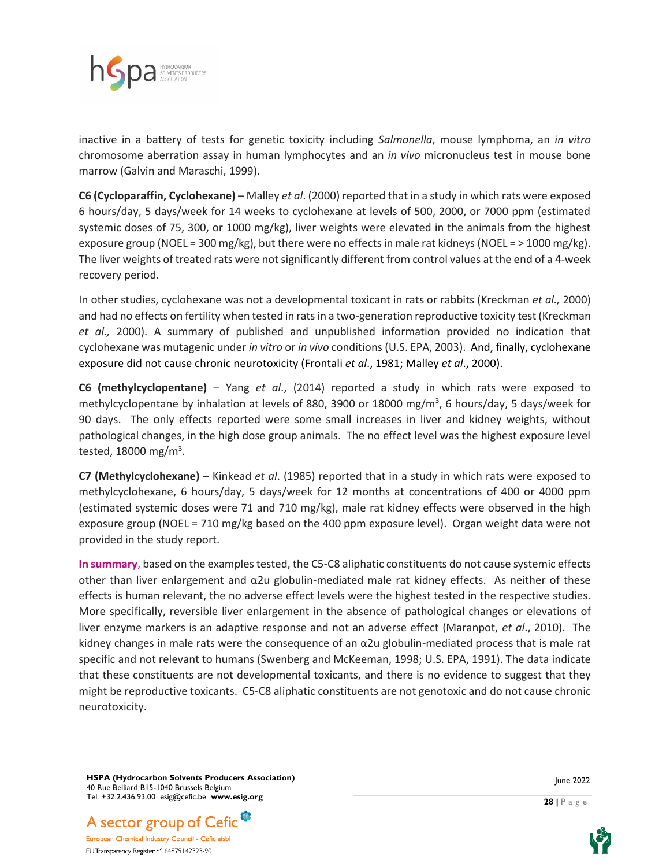

inactive in a battery of tests for genetic toxicity including *Salmonella*, mouse lymphoma, an *in vitro* chromosome aberration assay in human lymphocytes and an *in vivo* micronucleus test in mouse bone marrow (Galvin and Maraschi, 1999).

**C6 (Cycloparaffin, Cyclohexane)** – Malley *et al*. (2000) reported that in a study in which rats were exposed 6 hours/day, 5 days/week for 14 weeks to cyclohexane at levels of 500, 2000, or 7000 ppm (estimated systemic doses of 75, 300, or 1000 mg/kg), liver weights were elevated in the animals from the highest exposure group (NOEL = 300 mg/kg), but there were no effects in male rat kidneys (NOEL =  $>$  1000 mg/kg). The liver weights of treated rats were not significantly different from control values at the end of a 4-week recovery period.

In other studies, cyclohexane was not a developmental toxicant in rats or rabbits (Kreckman *et al.,* 2000) and had no effects on fertility when tested in rats in a two-generation reproductive toxicity test (Kreckman *et al.,* 2000). A summary of published and unpublished information provided no indication that cyclohexane was mutagenic under *in vitro* or *in vivo* conditions (U.S. EPA, 2003). And, finally, cyclohexane exposure did not cause chronic neurotoxicity (Frontali *et al*., 1981; Malley *et al*., 2000).

**C6 (methylcyclopentane)** – Yang *et al*., (2014) reported a study in which rats were exposed to methylcyclopentane by inhalation at levels of 880, 3900 or 18000 mg/m<sup>3</sup>, 6 hours/day, 5 days/week for 90 days. The only effects reported were some small increases in liver and kidney weights, without pathological changes, in the high dose group animals. The no effect level was the highest exposure level tested, 18000 mg/m<sup>3</sup>.

**C7 (Methylcyclohexane)** – Kinkead *et al*. (1985) reported that in a study in which rats were exposed to methylcyclohexane, 6 hours/day, 5 days/week for 12 months at concentrations of 400 or 4000 ppm (estimated systemic doses were 71 and 710 mg/kg), male rat kidney effects were observed in the high exposure group (NOEL = 710 mg/kg based on the 400 ppm exposure level). Organ weight data were not provided in the study report.

**In summary**, based on the examples tested, the C5-C8 aliphatic constituents do not cause systemic effects other than liver enlargement and  $\alpha$ 2u globulin-mediated male rat kidney effects. As neither of these effects is human relevant, the no adverse effect levels were the highest tested in the respective studies. More specifically, reversible liver enlargement in the absence of pathological changes or elevations of liver enzyme markers is an adaptive response and not an adverse effect (Maranpot, *et al*., 2010). The kidney changes in male rats were the consequence of an α2u globulin-mediated process that is male rat specific and not relevant to humans (Swenberg and McKeeman, 1998; U.S. EPA, 1991). The data indicate that these constituents are not developmental toxicants, and there is no evidence to suggest that they might be reproductive toxicants. C5-C8 aliphatic constituents are not genotoxic and do not cause chronic neurotoxicity.

**HSPA (Hydrocarbon Solvents Producers Association)** 40 Rue Belliard B15-1040 Brussels Belgium Tel. +32.2.436.93.00 esig@cefic.be **www.esig.org**



European Chemical Industry Council - Cefic aisbl EU Transparency Register n° 64879142323-90



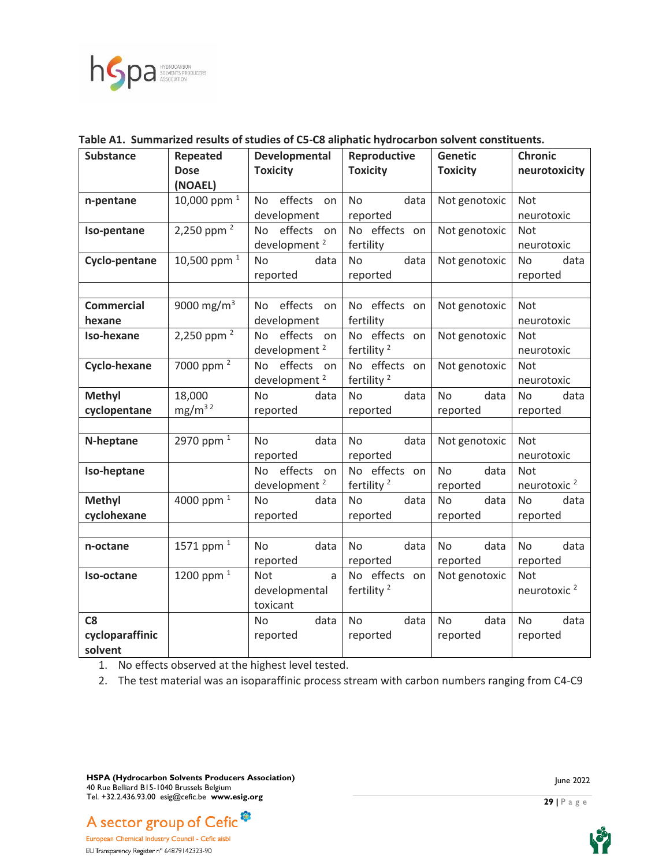

| <b>Substance</b>     | Repeated<br><b>Dose</b><br>(NOAEL) | Developmental<br><b>Toxicity</b> | Reproductive<br><b>Toxicity</b> | <b>Genetic</b><br><b>Toxicity</b> | <b>Chronic</b><br>neurotoxicity |
|----------------------|------------------------------------|----------------------------------|---------------------------------|-----------------------------------|---------------------------------|
| n-pentane            | 10,000 ppm $1$                     | No effects on                    | data<br>No                      | Not genotoxic                     | Not                             |
|                      |                                    | development                      | reported                        |                                   | neurotoxic                      |
| Iso-pentane          | 2,250 ppm $^2$                     | effects<br>No.<br>on             | No effects on                   | Not genotoxic                     | Not                             |
|                      |                                    | development <sup>2</sup>         | fertility                       |                                   | neurotoxic                      |
| <b>Cyclo-pentane</b> | 10,500 ppm $1$                     | <b>No</b><br>data                | data<br><b>No</b>               | Not genotoxic                     | <b>No</b><br>data               |
|                      |                                    | reported                         | reported                        |                                   | reported                        |
|                      |                                    |                                  |                                 |                                   |                                 |
| <b>Commercial</b>    | 9000 mg/m <sup>3</sup>             | No effects on                    | No effects on                   | Not genotoxic                     | <b>Not</b>                      |
| hexane               |                                    | development                      | fertility                       |                                   | neurotoxic                      |
| Iso-hexane           | 2,250 ppm $^2$                     | No effects on                    | No effects on                   | Not genotoxic                     | Not                             |
|                      |                                    | development <sup>2</sup>         | fertility <sup>2</sup>          |                                   | neurotoxic                      |
| Cyclo-hexane         | 7000 ppm <sup>2</sup>              | effects on<br>No                 | No effects on                   | Not genotoxic                     | Not                             |
|                      |                                    | development <sup>2</sup>         | fertility <sup>2</sup>          |                                   | neurotoxic                      |
| <b>Methyl</b>        | 18,000                             | <b>No</b><br>data                | <b>No</b><br>data               | <b>No</b><br>data                 | <b>No</b><br>data               |
| cyclopentane         | mg/m <sup>32</sup>                 | reported                         | reported                        | reported                          | reported                        |
|                      |                                    |                                  |                                 |                                   |                                 |
| N-heptane            | 2970 ppm <sup>1</sup>              | data<br>No                       | No<br>data                      | Not genotoxic                     | Not                             |
|                      |                                    | reported                         | reported                        |                                   | neurotoxic                      |
| Iso-heptane          |                                    | effects on<br>No.                | No effects on                   | data<br><b>No</b>                 | <b>Not</b>                      |
|                      |                                    | development <sup>2</sup>         | fertility <sup>2</sup>          | reported                          | neurotoxic <sup>2</sup>         |
| <b>Methyl</b>        | 4000 ppm <sup>1</sup>              | No<br>data                       | data<br><b>No</b>               | <b>No</b><br>data                 | <b>No</b><br>data               |
| cyclohexane          |                                    | reported                         | reported                        | reported                          | reported                        |
|                      |                                    |                                  |                                 |                                   |                                 |
| n-octane             | 1571 ppm <sup>1</sup>              | data<br><b>No</b>                | <b>No</b><br>data               | <b>No</b><br>data                 | data<br><b>No</b>               |
|                      |                                    | reported                         | reported                        | reported                          | reported                        |
| Iso-octane           | 1200 ppm $1$                       | <b>Not</b><br>$\mathsf{a}$       | No effects on                   | Not genotoxic                     | <b>Not</b>                      |
|                      |                                    | developmental                    | fertility <sup>2</sup>          |                                   | neurotoxic <sup>2</sup>         |
|                      |                                    | toxicant                         |                                 |                                   |                                 |
| C8                   |                                    | data<br>No.                      | <b>No</b><br>data               | data<br><b>No</b>                 | data<br><b>No</b>               |
| cycloparaffinic      |                                    | reported                         | reported                        | reported                          | reported                        |
| solvent              |                                    |                                  |                                 |                                   |                                 |

#### **Table A1. Summarized results of studies of C5-C8 aliphatic hydrocarbon solvent constituents.**

1. No effects observed at the highest level tested.

2. The test material was an isoparaffinic process stream with carbon numbers ranging from C4-C9

**HSPA (Hydrocarbon Solvents Producers Association)** 40 Rue Belliard B15-1040 Brussels Belgium Tel. +32.2.436.93.00 esig@cefic.be **www.esig.org**





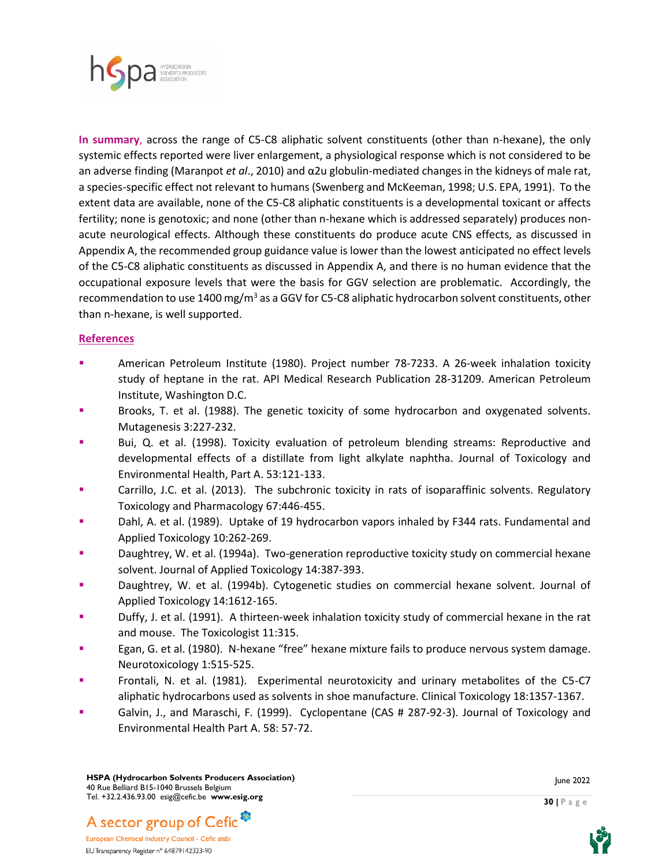

**In summary**, across the range of C5-C8 aliphatic solvent constituents (other than n-hexane), the only systemic effects reported were liver enlargement, a physiological response which is not considered to be an adverse finding (Maranpot *et al*., 2010) and α2u globulin-mediated changes in the kidneys of male rat, a species-specific effect not relevant to humans (Swenberg and McKeeman, 1998; U.S. EPA, 1991). To the extent data are available, none of the C5-C8 aliphatic constituents is a developmental toxicant or affects fertility; none is genotoxic; and none (other than n-hexane which is addressed separately) produces nonacute neurological effects. Although these constituents do produce acute CNS effects, as discussed in Appendix A, the recommended group guidance value is lower than the lowest anticipated no effect levels of the C5-C8 aliphatic constituents as discussed in Appendix A, and there is no human evidence that the occupational exposure levels that were the basis for GGV selection are problematic. Accordingly, the recommendation to use 1400 mg/m<sup>3</sup> as a GGV for C5-C8 aliphatic hydrocarbon solvent constituents, other than n-hexane, is well supported.

#### **References**

- American Petroleum Institute (1980). Project number 78-7233. A 26-week inhalation toxicity study of heptane in the rat. API Medical Research Publication 28-31209. American Petroleum Institute, Washington D.C.
- Brooks, T. et al. (1988). The genetic toxicity of some hydrocarbon and oxygenated solvents. Mutagenesis 3:227-232.
- Bui, Q. et al. (1998). Toxicity evaluation of petroleum blending streams: Reproductive and developmental effects of a distillate from light alkylate naphtha. Journal of Toxicology and Environmental Health, Part A. 53:121-133.
- **Carrillo, J.C. et al. (2013). The subchronic toxicity in rats of isoparaffinic solvents. Regulatory** Toxicology and Pharmacology 67:446-455.
- Dahl, A. et al. (1989). Uptake of 19 hydrocarbon vapors inhaled by F344 rats. Fundamental and Applied Toxicology 10:262-269.
- Daughtrey, W. et al. (1994a). Two-generation reproductive toxicity study on commercial hexane solvent. Journal of Applied Toxicology 14:387-393.
- Daughtrey, W. et al. (1994b). Cytogenetic studies on commercial hexane solvent. Journal of Applied Toxicology 14:1612-165.
- Duffy, J. et al. (1991). A thirteen-week inhalation toxicity study of commercial hexane in the rat and mouse. The Toxicologist 11:315.
- Egan, G. et al. (1980). N-hexane "free" hexane mixture fails to produce nervous system damage. Neurotoxicology 1:515-525.
- Frontali, N. et al. (1981). Experimental neurotoxicity and urinary metabolites of the C5-C7 aliphatic hydrocarbons used as solvents in shoe manufacture. Clinical Toxicology 18:1357-1367.
- Galvin, J., and Maraschi, F. (1999). Cyclopentane (CAS # 287-92-3). Journal of Toxicology and Environmental Health Part A. 58: 57-72.



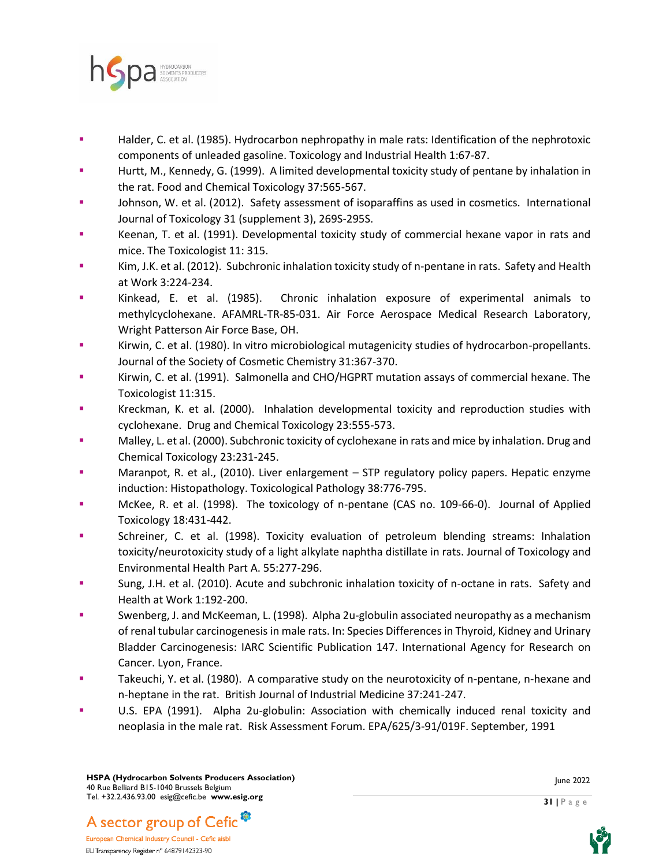

- Halder, C. et al. (1985). Hydrocarbon nephropathy in male rats: Identification of the nephrotoxic components of unleaded gasoline. Toxicology and Industrial Health 1:67-87.
- Hurtt, M., Kennedy, G. (1999). A limited developmental toxicity study of pentane by inhalation in the rat. Food and Chemical Toxicology 37:565-567.
- Johnson, W. et al. (2012). Safety assessment of isoparaffins as used in cosmetics. International Journal of Toxicology 31 (supplement 3), 269S-295S.
- Keenan, T. et al. (1991). Developmental toxicity study of commercial hexane vapor in rats and mice. The Toxicologist 11: 315.
- Kim, J.K. et al. (2012). Subchronic inhalation toxicity study of n-pentane in rats. Safety and Health at Work 3:224-234.
- Kinkead, E. et al. (1985). Chronic inhalation exposure of experimental animals to methylcyclohexane. AFAMRL-TR-85-031. Air Force Aerospace Medical Research Laboratory, Wright Patterson Air Force Base, OH.
- **EXECT:** Kirwin, C. et al. (1980). In vitro microbiological mutagenicity studies of hydrocarbon-propellants. Journal of the Society of Cosmetic Chemistry 31:367-370.
- Kirwin, C. et al. (1991). Salmonella and CHO/HGPRT mutation assays of commercial hexane. The Toxicologist 11:315.
- Kreckman, K. et al. (2000). Inhalation developmental toxicity and reproduction studies with cyclohexane. Drug and Chemical Toxicology 23:555-573.
- **Malley, L. et al. (2000). Subchronic toxicity of cyclohexane in rats and mice by inhalation. Drug and** Chemical Toxicology 23:231-245.
- Maranpot, R. et al., (2010). Liver enlargement STP regulatory policy papers. Hepatic enzyme induction: Histopathology. Toxicological Pathology 38:776-795.
- McKee, R. et al. (1998). The toxicology of n-pentane (CAS no. 109-66-0). Journal of Applied Toxicology 18:431-442.
- Schreiner, C. et al. (1998). Toxicity evaluation of petroleum blending streams: Inhalation toxicity/neurotoxicity study of a light alkylate naphtha distillate in rats. Journal of Toxicology and Environmental Health Part A. 55:277-296.
- Sung, J.H. et al. (2010). Acute and subchronic inhalation toxicity of n-octane in rats. Safety and Health at Work 1:192-200.
- Swenberg, J. and McKeeman, L. (1998). Alpha 2u-globulin associated neuropathy as a mechanism of renal tubular carcinogenesis in male rats. In: Species Differences in Thyroid, Kidney and Urinary Bladder Carcinogenesis: IARC Scientific Publication 147. International Agency for Research on Cancer. Lyon, France.
- **EXECUTE:** Takeuchi, Y. et al. (1980). A comparative study on the neurotoxicity of n-pentane, n-hexane and n-heptane in the rat. British Journal of Industrial Medicine 37:241-247.
- U.S. EPA (1991). Alpha 2u-globulin: Association with chemically induced renal toxicity and neoplasia in the male rat. Risk Assessment Forum. EPA/625/3-91/019F. September, 1991

June 2022

**31 |** P a g e



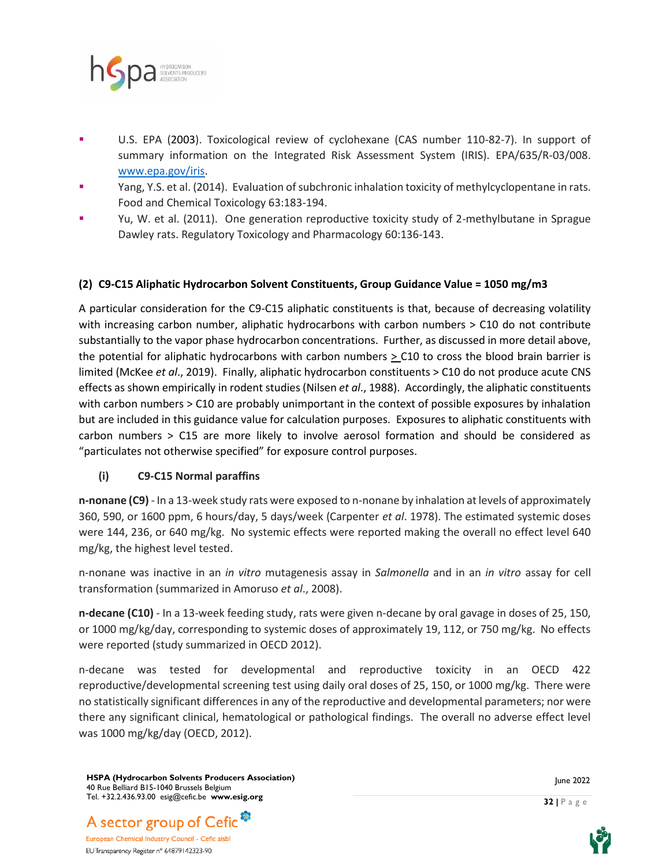

- U.S. EPA (2003). Toxicological review of cyclohexane (CAS number 110-82-7). In support of summary information on the Integrated Risk Assessment System (IRIS). EPA/635/R-03/008. [www.epa.gov/iris.](about:blank)
- Yang, Y.S. et al. (2014). Evaluation of subchronic inhalation toxicity of methylcyclopentane in rats. Food and Chemical Toxicology 63:183-194.
- Yu, W. et al. (2011). One generation reproductive toxicity study of 2-methylbutane in Sprague Dawley rats. Regulatory Toxicology and Pharmacology 60:136-143.

#### **(2) C9-C15 Aliphatic Hydrocarbon Solvent Constituents, Group Guidance Value = 1050 mg/m3**

A particular consideration for the C9-C15 aliphatic constituents is that, because of decreasing volatility with increasing carbon number, aliphatic hydrocarbons with carbon numbers > C10 do not contribute substantially to the vapor phase hydrocarbon concentrations. Further, as discussed in more detail above, the potential for aliphatic hydrocarbons with carbon numbers > C10 to cross the blood brain barrier is limited (McKee *et al*., 2019). Finally, aliphatic hydrocarbon constituents > C10 do not produce acute CNS effects as shown empirically in rodent studies (Nilsen *et al*., 1988). Accordingly, the aliphatic constituents with carbon numbers > C10 are probably unimportant in the context of possible exposures by inhalation but are included in this guidance value for calculation purposes. Exposures to aliphatic constituents with carbon numbers > C15 are more likely to involve aerosol formation and should be considered as "particulates not otherwise specified" for exposure control purposes.

#### **(i) C9-C15 Normal paraffins**

**n-nonane (C9)** - In a 13-week study rats were exposed to n-nonane by inhalation at levels of approximately 360, 590, or 1600 ppm, 6 hours/day, 5 days/week (Carpenter *et al*. 1978). The estimated systemic doses were 144, 236, or 640 mg/kg. No systemic effects were reported making the overall no effect level 640 mg/kg, the highest level tested.

n-nonane was inactive in an *in vitro* mutagenesis assay in *Salmonella* and in an *in vitro* assay for cell transformation (summarized in Amoruso *et al*., 2008).

**n-decane (C10)** - In a 13-week feeding study, rats were given n-decane by oral gavage in doses of 25, 150, or 1000 mg/kg/day, corresponding to systemic doses of approximately 19, 112, or 750 mg/kg. No effects were reported (study summarized in OECD 2012).

n-decane was tested for developmental and reproductive toxicity in an OECD 422 reproductive/developmental screening test using daily oral doses of 25, 150, or 1000 mg/kg. There were no statistically significant differences in any of the reproductive and developmental parameters; nor were there any significant clinical, hematological or pathological findings. The overall no adverse effect level was 1000 mg/kg/day (OECD, 2012).

**HSPA (Hydrocarbon Solvents Producers Association)** 40 Rue Belliard B15-1040 Brussels Belgium Tel. +32.2.436.93.00 esig@cefic.be **www.esig.org**



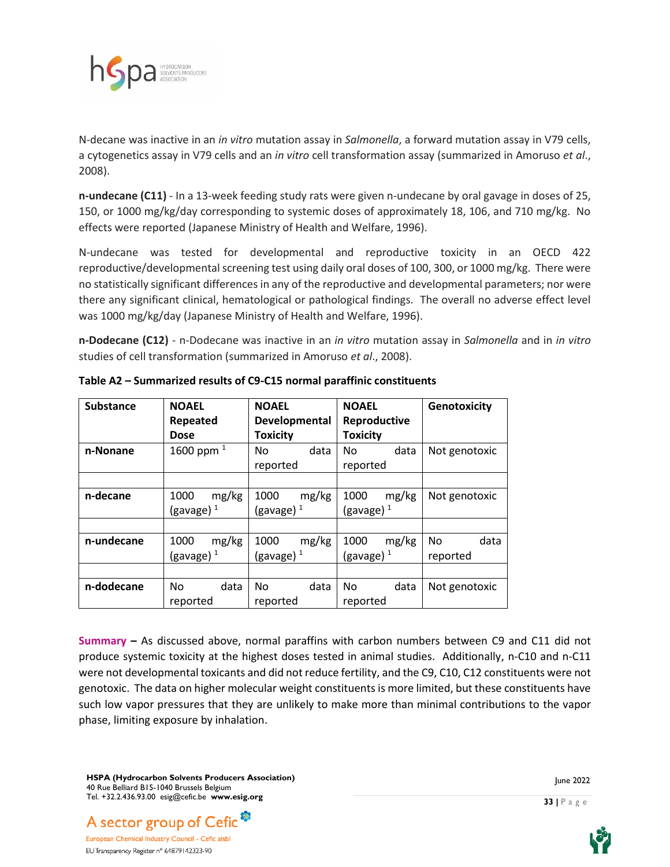

N-decane was inactive in an *in vitro* mutation assay in *Salmonella*, a forward mutation assay in V79 cells, a cytogenetics assay in V79 cells and an *in vitro* cell transformation assay (summarized in Amoruso *et al*., 2008).

**n-undecane (C11)** - In a 13-week feeding study rats were given n-undecane by oral gavage in doses of 25, 150, or 1000 mg/kg/day corresponding to systemic doses of approximately 18, 106, and 710 mg/kg. No effects were reported (Japanese Ministry of Health and Welfare, 1996).

N-undecane was tested for developmental and reproductive toxicity in an OECD 422 reproductive/developmental screening test using daily oral doses of 100, 300, or 1000 mg/kg. There were no statistically significant differences in any of the reproductive and developmental parameters; nor were there any significant clinical, hematological or pathological findings. The overall no adverse effect level was 1000 mg/kg/day (Japanese Ministry of Health and Welfare, 1996).

**n-Dodecane (C12)** - n-Dodecane was inactive in an *in vitro* mutation assay in *Salmonella* and in *in vitro* studies of cell transformation (summarized in Amoruso *et al*., 2008).

| <b>Substance</b> | <b>NOAEL</b><br>Repeated | <b>NOAEL</b><br>Developmental | <b>NOAEL</b><br>Reproductive | Genotoxicity  |
|------------------|--------------------------|-------------------------------|------------------------------|---------------|
|                  | <b>Dose</b>              | <b>Toxicity</b>               | <b>Toxicity</b>              |               |
| n-Nonane         | 1600 ppm $^{1}$          | data<br>No.                   | data<br>No.                  | Not genotoxic |
|                  |                          | reported                      | reported                     |               |
|                  |                          |                               |                              |               |
| n-decane         | mg/kg<br>1000            | mg/kg<br>1000                 | mg/kg<br>1000                | Not genotoxic |
|                  | (gavage) $1$             | (gavage) $1$                  | (gavage) $1$                 |               |
|                  |                          |                               |                              |               |
| n-undecane       | mg/kg<br>1000            | mg/kg<br>1000                 | mg/kg<br>1000                | data<br>No.   |
|                  | (gavage) $1$             | (gavage) $1$                  | (gavage) <sup>1</sup>        | reported      |
|                  |                          |                               |                              |               |
| n-dodecane       | data<br>No.              | data<br>No                    | data<br>No.                  | Not genotoxic |
|                  | reported                 | reported                      | reported                     |               |

**Table A2 – Summarized results of C9-C15 normal paraffinic constituents**

**Summary –** As discussed above, normal paraffins with carbon numbers between C9 and C11 did not produce systemic toxicity at the highest doses tested in animal studies. Additionally, n-C10 and n-C11 were not developmental toxicants and did not reduce fertility, and the C9, C10, C12 constituents were not genotoxic. The data on higher molecular weight constituents is more limited, but these constituents have such low vapor pressures that they are unlikely to make more than minimal contributions to the vapor phase, limiting exposure by inhalation.

**HSPA (Hydrocarbon Solvents Producers Association)** 40 Rue Belliard B15-1040 Brussels Belgium Tel. +32.2.436.93.00 esig@cefic.be **www.esig.org**





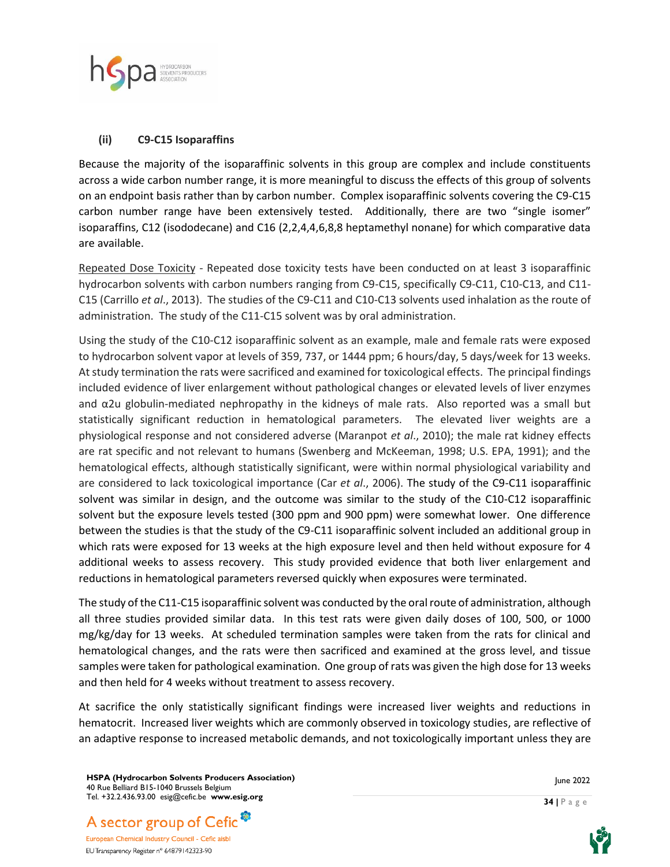

#### **(ii) C9-C15 Isoparaffins**

Because the majority of the isoparaffinic solvents in this group are complex and include constituents across a wide carbon number range, it is more meaningful to discuss the effects of this group of solvents on an endpoint basis rather than by carbon number. Complex isoparaffinic solvents covering the C9-C15 carbon number range have been extensively tested. Additionally, there are two "single isomer" isoparaffins, C12 (isododecane) and C16 (2,2,4,4,6,8,8 heptamethyl nonane) for which comparative data are available.

Repeated Dose Toxicity - Repeated dose toxicity tests have been conducted on at least 3 isoparaffinic hydrocarbon solvents with carbon numbers ranging from C9-C15, specifically C9-C11, C10-C13, and C11- C15 (Carrillo *et al*., 2013). The studies of the C9-C11 and C10-C13 solvents used inhalation as the route of administration. The study of the C11-C15 solvent was by oral administration.

Using the study of the C10-C12 isoparaffinic solvent as an example, male and female rats were exposed to hydrocarbon solvent vapor at levels of 359, 737, or 1444 ppm; 6 hours/day, 5 days/week for 13 weeks. At study termination the rats were sacrificed and examined for toxicological effects. The principal findings included evidence of liver enlargement without pathological changes or elevated levels of liver enzymes and  $\alpha$ 2u globulin-mediated nephropathy in the kidneys of male rats. Also reported was a small but statistically significant reduction in hematological parameters. The elevated liver weights are a physiological response and not considered adverse (Maranpot *et al*., 2010); the male rat kidney effects are rat specific and not relevant to humans (Swenberg and McKeeman, 1998; U.S. EPA, 1991); and the hematological effects, although statistically significant, were within normal physiological variability and are considered to lack toxicological importance (Car *et al*., 2006). The study of the C9-C11 isoparaffinic solvent was similar in design, and the outcome was similar to the study of the C10-C12 isoparaffinic solvent but the exposure levels tested (300 ppm and 900 ppm) were somewhat lower. One difference between the studies is that the study of the C9-C11 isoparaffinic solvent included an additional group in which rats were exposed for 13 weeks at the high exposure level and then held without exposure for 4 additional weeks to assess recovery. This study provided evidence that both liver enlargement and reductions in hematological parameters reversed quickly when exposures were terminated.

The study of the C11-C15 isoparaffinic solvent was conducted by the oralroute of administration, although all three studies provided similar data. In this test rats were given daily doses of 100, 500, or 1000 mg/kg/day for 13 weeks. At scheduled termination samples were taken from the rats for clinical and hematological changes, and the rats were then sacrificed and examined at the gross level, and tissue samples were taken for pathological examination. One group of rats was given the high dose for 13 weeks and then held for 4 weeks without treatment to assess recovery.

At sacrifice the only statistically significant findings were increased liver weights and reductions in hematocrit. Increased liver weights which are commonly observed in toxicology studies, are reflective of an adaptive response to increased metabolic demands, and not toxicologically important unless they are

**HSPA (Hydrocarbon Solvents Producers Association)** 40 Rue Belliard B15-1040 Brussels Belgium Tel. +32.2.436.93.00 esig@cefic.be **www.esig.org**





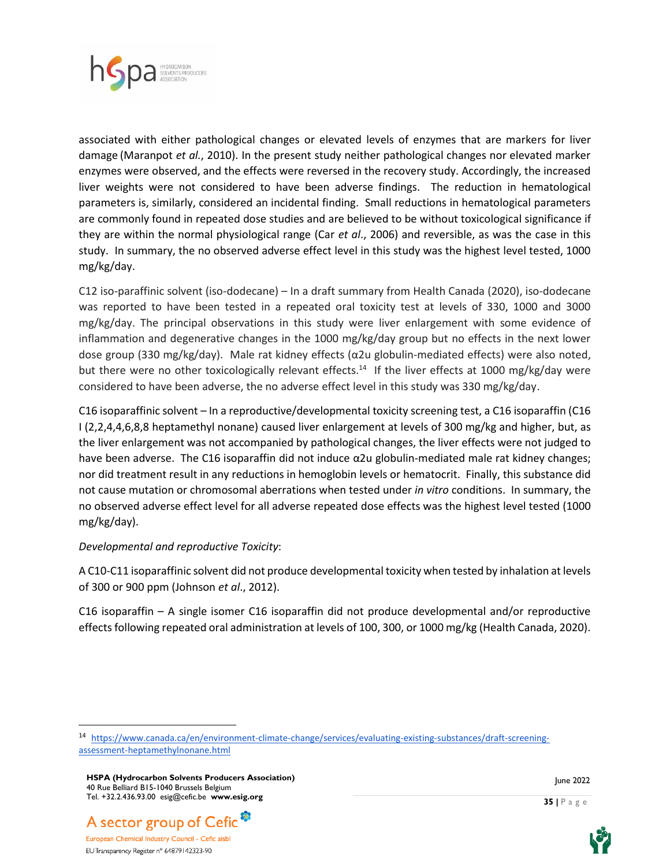

associated with either pathological changes or elevated levels of enzymes that are markers for liver damage (Maranpot *et al.*, 2010). In the present study neither pathological changes nor elevated marker enzymes were observed, and the effects were reversed in the recovery study. Accordingly, the increased liver weights were not considered to have been adverse findings. The reduction in hematological parameters is, similarly, considered an incidental finding. Small reductions in hematological parameters are commonly found in repeated dose studies and are believed to be without toxicological significance if they are within the normal physiological range (Car *et al*., 2006) and reversible, as was the case in this study. In summary, the no observed adverse effect level in this study was the highest level tested, 1000 mg/kg/day.

C12 iso-paraffinic solvent (iso-dodecane) – In a draft summary from Health Canada (2020), iso-dodecane was reported to have been tested in a repeated oral toxicity test at levels of 330, 1000 and 3000 mg/kg/day. The principal observations in this study were liver enlargement with some evidence of inflammation and degenerative changes in the 1000 mg/kg/day group but no effects in the next lower dose group (330 mg/kg/day). Male rat kidney effects (α2u globulin-mediated effects) were also noted, but there were no other toxicologically relevant effects.<sup>14</sup> If the liver effects at 1000 mg/kg/day were considered to have been adverse, the no adverse effect level in this study was 330 mg/kg/day.

C16 isoparaffinic solvent – In a reproductive/developmental toxicity screening test, a C16 isoparaffin (C16 I (2,2,4,4,6,8,8 heptamethyl nonane) caused liver enlargement at levels of 300 mg/kg and higher, but, as the liver enlargement was not accompanied by pathological changes, the liver effects were not judged to have been adverse. The C16 isoparaffin did not induce α2u globulin-mediated male rat kidney changes; nor did treatment result in any reductions in hemoglobin levels or hematocrit. Finally, this substance did not cause mutation or chromosomal aberrations when tested under *in vitro* conditions. In summary, the no observed adverse effect level for all adverse repeated dose effects was the highest level tested (1000 mg/kg/day).

#### *Developmental and reproductive Toxicity*:

A C10-C11 isoparaffinic solvent did not produce developmental toxicity when tested by inhalation at levels of 300 or 900 ppm (Johnson *et al*., 2012).

C16 isoparaffin – A single isomer C16 isoparaffin did not produce developmental and/or reproductive effects following repeated oral administration at levels of 100, 300, or 1000 mg/kg (Health Canada, 2020).

A sector group of Cefic<sup>®</sup>





<sup>14</sup> [https://www.canada.ca/en/environment-climate-change/services/evaluating-existing-substances/draft-screening](about:blank)[assessment-heptamethylnonane.html](about:blank)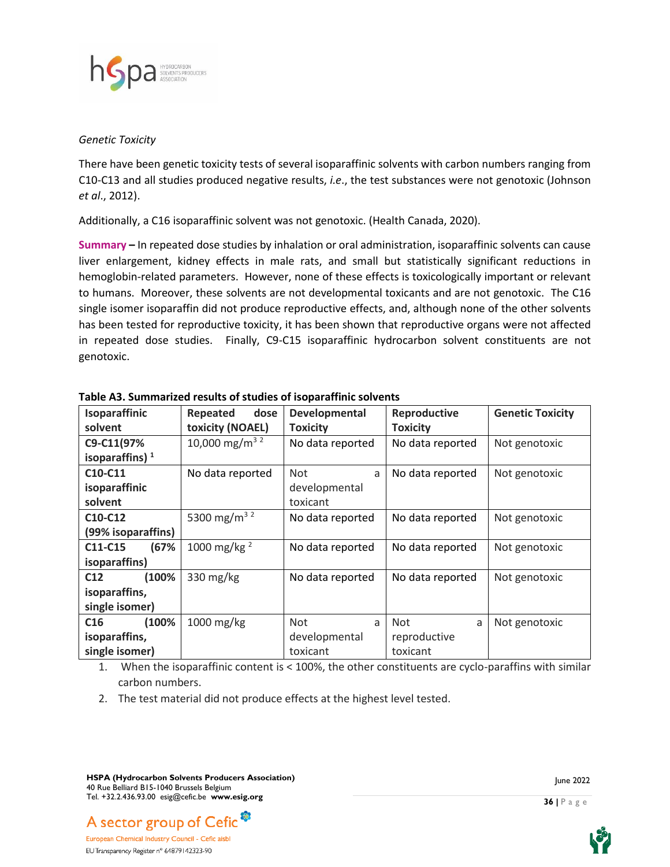

#### *Genetic Toxicity*

There have been genetic toxicity tests of several isoparaffinic solvents with carbon numbers ranging from C10-C13 and all studies produced negative results, *i.e*., the test substances were not genotoxic (Johnson *et al*., 2012).

Additionally, a C16 isoparaffinic solvent was not genotoxic. (Health Canada, 2020).

**Summary –** In repeated dose studies by inhalation or oral administration, isoparaffinic solvents can cause liver enlargement, kidney effects in male rats, and small but statistically significant reductions in hemoglobin-related parameters. However, none of these effects is toxicologically important or relevant to humans. Moreover, these solvents are not developmental toxicants and are not genotoxic. The C16 single isomer isoparaffin did not produce reproductive effects, and, although none of the other solvents has been tested for reproductive toxicity, it has been shown that reproductive organs were not affected in repeated dose studies. Finally, C9-C15 isoparaffinic hydrocarbon solvent constituents are not genotoxic.

| <b>Isoparaffinic</b>             | dose<br>Repeated           | Developmental    | Reproductive     | <b>Genetic Toxicity</b> |
|----------------------------------|----------------------------|------------------|------------------|-------------------------|
| solvent                          | toxicity (NOAEL)           | <b>Toxicity</b>  | <b>Toxicity</b>  |                         |
| C9-C11(97%                       | 10,000 mg/m <sup>3 2</sup> | No data reported | No data reported | Not genotoxic           |
| isoparaffins) $1$                |                            |                  |                  |                         |
| C10-C11                          | No data reported           | <b>Not</b><br>a  | No data reported | Not genotoxic           |
| isoparaffinic                    |                            | developmental    |                  |                         |
| solvent                          |                            | toxicant         |                  |                         |
| C <sub>10</sub> -C <sub>12</sub> | 5300 mg/m <sup>32</sup>    | No data reported | No data reported | Not genotoxic           |
| (99% isoparaffins)               |                            |                  |                  |                         |
| (67%<br>C11-C15                  | 1000 mg/kg $^{2}$          | No data reported | No data reported | Not genotoxic           |
| isoparaffins)                    |                            |                  |                  |                         |
| C12<br>(100%                     | 330 mg/kg                  | No data reported | No data reported | Not genotoxic           |
| isoparaffins,                    |                            |                  |                  |                         |
| single isomer)                   |                            |                  |                  |                         |
| (100%<br>C16                     | 1000 mg/kg                 | <b>Not</b><br>a  | <b>Not</b><br>a  | Not genotoxic           |
| isoparaffins,                    |                            | developmental    | reproductive     |                         |
| single isomer)                   |                            | toxicant         | toxicant         |                         |

**Table A3. Summarized results of studies of isoparaffinic solvents**

1. When the isoparaffinic content is < 100%, the other constituents are cyclo-paraffins with similar carbon numbers.

2. The test material did not produce effects at the highest level tested.

**HSPA (Hydrocarbon Solvents Producers Association)** 40 Rue Belliard B15-1040 Brussels Belgium Tel. +32.2.436.93.00 esig@cefic.be **www.esig.org**



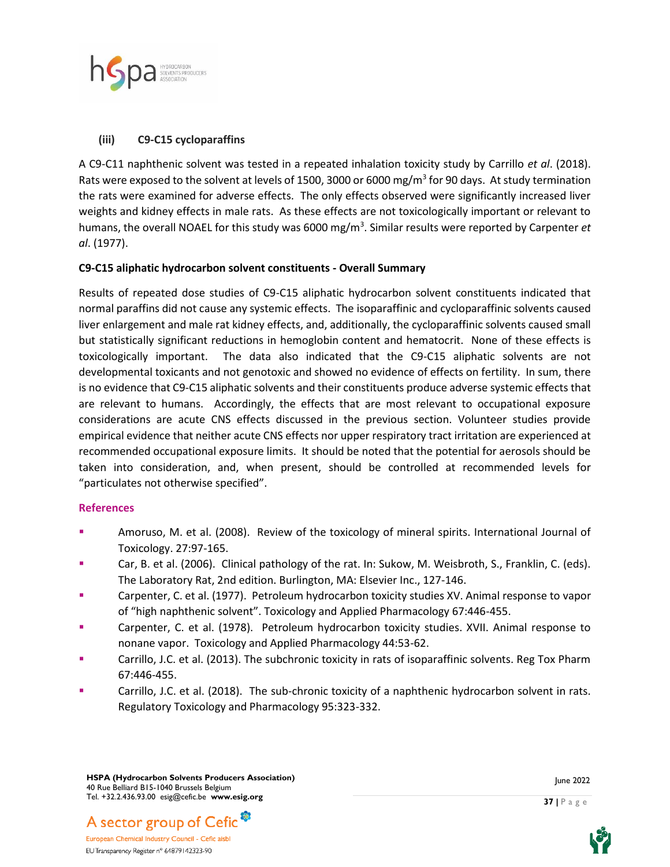

#### **(iii) C9-C15 cycloparaffins**

A C9-C11 naphthenic solvent was tested in a repeated inhalation toxicity study by Carrillo *et al*. (2018). Rats were exposed to the solvent at levels of 1500, 3000 or 6000 mg/m<sup>3</sup> for 90 days. At study termination the rats were examined for adverse effects. The only effects observed were significantly increased liver weights and kidney effects in male rats. As these effects are not toxicologically important or relevant to humans, the overall NOAEL for this study was 6000 mg/m<sup>3</sup> . Similar results were reported by Carpenter *et al*. (1977).

#### **C9-C15 aliphatic hydrocarbon solvent constituents - Overall Summary**

Results of repeated dose studies of C9-C15 aliphatic hydrocarbon solvent constituents indicated that normal paraffins did not cause any systemic effects. The isoparaffinic and cycloparaffinic solvents caused liver enlargement and male rat kidney effects, and, additionally, the cycloparaffinic solvents caused small but statistically significant reductions in hemoglobin content and hematocrit. None of these effects is toxicologically important. The data also indicated that the C9-C15 aliphatic solvents are not developmental toxicants and not genotoxic and showed no evidence of effects on fertility. In sum, there is no evidence that C9-C15 aliphatic solvents and their constituents produce adverse systemic effects that are relevant to humans. Accordingly, the effects that are most relevant to occupational exposure considerations are acute CNS effects discussed in the previous section. Volunteer studies provide empirical evidence that neither acute CNS effects nor upper respiratory tract irritation are experienced at recommended occupational exposure limits. It should be noted that the potential for aerosols should be taken into consideration, and, when present, should be controlled at recommended levels for "particulates not otherwise specified".

#### **References**

- Amoruso, M. et al. (2008). Review of the toxicology of mineral spirits. International Journal of Toxicology. 27:97-165.
- Car, B. et al. (2006). Clinical pathology of the rat. In: Sukow, M. Weisbroth, S., Franklin, C. (eds). The Laboratory Rat, 2nd edition. Burlington, MA: Elsevier Inc., 127-146.
- Carpenter, C. et al. (1977). Petroleum hydrocarbon toxicity studies XV. Animal response to vapor of "high naphthenic solvent". Toxicology and Applied Pharmacology 67:446-455.
- Carpenter, C. et al. (1978). Petroleum hydrocarbon toxicity studies. XVII. Animal response to nonane vapor. Toxicology and Applied Pharmacology 44:53-62.
- Carrillo, J.C. et al. (2013). The subchronic toxicity in rats of isoparaffinic solvents. Reg Tox Pharm 67:446-455.
- **EXECO THEOF CARRY CARRY CARRY CARRY CARRY CARRY CARRY CARRY CARRY CARRY CARRY CARRY CARRY CARRY CARRY CARRY CARRY CARRY CARRY CARRY CARRY CARRY CARRY CARRY CARRY CARRY CARRY CARRY CARRY CARRY CARRY CARRY CARRY CARRY CARRY** Regulatory Toxicology and Pharmacology 95:323-332.





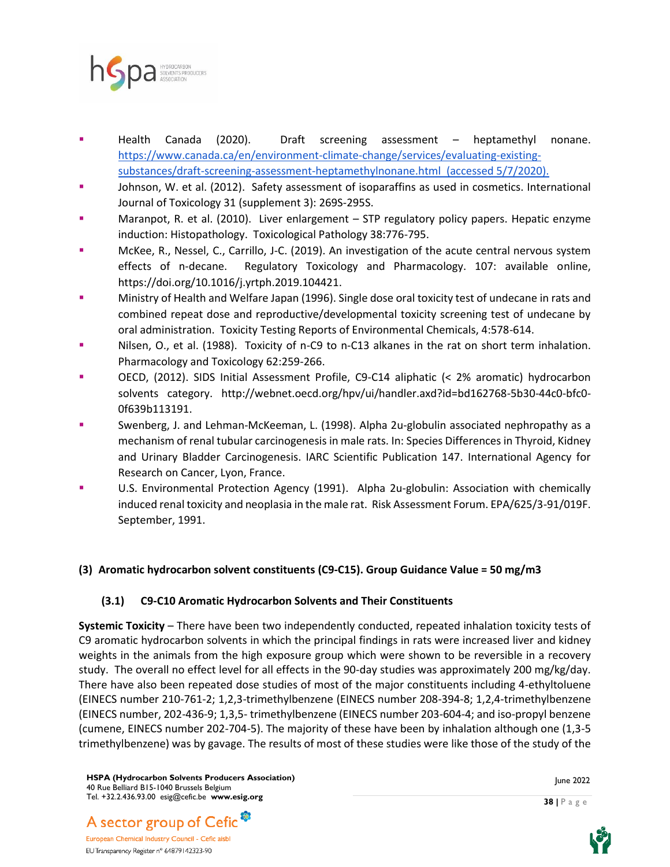

- Health Canada (2020). Draft screening assessment heptamethyl nonane. [https://www.canada.ca/en/environment-climate-change/services/evaluating-existing](about:blank)[substances/draft-screening-assessment-heptamethylnonane.html](about:blank) (accessed 5/7/2020).
- Johnson, W. et al. (2012). Safety assessment of isoparaffins as used in cosmetics. International Journal of Toxicology 31 (supplement 3): 269S-295S.
- Maranpot, R. et al. (2010). Liver enlargement STP regulatory policy papers. Hepatic enzyme induction: Histopathology. Toxicological Pathology 38:776-795.
- McKee, R., Nessel, C., Carrillo, J-C. (2019). An investigation of the acute central nervous system effects of n-decane. Regulatory Toxicology and Pharmacology. 107: available online, https://doi.org/10.1016/j.yrtph.2019.104421.
- Ministry of Health and Welfare Japan (1996). Single dose oral toxicity test of undecane in rats and combined repeat dose and reproductive/developmental toxicity screening test of undecane by oral administration. Toxicity Testing Reports of Environmental Chemicals, 4:578-614.
- Nilsen, O., et al. (1988). Toxicity of n-C9 to n-C13 alkanes in the rat on short term inhalation. Pharmacology and Toxicology 62:259-266.
- OECD, (2012). SIDS Initial Assessment Profile, C9-C14 aliphatic (< 2% aromatic) hydrocarbon solvents category. http://webnet.oecd.org/hpv/ui/handler.axd?id=bd162768-5b30-44c0-bfc0- 0f639b113191.
- Swenberg, J. and Lehman-McKeeman, L. (1998). Alpha 2u-globulin associated nephropathy as a mechanism of renal tubular carcinogenesis in male rats. In: Species Differences in Thyroid, Kidney and Urinary Bladder Carcinogenesis. IARC Scientific Publication 147. International Agency for Research on Cancer, Lyon, France.
- U.S. Environmental Protection Agency (1991). Alpha 2u-globulin: Association with chemically induced renal toxicity and neoplasia in the male rat. Risk Assessment Forum. EPA/625/3-91/019F. September, 1991.

## **(3) Aromatic hydrocarbon solvent constituents (C9-C15). Group Guidance Value = 50 mg/m3**

## **(3.1) C9-C10 Aromatic Hydrocarbon Solvents and Their Constituents**

**Systemic Toxicity** – There have been two independently conducted, repeated inhalation toxicity tests of C9 aromatic hydrocarbon solvents in which the principal findings in rats were increased liver and kidney weights in the animals from the high exposure group which were shown to be reversible in a recovery study. The overall no effect level for all effects in the 90-day studies was approximately 200 mg/kg/day. There have also been repeated dose studies of most of the major constituents including 4-ethyltoluene (EINECS number 210-761-2; 1,2,3-trimethylbenzene (EINECS number 208-394-8; 1,2,4-trimethylbenzene (EINECS number, 202-436-9; 1,3,5- trimethylbenzene (EINECS number 203-604-4; and iso-propyl benzene (cumene, EINECS number 202-704-5). The majority of these have been by inhalation although one (1,3-5 trimethylbenzene) was by gavage. The results of most of these studies were like those of the study of the

**HSPA (Hydrocarbon Solvents Producers Association)** 40 Rue Belliard B15-1040 Brussels Belgium Tel. +32.2.436.93.00 esig@cefic.be **www.esig.org**

June 2022

**38 |** P a g e



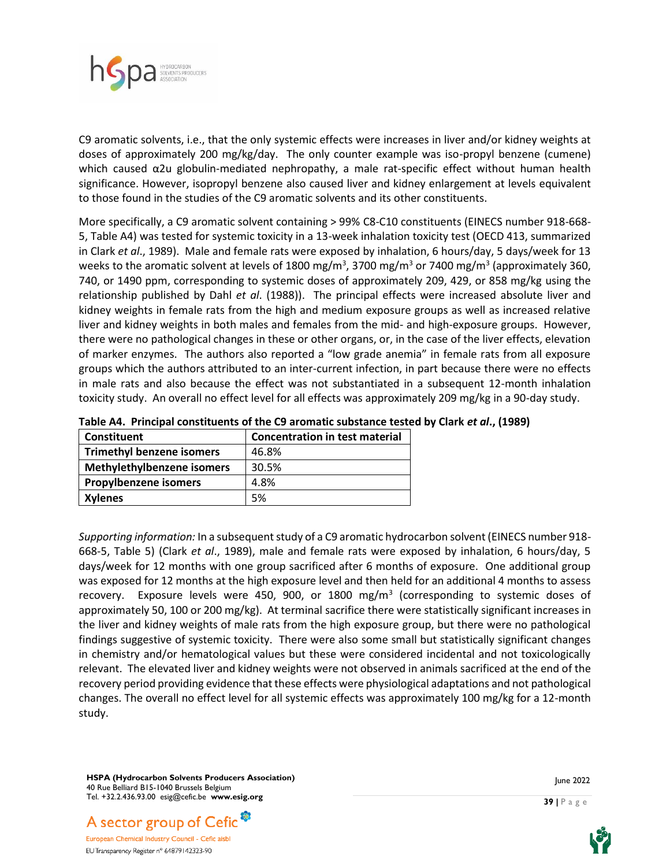

C9 aromatic solvents, i.e., that the only systemic effects were increases in liver and/or kidney weights at doses of approximately 200 mg/kg/day. The only counter example was iso-propyl benzene (cumene) which caused α2u globulin-mediated nephropathy, a male rat-specific effect without human health significance. However, isopropyl benzene also caused liver and kidney enlargement at levels equivalent to those found in the studies of the C9 aromatic solvents and its other constituents.

More specifically, a C9 aromatic solvent containing > 99% C8-C10 constituents (EINECS number 918-668- 5, Table A4) was tested for systemic toxicity in a 13-week inhalation toxicity test (OECD 413, summarized in Clark *et al*., 1989). Male and female rats were exposed by inhalation, 6 hours/day, 5 days/week for 13 weeks to the aromatic solvent at levels of 1800 mg/m<sup>3</sup>, 3700 mg/m<sup>3</sup> or 7400 mg/m<sup>3</sup> (approximately 360, 740, or 1490 ppm, corresponding to systemic doses of approximately 209, 429, or 858 mg/kg using the relationship published by Dahl *et al*. (1988)). The principal effects were increased absolute liver and kidney weights in female rats from the high and medium exposure groups as well as increased relative liver and kidney weights in both males and females from the mid- and high-exposure groups. However, there were no pathological changes in these or other organs, or, in the case of the liver effects, elevation of marker enzymes. The authors also reported a "low grade anemia" in female rats from all exposure groups which the authors attributed to an inter-current infection, in part because there were no effects in male rats and also because the effect was not substantiated in a subsequent 12-month inhalation toxicity study. An overall no effect level for all effects was approximately 209 mg/kg in a 90-day study.

| <b>Constituent</b>               | <b>Concentration in test material</b> |
|----------------------------------|---------------------------------------|
| <b>Trimethyl benzene isomers</b> | 46.8%                                 |
| Methylethylbenzene isomers       | 30.5%                                 |
| <b>Propylbenzene isomers</b>     | 4.8%                                  |
| <b>Xylenes</b>                   | 5%                                    |

|  |  | Table A4. Principal constituents of the C9 aromatic substance tested by Clark et al., (1989) |  |  |  |  |  |  |
|--|--|----------------------------------------------------------------------------------------------|--|--|--|--|--|--|
|--|--|----------------------------------------------------------------------------------------------|--|--|--|--|--|--|

*Supporting information:* In a subsequent study of a C9 aromatic hydrocarbon solvent (EINECS number 918- 668-5, Table 5) (Clark *et al*., 1989), male and female rats were exposed by inhalation, 6 hours/day, 5 days/week for 12 months with one group sacrificed after 6 months of exposure. One additional group was exposed for 12 months at the high exposure level and then held for an additional 4 months to assess recovery. Exposure levels were 450, 900, or 1800 mg/m<sup>3</sup> (corresponding to systemic doses of approximately 50, 100 or 200 mg/kg). At terminal sacrifice there were statistically significant increases in the liver and kidney weights of male rats from the high exposure group, but there were no pathological findings suggestive of systemic toxicity. There were also some small but statistically significant changes in chemistry and/or hematological values but these were considered incidental and not toxicologically relevant. The elevated liver and kidney weights were not observed in animals sacrificed at the end of the recovery period providing evidence that these effects were physiological adaptations and not pathological changes. The overall no effect level for all systemic effects was approximately 100 mg/kg for a 12-month study.

**HSPA (Hydrocarbon Solvents Producers Association)** 40 Rue Belliard B15-1040 Brussels Belgium Tel. +32.2.436.93.00 esig@cefic.be **www.esig.org**



June 2022

**39 |** P a g e

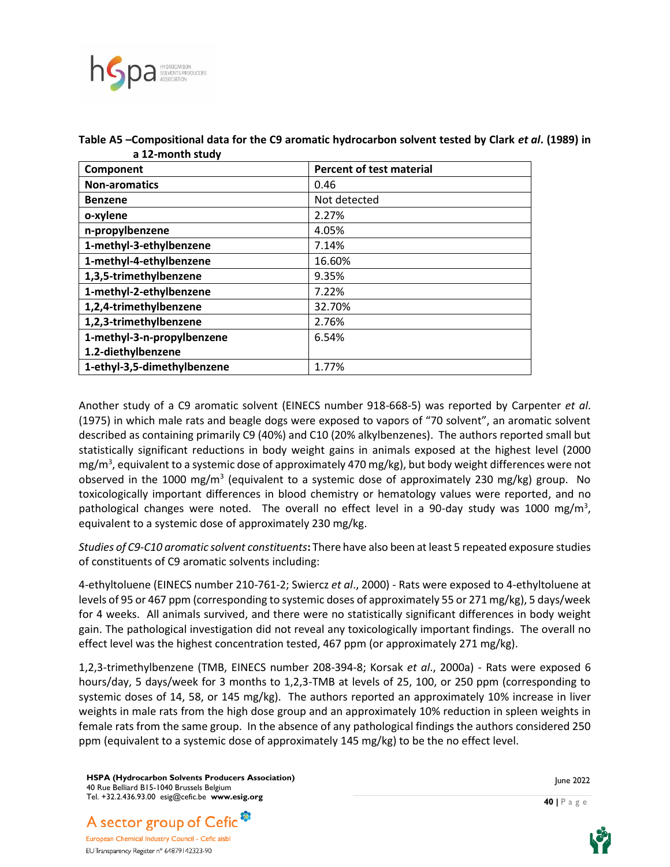

| Component                   | <b>Percent of test material</b> |  |  |
|-----------------------------|---------------------------------|--|--|
| <b>Non-aromatics</b>        | 0.46                            |  |  |
| <b>Benzene</b>              | Not detected                    |  |  |
| o-xylene                    | 2.27%                           |  |  |
| n-propylbenzene             | 4.05%                           |  |  |
| 1-methyl-3-ethylbenzene     | 7.14%                           |  |  |
| 1-methyl-4-ethylbenzene     | 16.60%                          |  |  |
| 1,3,5-trimethylbenzene      | 9.35%                           |  |  |
| 1-methyl-2-ethylbenzene     | 7.22%                           |  |  |
| 1,2,4-trimethylbenzene      | 32.70%                          |  |  |
| 1,2,3-trimethylbenzene      | 2.76%                           |  |  |
| 1-methyl-3-n-propylbenzene  | 6.54%                           |  |  |
| 1.2-diethylbenzene          |                                 |  |  |
| 1-ethyl-3,5-dimethylbenzene | 1.77%                           |  |  |

Table A5 –Compositional data for the C9 aromatic hydrocarbon solvent tested by Clark *et al*. (1989) in **a 12-month study**

Another study of a C9 aromatic solvent (EINECS number 918-668-5) was reported by Carpenter *et al*. (1975) in which male rats and beagle dogs were exposed to vapors of "70 solvent", an aromatic solvent described as containing primarily C9 (40%) and C10 (20% alkylbenzenes). The authors reported small but statistically significant reductions in body weight gains in animals exposed at the highest level (2000 mg/m<sup>3</sup>, equivalent to a systemic dose of approximately 470 mg/kg), but body weight differences were not observed in the 1000 mg/m<sup>3</sup> (equivalent to a systemic dose of approximately 230 mg/kg) group. No toxicologically important differences in blood chemistry or hematology values were reported, and no pathological changes were noted. The overall no effect level in a 90-day study was 1000 mg/m<sup>3</sup>, equivalent to a systemic dose of approximately 230 mg/kg.

*Studies of C9-C10 aromatic solvent constituents***:** There have also been at least 5 repeated exposure studies of constituents of C9 aromatic solvents including:

4-ethyltoluene (EINECS number 210-761-2; Swiercz *et al*., 2000) - Rats were exposed to 4-ethyltoluene at levels of 95 or 467 ppm (corresponding to systemic doses of approximately 55 or 271 mg/kg), 5 days/week for 4 weeks. All animals survived, and there were no statistically significant differences in body weight gain. The pathological investigation did not reveal any toxicologically important findings. The overall no effect level was the highest concentration tested, 467 ppm (or approximately 271 mg/kg).

1,2,3-trimethylbenzene (TMB, EINECS number 208-394-8; Korsak *et al*., 2000a) - Rats were exposed 6 hours/day, 5 days/week for 3 months to 1,2,3-TMB at levels of 25, 100, or 250 ppm (corresponding to systemic doses of 14, 58, or 145 mg/kg). The authors reported an approximately 10% increase in liver weights in male rats from the high dose group and an approximately 10% reduction in spleen weights in female rats from the same group. In the absence of any pathological findings the authors considered 250 ppm (equivalent to a systemic dose of approximately 145 mg/kg) to be the no effect level.

**HSPA (Hydrocarbon Solvents Producers Association)** 40 Rue Belliard B15-1040 Brussels Belgium Tel. +32.2.436.93.00 esig@cefic.be **www.esig.org**

A sector group of Cefic<sup>®</sup> European Chemical Industry Council - Cefic aisbl EU Transparency Register n° 64879142323-90



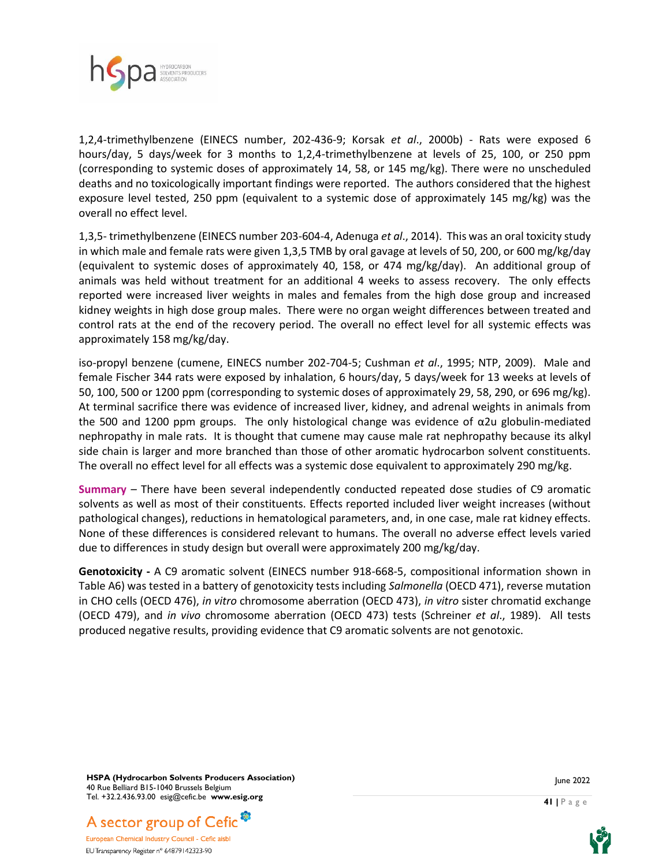

1,2,4-trimethylbenzene (EINECS number, 202-436-9; Korsak *et al*., 2000b) - Rats were exposed 6 hours/day, 5 days/week for 3 months to 1,2,4-trimethylbenzene at levels of 25, 100, or 250 ppm (corresponding to systemic doses of approximately 14, 58, or 145 mg/kg). There were no unscheduled deaths and no toxicologically important findings were reported. The authors considered that the highest exposure level tested, 250 ppm (equivalent to a systemic dose of approximately 145 mg/kg) was the overall no effect level.

1,3,5- trimethylbenzene (EINECS number 203-604-4, Adenuga *et al*., 2014). This was an oral toxicity study in which male and female rats were given 1,3,5 TMB by oral gavage at levels of 50, 200, or 600 mg/kg/day (equivalent to systemic doses of approximately 40, 158, or 474 mg/kg/day). An additional group of animals was held without treatment for an additional 4 weeks to assess recovery. The only effects reported were increased liver weights in males and females from the high dose group and increased kidney weights in high dose group males. There were no organ weight differences between treated and control rats at the end of the recovery period. The overall no effect level for all systemic effects was approximately 158 mg/kg/day.

iso-propyl benzene (cumene, EINECS number 202-704-5; Cushman *et al*., 1995; NTP, 2009). Male and female Fischer 344 rats were exposed by inhalation, 6 hours/day, 5 days/week for 13 weeks at levels of 50, 100, 500 or 1200 ppm (corresponding to systemic doses of approximately 29, 58, 290, or 696 mg/kg). At terminal sacrifice there was evidence of increased liver, kidney, and adrenal weights in animals from the 500 and 1200 ppm groups. The only histological change was evidence of  $\alpha$ 2u globulin-mediated nephropathy in male rats. It is thought that cumene may cause male rat nephropathy because its alkyl side chain is larger and more branched than those of other aromatic hydrocarbon solvent constituents. The overall no effect level for all effects was a systemic dose equivalent to approximately 290 mg/kg.

**Summary** *–* There have been several independently conducted repeated dose studies of C9 aromatic solvents as well as most of their constituents. Effects reported included liver weight increases (without pathological changes), reductions in hematological parameters, and, in one case, male rat kidney effects. None of these differences is considered relevant to humans. The overall no adverse effect levels varied due to differences in study design but overall were approximately 200 mg/kg/day.

**Genotoxicity -** A C9 aromatic solvent (EINECS number 918-668-5, compositional information shown in Table A6) was tested in a battery of genotoxicity tests including *Salmonella* (OECD 471), reverse mutation in CHO cells (OECD 476), *in vitro* chromosome aberration (OECD 473), *in vitro* sister chromatid exchange (OECD 479), and *in vivo* chromosome aberration (OECD 473) tests (Schreiner *et al*., 1989). All tests produced negative results, providing evidence that C9 aromatic solvents are not genotoxic.

**HSPA (Hydrocarbon Solvents Producers Association)** 40 Rue Belliard B15-1040 Brussels Belgium Tel. +32.2.436.93.00 esig@cefic.be **www.esig.org**



European Chemical Industry Council - Cefic aisbl EU Transparency Register n° 64879142323-90



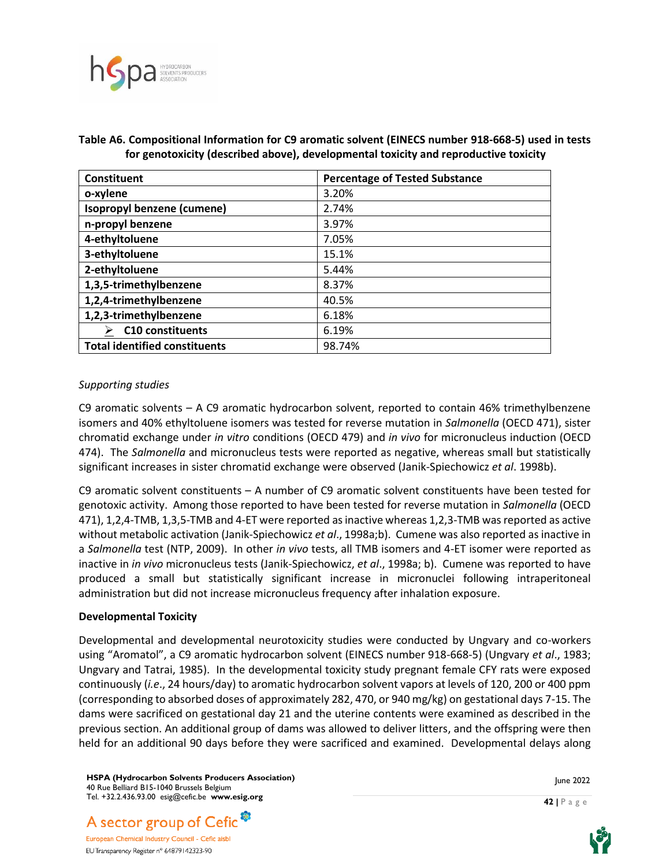

| Constituent                          | <b>Percentage of Tested Substance</b> |  |  |  |  |
|--------------------------------------|---------------------------------------|--|--|--|--|
| o-xylene                             | 3.20%                                 |  |  |  |  |
| Isopropyl benzene (cumene)           | 2.74%                                 |  |  |  |  |
| n-propyl benzene                     | 3.97%                                 |  |  |  |  |
| 4-ethyltoluene                       | 7.05%                                 |  |  |  |  |
| 3-ethyltoluene                       | 15.1%                                 |  |  |  |  |
| 2-ethyltoluene                       | 5.44%                                 |  |  |  |  |
| 1,3,5-trimethylbenzene               | 8.37%                                 |  |  |  |  |
| 1,2,4-trimethylbenzene               | 40.5%                                 |  |  |  |  |
| 1,2,3-trimethylbenzene               | 6.18%                                 |  |  |  |  |
| $\triangleright$ C10 constituents    | 6.19%                                 |  |  |  |  |
| <b>Total identified constituents</b> | 98.74%                                |  |  |  |  |

#### **Table A6. Compositional Information for C9 aromatic solvent (EINECS number 918-668-5) used in tests for genotoxicity (described above), developmental toxicity and reproductive toxicity**

#### *Supporting studies*

C9 aromatic solvents – A C9 aromatic hydrocarbon solvent, reported to contain 46% trimethylbenzene isomers and 40% ethyltoluene isomers was tested for reverse mutation in *Salmonella* (OECD 471), sister chromatid exchange under *in vitro* conditions (OECD 479) and *in vivo* for micronucleus induction (OECD 474). The *Salmonella* and micronucleus tests were reported as negative, whereas small but statistically significant increases in sister chromatid exchange were observed (Janik-Spiechowicz *et al*. 1998b).

C9 aromatic solvent constituents – A number of C9 aromatic solvent constituents have been tested for genotoxic activity. Among those reported to have been tested for reverse mutation in *Salmonella* (OECD 471), 1,2,4-TMB, 1,3,5-TMB and 4-ET were reported as inactive whereas 1,2,3-TMB was reported as active without metabolic activation (Janik-Spiechowicz *et al*., 1998a;b). Cumene was also reported as inactive in a *Salmonella* test (NTP, 2009). In other *in vivo* tests, all TMB isomers and 4-ET isomer were reported as inactive in *in vivo* micronucleus tests (Janik-Spiechowicz, *et al*., 1998a; b). Cumene was reported to have produced a small but statistically significant increase in micronuclei following intraperitoneal administration but did not increase micronucleus frequency after inhalation exposure.

#### **Developmental Toxicity**

Developmental and developmental neurotoxicity studies were conducted by Ungvary and co-workers using "Aromatol", a C9 aromatic hydrocarbon solvent (EINECS number 918-668-5) (Ungvary *et al*., 1983; Ungvary and Tatrai, 1985). In the developmental toxicity study pregnant female CFY rats were exposed continuously (*i.e*., 24 hours/day) to aromatic hydrocarbon solvent vapors at levels of 120, 200 or 400 ppm (corresponding to absorbed doses of approximately 282, 470, or 940 mg/kg) on gestational days 7-15. The dams were sacrificed on gestational day 21 and the uterine contents were examined as described in the previous section. An additional group of dams was allowed to deliver litters, and the offspring were then held for an additional 90 days before they were sacrificed and examined. Developmental delays along

**HSPA (Hydrocarbon Solvents Producers Association)** 40 Rue Belliard B15-1040 Brussels Belgium Tel. +32.2.436.93.00 esig@cefic.be **www.esig.org**

June 2022

**42 |** P a g e



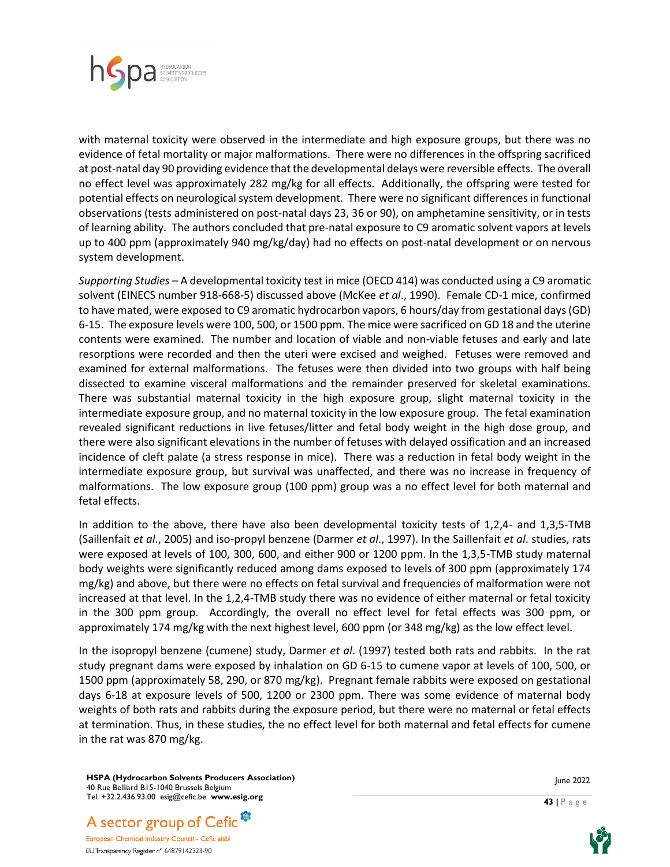

with maternal toxicity were observed in the intermediate and high exposure groups, but there was no evidence of fetal mortality or major malformations. There were no differences in the offspring sacrificed at post-natal day 90 providing evidence that the developmental delays were reversible effects. The overall no effect level was approximately 282 mg/kg for all effects. Additionally, the offspring were tested for potential effects on neurological system development. There were no significant differences in functional observations (tests administered on post-natal days 23, 36 or 90), on amphetamine sensitivity, or in tests of learning ability. The authors concluded that pre-natal exposure to C9 aromatic solvent vapors at levels up to 400 ppm (approximately 940 mg/kg/day) had no effects on post-natal development or on nervous system development.

*Supporting Studies –* A developmental toxicity test in mice (OECD 414) was conducted using a C9 aromatic solvent (EINECS number 918-668-5) discussed above (McKee *et al*., 1990). Female CD-1 mice, confirmed to have mated, were exposed to C9 aromatic hydrocarbon vapors, 6 hours/day from gestational days (GD) 6-15. The exposure levels were 100, 500, or 1500 ppm. The mice were sacrificed on GD 18 and the uterine contents were examined. The number and location of viable and non-viable fetuses and early and late resorptions were recorded and then the uteri were excised and weighed. Fetuses were removed and examined for external malformations. The fetuses were then divided into two groups with half being dissected to examine visceral malformations and the remainder preserved for skeletal examinations. There was substantial maternal toxicity in the high exposure group, slight maternal toxicity in the intermediate exposure group, and no maternal toxicity in the low exposure group. The fetal examination revealed significant reductions in live fetuses/litter and fetal body weight in the high dose group, and there were also significant elevations in the number of fetuses with delayed ossification and an increased incidence of cleft palate (a stress response in mice). There was a reduction in fetal body weight in the intermediate exposure group, but survival was unaffected, and there was no increase in frequency of malformations. The low exposure group (100 ppm) group was a no effect level for both maternal and fetal effects.

In addition to the above, there have also been developmental toxicity tests of 1,2,4- and 1,3,5-TMB (Saillenfait *et al*., 2005) and iso-propyl benzene (Darmer *et al*., 1997). In the Saillenfait *et al*. studies, rats were exposed at levels of 100, 300, 600, and either 900 or 1200 ppm. In the 1,3,5-TMB study maternal body weights were significantly reduced among dams exposed to levels of 300 ppm (approximately 174 mg/kg) and above, but there were no effects on fetal survival and frequencies of malformation were not increased at that level. In the 1,2,4-TMB study there was no evidence of either maternal or fetal toxicity in the 300 ppm group. Accordingly, the overall no effect level for fetal effects was 300 ppm, or approximately 174 mg/kg with the next highest level, 600 ppm (or 348 mg/kg) as the low effect level.

In the isopropyl benzene (cumene) study, Darmer *et al*. (1997) tested both rats and rabbits. In the rat study pregnant dams were exposed by inhalation on GD 6-15 to cumene vapor at levels of 100, 500, or 1500 ppm (approximately 58, 290, or 870 mg/kg). Pregnant female rabbits were exposed on gestational days 6-18 at exposure levels of 500, 1200 or 2300 ppm. There was some evidence of maternal body weights of both rats and rabbits during the exposure period, but there were no maternal or fetal effects at termination. Thus, in these studies, the no effect level for both maternal and fetal effects for cumene in the rat was 870 mg/kg.

**HSPA (Hydrocarbon Solvents Producers Association)** 40 Rue Belliard B15-1040 Brussels Belgium Tel. +32.2.436.93.00 esig@cefic.be **www.esig.org**

A sector group of Cefic<sup>®</sup> European Chemical Industry Council - Cefic aisbl EU Transparency Register n° 64879142323-90

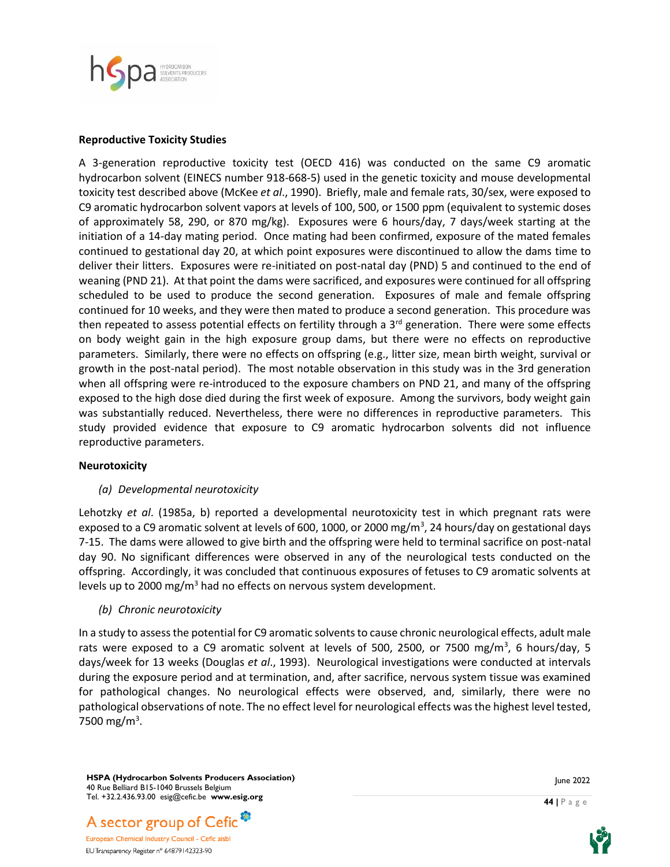

#### **Reproductive Toxicity Studies**

A 3-generation reproductive toxicity test (OECD 416) was conducted on the same C9 aromatic hydrocarbon solvent (EINECS number 918-668-5) used in the genetic toxicity and mouse developmental toxicity test described above (McKee *et al*., 1990). Briefly, male and female rats, 30/sex, were exposed to C9 aromatic hydrocarbon solvent vapors at levels of 100, 500, or 1500 ppm (equivalent to systemic doses of approximately 58, 290, or 870 mg/kg). Exposures were 6 hours/day, 7 days/week starting at the initiation of a 14-day mating period. Once mating had been confirmed, exposure of the mated females continued to gestational day 20, at which point exposures were discontinued to allow the dams time to deliver their litters. Exposures were re-initiated on post-natal day (PND) 5 and continued to the end of weaning (PND 21). At that point the dams were sacrificed, and exposures were continued for all offspring scheduled to be used to produce the second generation. Exposures of male and female offspring continued for 10 weeks, and they were then mated to produce a second generation. This procedure was then repeated to assess potential effects on fertility through a 3<sup>rd</sup> generation. There were some effects on body weight gain in the high exposure group dams, but there were no effects on reproductive parameters. Similarly, there were no effects on offspring (e.g., litter size, mean birth weight, survival or growth in the post-natal period). The most notable observation in this study was in the 3rd generation when all offspring were re-introduced to the exposure chambers on PND 21, and many of the offspring exposed to the high dose died during the first week of exposure. Among the survivors, body weight gain was substantially reduced. Nevertheless, there were no differences in reproductive parameters. This study provided evidence that exposure to C9 aromatic hydrocarbon solvents did not influence reproductive parameters.

#### **Neurotoxicity**

#### *(a) Developmental neurotoxicity*

Lehotzky *et al*. (1985a, b) reported a developmental neurotoxicity test in which pregnant rats were exposed to a C9 aromatic solvent at levels of 600, 1000, or 2000 mg/m<sup>3</sup>, 24 hours/day on gestational days 7-15. The dams were allowed to give birth and the offspring were held to terminal sacrifice on post-natal day 90. No significant differences were observed in any of the neurological tests conducted on the offspring. Accordingly, it was concluded that continuous exposures of fetuses to C9 aromatic solvents at levels up to 2000 mg/m<sup>3</sup> had no effects on nervous system development.

*(b) Chronic neurotoxicity*

In a study to assess the potential for C9 aromatic solvents to cause chronic neurological effects, adult male rats were exposed to a C9 aromatic solvent at levels of 500, 2500, or 7500 mg/m<sup>3</sup>, 6 hours/day, 5 days/week for 13 weeks (Douglas *et al*., 1993). Neurological investigations were conducted at intervals during the exposure period and at termination, and, after sacrifice, nervous system tissue was examined for pathological changes. No neurological effects were observed, and, similarly, there were no pathological observations of note. The no effect level for neurological effects was the highest level tested, 7500 mg/m<sup>3</sup>.

**HSPA (Hydrocarbon Solvents Producers Association)** 40 Rue Belliard B15-1040 Brussels Belgium Tel. +32.2.436.93.00 esig@cefic.be **www.esig.org**

A sector group of Cefic<sup>®</sup> European Chemical Industry Council - Cefic aisbl

EU Transparency Register n° 64879142323-90



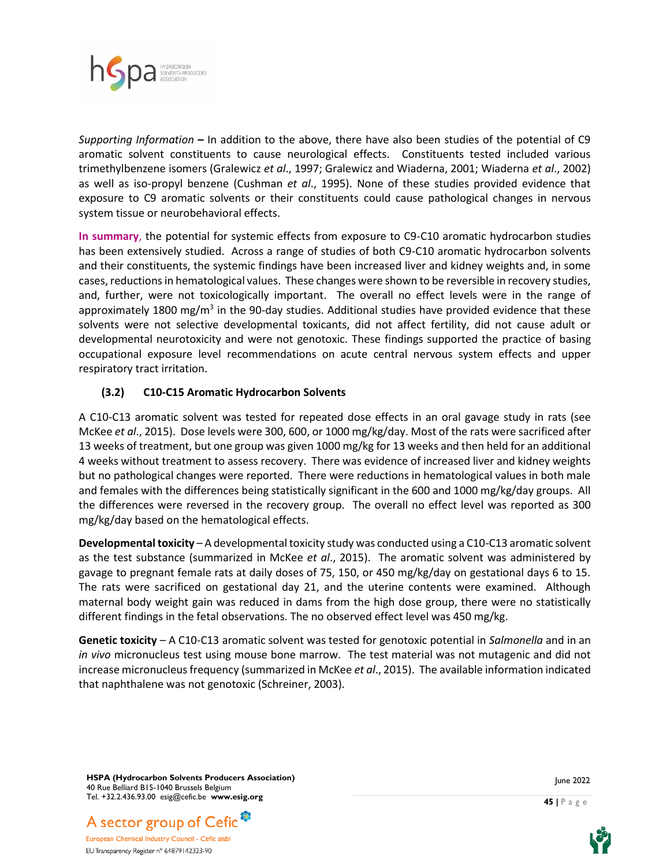

*Supporting Information* **–** In addition to the above, there have also been studies of the potential of C9 aromatic solvent constituents to cause neurological effects. Constituents tested included various trimethylbenzene isomers (Gralewicz *et al*., 1997; Gralewicz and Wiaderna, 2001; Wiaderna *et al*., 2002) as well as iso-propyl benzene (Cushman *et al*., 1995). None of these studies provided evidence that exposure to C9 aromatic solvents or their constituents could cause pathological changes in nervous system tissue or neurobehavioral effects.

**In summary**, the potential for systemic effects from exposure to C9-C10 aromatic hydrocarbon studies has been extensively studied. Across a range of studies of both C9-C10 aromatic hydrocarbon solvents and their constituents, the systemic findings have been increased liver and kidney weights and, in some cases, reductions in hematological values. These changes were shown to be reversible in recovery studies, and, further, were not toxicologically important. The overall no effect levels were in the range of approximately 1800 mg/m<sup>3</sup> in the 90-day studies. Additional studies have provided evidence that these solvents were not selective developmental toxicants, did not affect fertility, did not cause adult or developmental neurotoxicity and were not genotoxic. These findings supported the practice of basing occupational exposure level recommendations on acute central nervous system effects and upper respiratory tract irritation.

## **(3.2) C10-C15 Aromatic Hydrocarbon Solvents**

A C10-C13 aromatic solvent was tested for repeated dose effects in an oral gavage study in rats (see McKee *et al*., 2015). Dose levels were 300, 600, or 1000 mg/kg/day. Most of the rats were sacrificed after 13 weeks of treatment, but one group was given 1000 mg/kg for 13 weeks and then held for an additional 4 weeks without treatment to assess recovery. There was evidence of increased liver and kidney weights but no pathological changes were reported. There were reductions in hematological values in both male and females with the differences being statistically significant in the 600 and 1000 mg/kg/day groups. All the differences were reversed in the recovery group. The overall no effect level was reported as 300 mg/kg/day based on the hematological effects.

**Developmental toxicity** – A developmental toxicity study was conducted using a C10-C13 aromatic solvent as the test substance (summarized in McKee *et al*., 2015). The aromatic solvent was administered by gavage to pregnant female rats at daily doses of 75, 150, or 450 mg/kg/day on gestational days 6 to 15. The rats were sacrificed on gestational day 21, and the uterine contents were examined. Although maternal body weight gain was reduced in dams from the high dose group, there were no statistically different findings in the fetal observations. The no observed effect level was 450 mg/kg.

**Genetic toxicity** – A C10-C13 aromatic solvent was tested for genotoxic potential in *Salmonella* and in an *in vivo* micronucleus test using mouse bone marrow. The test material was not mutagenic and did not increase micronucleus frequency (summarized in McKee *et al*., 2015). The available information indicated that naphthalene was not genotoxic (Schreiner, 2003).

**HSPA (Hydrocarbon Solvents Producers Association)** 40 Rue Belliard B15-1040 Brussels Belgium Tel. +32.2.436.93.00 esig@cefic.be **www.esig.org**



European Chemical Industry Council - Cefic aisbl EU Transparency Register n° 64879142323-90



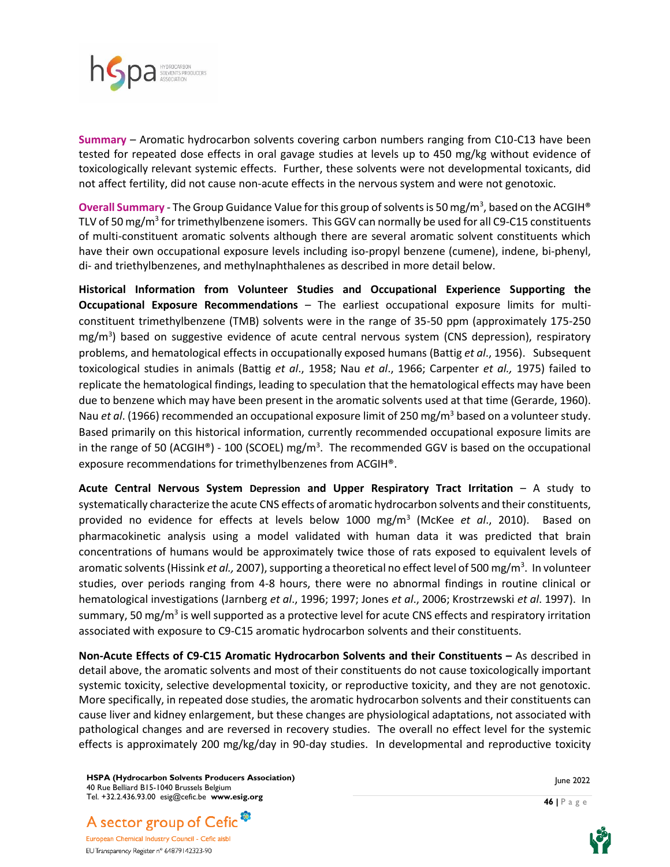

**Summary** – Aromatic hydrocarbon solvents covering carbon numbers ranging from C10-C13 have been tested for repeated dose effects in oral gavage studies at levels up to 450 mg/kg without evidence of toxicologically relevant systemic effects. Further, these solvents were not developmental toxicants, did not affect fertility, did not cause non-acute effects in the nervous system and were not genotoxic.

Overall Summary - The Group Guidance Value for this group of solvents is 50 mg/m<sup>3</sup>, based on the ACGIH® TLV of 50 mg/m<sup>3</sup> for trimethylbenzene isomers. This GGV can normally be used for all C9-C15 constituents of multi-constituent aromatic solvents although there are several aromatic solvent constituents which have their own occupational exposure levels including iso-propyl benzene (cumene), indene, bi-phenyl, di- and triethylbenzenes, and methylnaphthalenes as described in more detail below.

**Historical Information from Volunteer Studies and Occupational Experience Supporting the Occupational Exposure Recommendations** – The earliest occupational exposure limits for multiconstituent trimethylbenzene (TMB) solvents were in the range of 35-50 ppm (approximately 175-250 mg/m<sup>3</sup>) based on suggestive evidence of acute central nervous system (CNS depression), respiratory problems, and hematological effects in occupationally exposed humans (Battig *et al*., 1956). Subsequent toxicological studies in animals (Battig *et al*., 1958; Nau *et al*., 1966; Carpenter *et al.,* 1975) failed to replicate the hematological findings, leading to speculation that the hematological effects may have been due to benzene which may have been present in the aromatic solvents used at that time (Gerarde, 1960). Nau *et al*. (1966) recommended an occupational exposure limit of 250 mg/m<sup>3</sup> based on a volunteer study. Based primarily on this historical information, currently recommended occupational exposure limits are in the range of 50 (ACGIH®) - 100 (SCOEL) mg/m<sup>3</sup>. The recommended GGV is based on the occupational exposure recommendations for trimethylbenzenes from ACGIH®.

**Acute Central Nervous System Depression and Upper Respiratory Tract Irritation** – A study to systematically characterize the acute CNS effects of aromatic hydrocarbon solvents and their constituents, provided no evidence for effects at levels below 1000 mg/m<sup>3</sup> (McKee *et al*., 2010). Based on pharmacokinetic analysis using a model validated with human data it was predicted that brain concentrations of humans would be approximately twice those of rats exposed to equivalent levels of aromatic solvents (Hissink *et al.,* 2007), supporting a theoretical no effect level of 500 mg/m<sup>3</sup>. In volunteer studies, over periods ranging from 4-8 hours, there were no abnormal findings in routine clinical or hematological investigations (Jarnberg *et al*., 1996; 1997; Jones *et al*., 2006; Krostrzewski *et al*. 1997). In summary, 50 mg/m<sup>3</sup> is well supported as a protective level for acute CNS effects and respiratory irritation associated with exposure to C9-C15 aromatic hydrocarbon solvents and their constituents.

**Non-Acute Effects of C9-C15 Aromatic Hydrocarbon Solvents and their Constituents –** As described in detail above, the aromatic solvents and most of their constituents do not cause toxicologically important systemic toxicity, selective developmental toxicity, or reproductive toxicity, and they are not genotoxic. More specifically, in repeated dose studies, the aromatic hydrocarbon solvents and their constituents can cause liver and kidney enlargement, but these changes are physiological adaptations, not associated with pathological changes and are reversed in recovery studies. The overall no effect level for the systemic effects is approximately 200 mg/kg/day in 90-day studies. In developmental and reproductive toxicity

**HSPA (Hydrocarbon Solvents Producers Association)** 40 Rue Belliard B15-1040 Brussels Belgium Tel. +32.2.436.93.00 esig@cefic.be **www.esig.org**

June 2022

**46 |** P a g e



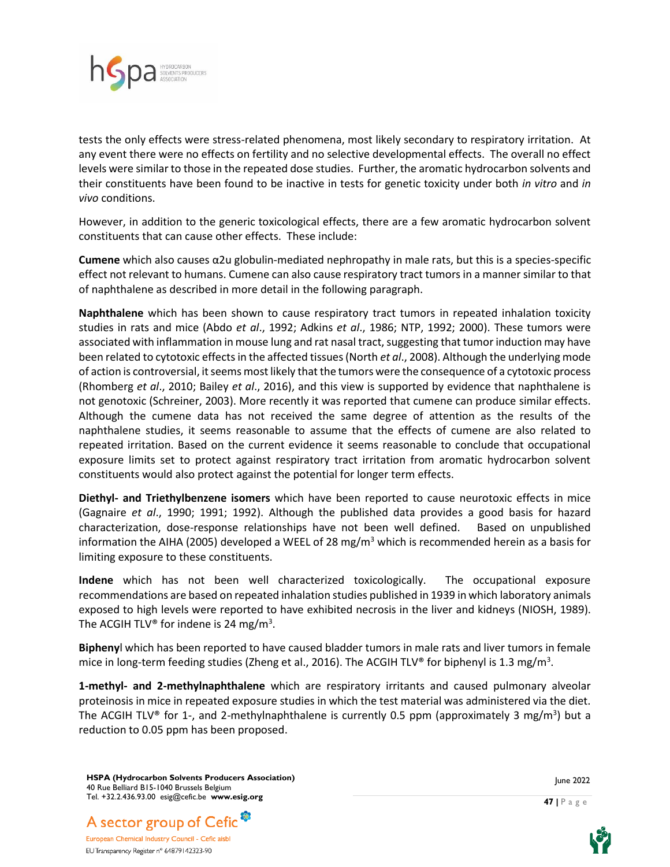

tests the only effects were stress-related phenomena, most likely secondary to respiratory irritation. At any event there were no effects on fertility and no selective developmental effects. The overall no effect levels were similar to those in the repeated dose studies. Further, the aromatic hydrocarbon solvents and their constituents have been found to be inactive in tests for genetic toxicity under both *in vitro* and *in vivo* conditions.

However, in addition to the generic toxicological effects, there are a few aromatic hydrocarbon solvent constituents that can cause other effects. These include:

**Cumene** which also causes α2u globulin-mediated nephropathy in male rats, but this is a species-specific effect not relevant to humans. Cumene can also cause respiratory tract tumors in a manner similar to that of naphthalene as described in more detail in the following paragraph.

**Naphthalene** which has been shown to cause respiratory tract tumors in repeated inhalation toxicity studies in rats and mice (Abdo *et al*., 1992; Adkins *et al*., 1986; NTP, 1992; 2000). These tumors were associated with inflammation in mouse lung and rat nasal tract, suggesting that tumor induction may have been related to cytotoxic effects in the affected tissues (North *et al*., 2008). Although the underlying mode of action is controversial, it seems most likely that the tumors were the consequence of a cytotoxic process (Rhomberg *et al*., 2010; Bailey *et al*., 2016), and this view is supported by evidence that naphthalene is not genotoxic (Schreiner, 2003). More recently it was reported that cumene can produce similar effects. Although the cumene data has not received the same degree of attention as the results of the naphthalene studies, it seems reasonable to assume that the effects of cumene are also related to repeated irritation. Based on the current evidence it seems reasonable to conclude that occupational exposure limits set to protect against respiratory tract irritation from aromatic hydrocarbon solvent constituents would also protect against the potential for longer term effects.

**Diethyl- and Triethylbenzene isomers** which have been reported to cause neurotoxic effects in mice (Gagnaire *et al*., 1990; 1991; 1992). Although the published data provides a good basis for hazard characterization, dose-response relationships have not been well defined. Based on unpublished information the AIHA (2005) developed a WEEL of 28 mg/m<sup>3</sup> which is recommended herein as a basis for limiting exposure to these constituents.

**Indene** which has not been well characterized toxicologically. The occupational exposure recommendations are based on repeated inhalation studies published in 1939 in which laboratory animals exposed to high levels were reported to have exhibited necrosis in the liver and kidneys (NIOSH, 1989). The ACGIH TLV® for indene is 24 mg/m<sup>3</sup>.

**Bipheny**l which has been reported to have caused bladder tumors in male rats and liver tumors in female mice in long-term feeding studies (Zheng et al., 2016). The ACGIH TLV® for biphenyl is 1.3 mg/m<sup>3</sup>.

**1-methyl- and 2-methylnaphthalene** which are respiratory irritants and caused pulmonary alveolar proteinosis in mice in repeated exposure studies in which the test material was administered via the diet. The ACGIH TLV® for 1-, and 2-methylnaphthalene is currently 0.5 ppm (approximately 3 mg/m<sup>3</sup>) but a reduction to 0.05 ppm has been proposed.

**HSPA (Hydrocarbon Solvents Producers Association)** 40 Rue Belliard B15-1040 Brussels Belgium Tel. +32.2.436.93.00 esig@cefic.be **www.esig.org**



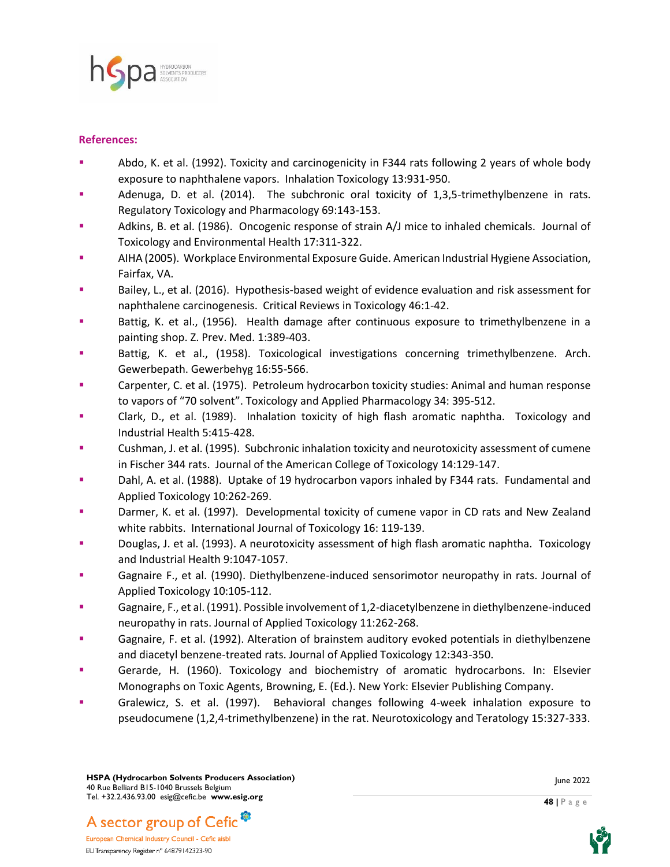

#### **References:**

- Abdo, K. et al. (1992). Toxicity and carcinogenicity in F344 rats following 2 years of whole body exposure to naphthalene vapors. Inhalation Toxicology 13:931-950.
- Adenuga, D. et al.  $(2014)$ . The subchronic oral toxicity of 1,3,5-trimethylbenzene in rats. Regulatory Toxicology and Pharmacology 69:143-153.
- Adkins, B. et al. (1986). Oncogenic response of strain A/J mice to inhaled chemicals. Journal of Toxicology and Environmental Health 17:311-322.
- AIHA (2005). Workplace Environmental Exposure Guide. American Industrial Hygiene Association, Fairfax, VA.
- Bailey, L., et al. (2016). Hypothesis-based weight of evidence evaluation and risk assessment for naphthalene carcinogenesis. Critical Reviews in Toxicology 46:1-42.
- Battig, K. et al., (1956). Health damage after continuous exposure to trimethylbenzene in a painting shop. Z. Prev. Med. 1:389-403.
- Battig, K. et al., (1958). Toxicological investigations concerning trimethylbenzene. Arch. Gewerbepath. Gewerbehyg 16:55-566.
- Carpenter, C. et al. (1975). Petroleum hydrocarbon toxicity studies: Animal and human response to vapors of "70 solvent". Toxicology and Applied Pharmacology 34: 395-512.
- Clark, D., et al. (1989). Inhalation toxicity of high flash aromatic naphtha. Toxicology and Industrial Health 5:415-428.
- Cushman, J. et al. (1995). Subchronic inhalation toxicity and neurotoxicity assessment of cumene in Fischer 344 rats. Journal of the American College of Toxicology 14:129-147.
- Dahl, A. et al. (1988). Uptake of 19 hydrocarbon vapors inhaled by F344 rats. Fundamental and Applied Toxicology 10:262-269.
- **Darmer, K. et al. (1997).** Developmental toxicity of cumene vapor in CD rats and New Zealand white rabbits. International Journal of Toxicology 16: 119-139.
- Douglas, J. et al. (1993). A neurotoxicity assessment of high flash aromatic naphtha. Toxicology and Industrial Health 9:1047-1057.
- Gagnaire F., et al. (1990). Diethylbenzene-induced sensorimotor neuropathy in rats. Journal of Applied Toxicology 10:105-112.
- Gagnaire, F., et al. (1991). Possible involvement of 1,2-diacetylbenzene in diethylbenzene-induced neuropathy in rats. Journal of Applied Toxicology 11:262-268.
- Gagnaire, F. et al. (1992). Alteration of brainstem auditory evoked potentials in diethylbenzene and diacetyl benzene-treated rats. Journal of Applied Toxicology 12:343-350.
- Gerarde, H. (1960). Toxicology and biochemistry of aromatic hydrocarbons. In: Elsevier Monographs on Toxic Agents, Browning, E. (Ed.). New York: Elsevier Publishing Company.
- Gralewicz, S. et al. (1997). Behavioral changes following 4-week inhalation exposure to pseudocumene (1,2,4-trimethylbenzene) in the rat. Neurotoxicology and Teratology 15:327-333.





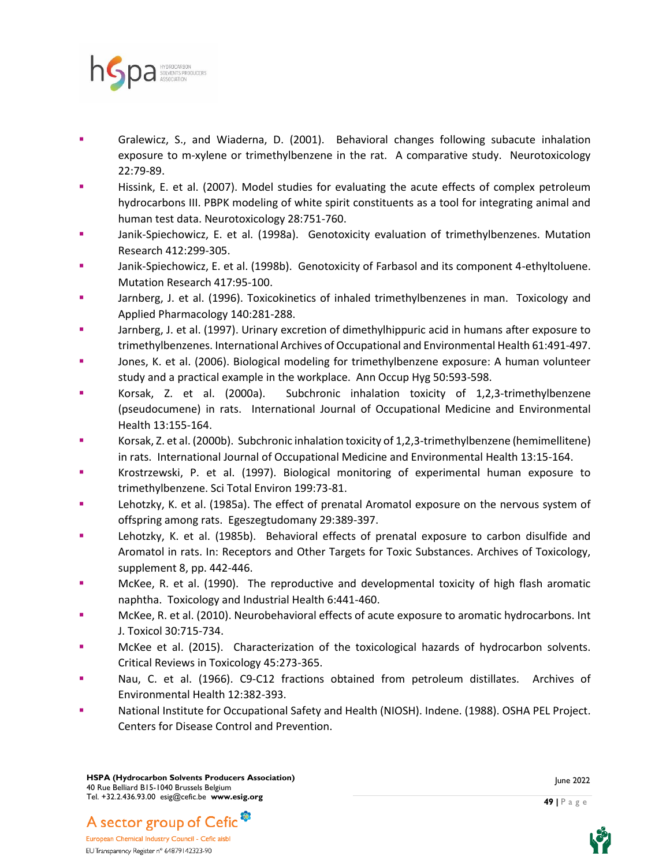

- Gralewicz, S., and Wiaderna, D. (2001). Behavioral changes following subacute inhalation exposure to m-xylene or trimethylbenzene in the rat. A comparative study. Neurotoxicology 22:79-89.
- **EXECUTE:** Hissink, E. et al. (2007). Model studies for evaluating the acute effects of complex petroleum hydrocarbons III. PBPK modeling of white spirit constituents as a tool for integrating animal and human test data. Neurotoxicology 28:751-760.
- Janik-Spiechowicz, E. et al. (1998a). Genotoxicity evaluation of trimethylbenzenes. Mutation Research 412:299-305.
- Janik-Spiechowicz, E. et al. (1998b). Genotoxicity of Farbasol and its component 4-ethyltoluene. Mutation Research 417:95-100.
- Jarnberg, J. et al. (1996). Toxicokinetics of inhaled trimethylbenzenes in man. Toxicology and Applied Pharmacology 140:281-288.
- Jarnberg, J. et al. (1997). Urinary excretion of dimethylhippuric acid in humans after exposure to trimethylbenzenes. International Archives of Occupational and Environmental Health 61:491-497.
- Jones, K. et al. (2006). Biological modeling for trimethylbenzene exposure: A human volunteer study and a practical example in the workplace. Ann Occup Hyg 50:593-598.
- Korsak, Z. et al. (2000a). Subchronic inhalation toxicity of 1,2,3-trimethylbenzene (pseudocumene) in rats. International Journal of Occupational Medicine and Environmental Health 13:155-164.
- Korsak, Z. et al. (2000b). Subchronic inhalation toxicity of 1,2,3-trimethylbenzene (hemimellitene) in rats. International Journal of Occupational Medicine and Environmental Health 13:15-164.
- Krostrzewski, P. et al. (1997). Biological monitoring of experimental human exposure to trimethylbenzene. Sci Total Environ 199:73-81.
- Lehotzky, K. et al. (1985a). The effect of prenatal Aromatol exposure on the nervous system of offspring among rats. Egeszegtudomany 29:389-397.
- Lehotzky, K. et al. (1985b). Behavioral effects of prenatal exposure to carbon disulfide and Aromatol in rats. In: Receptors and Other Targets for Toxic Substances. Archives of Toxicology, supplement 8, pp. 442-446.
- McKee, R. et al. (1990). The reproductive and developmental toxicity of high flash aromatic naphtha. Toxicology and Industrial Health 6:441-460.
- McKee, R. et al. (2010). Neurobehavioral effects of acute exposure to aromatic hydrocarbons. Int J. Toxicol 30:715-734.
- McKee et al. (2015). Characterization of the toxicological hazards of hydrocarbon solvents. Critical Reviews in Toxicology 45:273-365.
- Nau, C. et al. (1966). C9-C12 fractions obtained from petroleum distillates. Archives of Environmental Health 12:382-393.
- National Institute for Occupational Safety and Health (NIOSH). Indene. (1988). OSHA PEL Project. Centers for Disease Control and Prevention.



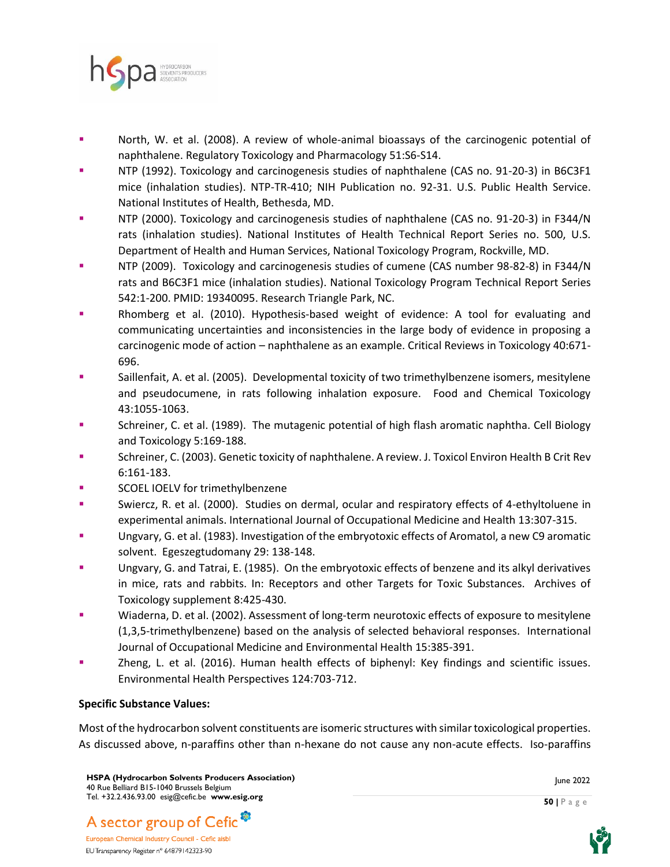

- North, W. et al. (2008). A review of whole-animal bioassays of the carcinogenic potential of naphthalene. Regulatory Toxicology and Pharmacology 51:S6-S14.
- NTP (1992). Toxicology and carcinogenesis studies of naphthalene (CAS no. 91-20-3) in B6C3F1 mice (inhalation studies). NTP-TR-410; NIH Publication no. 92-31. U.S. Public Health Service. National Institutes of Health, Bethesda, MD.
- NTP (2000). Toxicology and carcinogenesis studies of naphthalene (CAS no. 91-20-3) in F344/N rats (inhalation studies). National Institutes of Health Technical Report Series no. 500, U.S. Department of Health and Human Services, National Toxicology Program, Rockville, MD.
- NTP (2009). Toxicology and carcinogenesis studies of cumene (CAS number 98-82-8) in F344/N rats and B6C3F1 mice (inhalation studies). National Toxicology Program Technical Report Series 542:1-200. PMID: 19340095. Research Triangle Park, NC.
- Rhomberg et al. (2010). Hypothesis-based weight of evidence: A tool for evaluating and communicating uncertainties and inconsistencies in the large body of evidence in proposing a carcinogenic mode of action – naphthalene as an example. Critical Reviews in Toxicology 40:671- 696.
- Saillenfait, A. et al. (2005). Developmental toxicity of two trimethylbenzene isomers, mesitylene and pseudocumene, in rats following inhalation exposure. Food and Chemical Toxicology 43:1055-1063.
- **EXECO** Schreiner, C. et al. (1989). The mutagenic potential of high flash aromatic naphtha. Cell Biology and Toxicology 5:169-188.
- Schreiner, C. (2003). Genetic toxicity of naphthalene. A review. J. Toxicol Environ Health B Crit Rev 6:161-183.
- SCOEL IOELV for trimethylbenzene
- Swiercz, R. et al. (2000). Studies on dermal, ocular and respiratory effects of 4-ethyltoluene in experimental animals. International Journal of Occupational Medicine and Health 13:307-315.
- Ungvary, G. et al. (1983). Investigation of the embryotoxic effects of Aromatol, a new C9 aromatic solvent. Egeszegtudomany 29: 138-148.
- Ungvary, G. and Tatrai, E. (1985). On the embryotoxic effects of benzene and its alkyl derivatives in mice, rats and rabbits. In: Receptors and other Targets for Toxic Substances. Archives of Toxicology supplement 8:425-430.
- Wiaderna, D. et al. (2002). Assessment of long-term neurotoxic effects of exposure to mesitylene (1,3,5-trimethylbenzene) based on the analysis of selected behavioral responses. International Journal of Occupational Medicine and Environmental Health 15:385-391.
- Zheng, L. et al. (2016). Human health effects of biphenyl: Key findings and scientific issues. Environmental Health Perspectives 124:703-712.

## **Specific Substance Values:**

Most of the hydrocarbon solvent constituents are isomeric structures with similar toxicological properties. As discussed above, n-paraffins other than n-hexane do not cause any non-acute effects. Iso-paraffins

June 2022

**50 |** P a g e



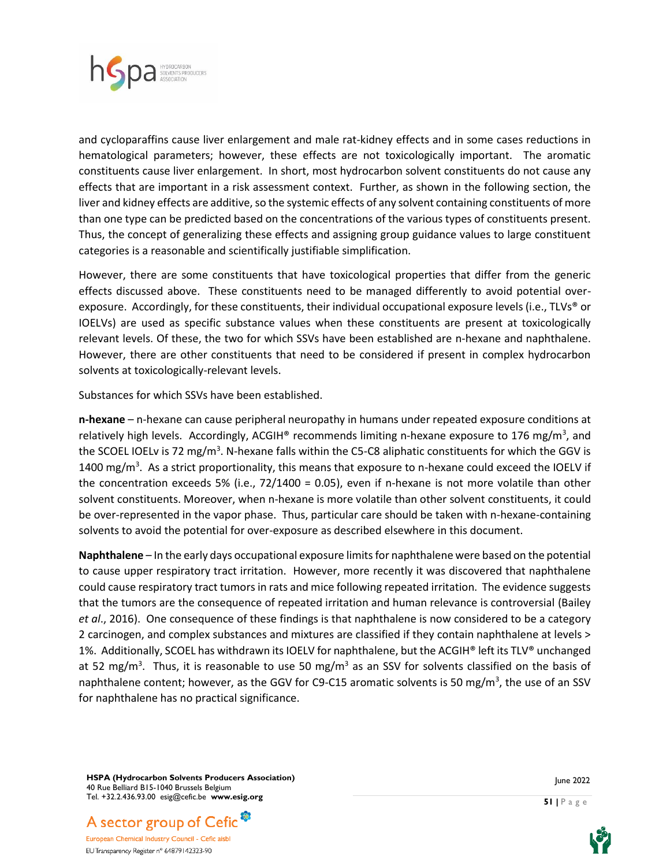

and cycloparaffins cause liver enlargement and male rat-kidney effects and in some cases reductions in hematological parameters; however, these effects are not toxicologically important. The aromatic constituents cause liver enlargement. In short, most hydrocarbon solvent constituents do not cause any effects that are important in a risk assessment context. Further, as shown in the following section, the liver and kidney effects are additive, so the systemic effects of any solvent containing constituents of more than one type can be predicted based on the concentrations of the various types of constituents present. Thus, the concept of generalizing these effects and assigning group guidance values to large constituent categories is a reasonable and scientifically justifiable simplification.

However, there are some constituents that have toxicological properties that differ from the generic effects discussed above. These constituents need to be managed differently to avoid potential overexposure. Accordingly, for these constituents, their individual occupational exposure levels (i.e., TLVs® or IOELVs) are used as specific substance values when these constituents are present at toxicologically relevant levels. Of these, the two for which SSVs have been established are n-hexane and naphthalene. However, there are other constituents that need to be considered if present in complex hydrocarbon solvents at toxicologically-relevant levels.

Substances for which SSVs have been established.

**n-hexane** – n-hexane can cause peripheral neuropathy in humans under repeated exposure conditions at relatively high levels. Accordingly, ACGIH® recommends limiting n-hexane exposure to 176 mg/m<sup>3</sup>, and the SCOEL IOELv is 72 mg/m<sup>3</sup>. N-hexane falls within the C5-C8 aliphatic constituents for which the GGV is 1400 mg/m<sup>3</sup>. As a strict proportionality, this means that exposure to n-hexane could exceed the IOELV if the concentration exceeds 5% (i.e., 72/1400 = 0.05), even if n-hexane is not more volatile than other solvent constituents. Moreover, when n-hexane is more volatile than other solvent constituents, it could be over-represented in the vapor phase. Thus, particular care should be taken with n-hexane-containing solvents to avoid the potential for over-exposure as described elsewhere in this document.

**Naphthalene** – In the early days occupational exposure limits for naphthalene were based on the potential to cause upper respiratory tract irritation. However, more recently it was discovered that naphthalene could cause respiratory tract tumors in rats and mice following repeated irritation. The evidence suggests that the tumors are the consequence of repeated irritation and human relevance is controversial (Bailey *et al*., 2016). One consequence of these findings is that naphthalene is now considered to be a category 2 carcinogen, and complex substances and mixtures are classified if they contain naphthalene at levels > 1%. Additionally, SCOEL has withdrawn its IOELV for naphthalene, but the ACGIH® left its TLV® unchanged at 52 mg/m<sup>3</sup>. Thus, it is reasonable to use 50 mg/m<sup>3</sup> as an SSV for solvents classified on the basis of naphthalene content; however, as the GGV for C9-C15 aromatic solvents is 50 mg/m<sup>3</sup>, the use of an SSV for naphthalene has no practical significance.

**HSPA (Hydrocarbon Solvents Producers Association)** 40 Rue Belliard B15-1040 Brussels Belgium Tel. +32.2.436.93.00 esig@cefic.be **www.esig.org**



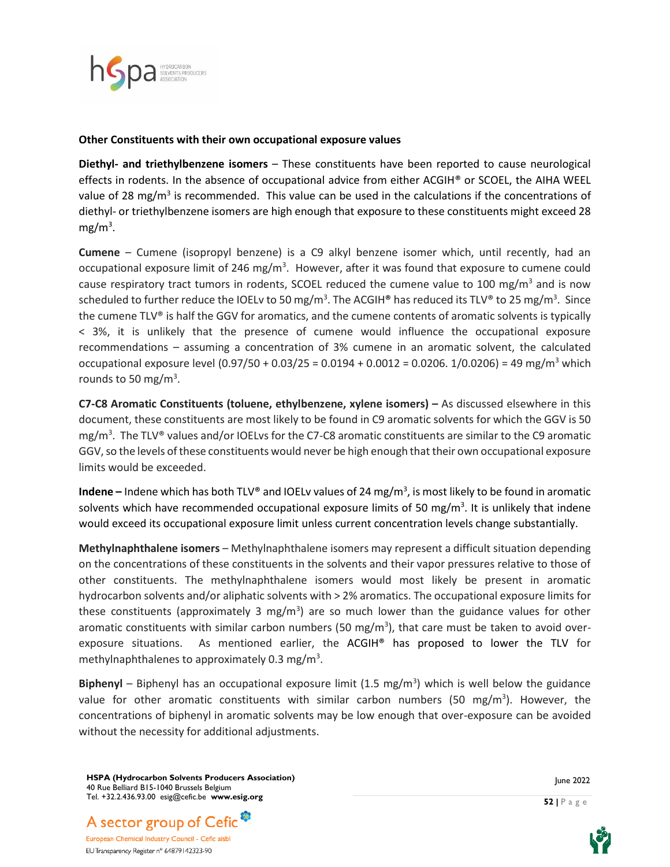

#### **Other Constituents with their own occupational exposure values**

**Diethyl- and triethylbenzene isomers** – These constituents have been reported to cause neurological effects in rodents. In the absence of occupational advice from either ACGIH® or SCOEL, the AIHA WEEL value of 28 mg/m<sup>3</sup> is recommended. This value can be used in the calculations if the concentrations of diethyl- or triethylbenzene isomers are high enough that exposure to these constituents might exceed 28 mg/m<sup>3</sup>.

**Cumene** – Cumene (isopropyl benzene) is a C9 alkyl benzene isomer which, until recently, had an occupational exposure limit of 246 mg/m<sup>3</sup>. However, after it was found that exposure to cumene could cause respiratory tract tumors in rodents, SCOEL reduced the cumene value to 100 mg/m<sup>3</sup> and is now scheduled to further reduce the IOELv to 50 mg/m<sup>3</sup>. The ACGIH® has reduced its TLV® to 25 mg/m<sup>3</sup>. Since the cumene TLV® is half the GGV for aromatics, and the cumene contents of aromatic solvents is typically < 3%, it is unlikely that the presence of cumene would influence the occupational exposure recommendations – assuming a concentration of 3% cumene in an aromatic solvent, the calculated occupational exposure level  $(0.97/50 + 0.03/25 = 0.0194 + 0.0012 = 0.0206$ . 1/0.0206) = 49 mg/m<sup>3</sup> which rounds to 50 mg/m<sup>3</sup>.

**C7-C8 Aromatic Constituents (toluene, ethylbenzene, xylene isomers) –** As discussed elsewhere in this document, these constituents are most likely to be found in C9 aromatic solvents for which the GGV is 50 mg/m<sup>3</sup> . The TLV® values and/or IOELvs for the C7-C8 aromatic constituents are similar to the C9 aromatic GGV, so the levels of these constituents would never be high enough that their own occupational exposure limits would be exceeded.

**Indene** – Indene which has both TLV® and IOELv values of 24 mg/m<sup>3</sup>, is most likely to be found in aromatic solvents which have recommended occupational exposure limits of 50 mg/m<sup>3</sup>. It is unlikely that indene would exceed its occupational exposure limit unless current concentration levels change substantially.

**Methylnaphthalene isomers** – Methylnaphthalene isomers may represent a difficult situation depending on the concentrations of these constituents in the solvents and their vapor pressures relative to those of other constituents. The methylnaphthalene isomers would most likely be present in aromatic hydrocarbon solvents and/or aliphatic solvents with > 2% aromatics. The occupational exposure limits for these constituents (approximately 3 mg/m<sup>3</sup>) are so much lower than the guidance values for other aromatic constituents with similar carbon numbers (50 mg/m<sup>3</sup>), that care must be taken to avoid overexposure situations. As mentioned earlier, the ACGIH® has proposed to lower the TLV for methylnaphthalenes to approximately 0.3 mg/m<sup>3</sup>.

Biphenyl - Biphenyl has an occupational exposure limit (1.5 mg/m<sup>3</sup>) which is well below the guidance value for other aromatic constituents with similar carbon numbers (50 mg/m<sup>3</sup>). However, the concentrations of biphenyl in aromatic solvents may be low enough that over-exposure can be avoided without the necessity for additional adjustments.

**HSPA (Hydrocarbon Solvents Producers Association)** 40 Rue Belliard B15-1040 Brussels Belgium Tel. +32.2.436.93.00 esig@cefic.be **www.esig.org**

A sector group of Cefic<sup>®</sup> European Chemical Industry Council - Cefic aisbl EU Transparency Register n° 64879142323-90

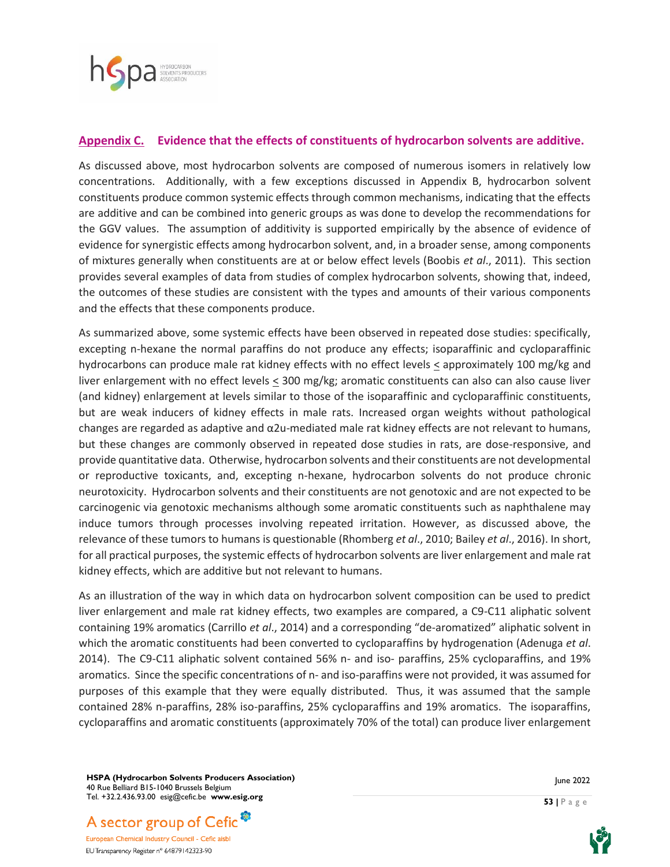

#### **Appendix C. Evidence that the effects of constituents of hydrocarbon solvents are additive.**

As discussed above, most hydrocarbon solvents are composed of numerous isomers in relatively low concentrations. Additionally, with a few exceptions discussed in Appendix B, hydrocarbon solvent constituents produce common systemic effects through common mechanisms, indicating that the effects are additive and can be combined into generic groups as was done to develop the recommendations for the GGV values. The assumption of additivity is supported empirically by the absence of evidence of evidence for synergistic effects among hydrocarbon solvent, and, in a broader sense, among components of mixtures generally when constituents are at or below effect levels (Boobis *et al*., 2011). This section provides several examples of data from studies of complex hydrocarbon solvents, showing that, indeed, the outcomes of these studies are consistent with the types and amounts of their various components and the effects that these components produce.

As summarized above, some systemic effects have been observed in repeated dose studies: specifically, excepting n-hexane the normal paraffins do not produce any effects; isoparaffinic and cycloparaffinic hydrocarbons can produce male rat kidney effects with no effect levels  $\leq$  approximately 100 mg/kg and liver enlargement with no effect levels < 300 mg/kg; aromatic constituents can also can also cause liver (and kidney) enlargement at levels similar to those of the isoparaffinic and cycloparaffinic constituents, but are weak inducers of kidney effects in male rats. Increased organ weights without pathological changes are regarded as adaptive and α2u-mediated male rat kidney effects are not relevant to humans, but these changes are commonly observed in repeated dose studies in rats, are dose-responsive, and provide quantitative data. Otherwise, hydrocarbon solvents and their constituents are not developmental or reproductive toxicants, and, excepting n-hexane, hydrocarbon solvents do not produce chronic neurotoxicity. Hydrocarbon solvents and their constituents are not genotoxic and are not expected to be carcinogenic via genotoxic mechanisms although some aromatic constituents such as naphthalene may induce tumors through processes involving repeated irritation. However, as discussed above, the relevance of these tumors to humans is questionable (Rhomberg *et al*., 2010; Bailey *et al*., 2016). In short, for all practical purposes, the systemic effects of hydrocarbon solvents are liver enlargement and male rat kidney effects, which are additive but not relevant to humans.

As an illustration of the way in which data on hydrocarbon solvent composition can be used to predict liver enlargement and male rat kidney effects, two examples are compared, a C9-C11 aliphatic solvent containing 19% aromatics (Carrillo *et al*., 2014) and a corresponding "de-aromatized" aliphatic solvent in which the aromatic constituents had been converted to cycloparaffins by hydrogenation (Adenuga *et al*. 2014). The C9-C11 aliphatic solvent contained 56% n- and iso- paraffins, 25% cycloparaffins, and 19% aromatics. Since the specific concentrations of n- and iso-paraffins were not provided, it was assumed for purposes of this example that they were equally distributed. Thus, it was assumed that the sample contained 28% n-paraffins, 28% iso-paraffins, 25% cycloparaffins and 19% aromatics. The isoparaffins, cycloparaffins and aromatic constituents (approximately 70% of the total) can produce liver enlargement

**HSPA (Hydrocarbon Solvents Producers Association)** 40 Rue Belliard B15-1040 Brussels Belgium Tel. +32.2.436.93.00 esig@cefic.be **www.esig.org**

A sector group of Cefic<sup>®</sup> European Chemical Industry Council - Cefic aisbl

EU Transparency Register n° 64879142323-90

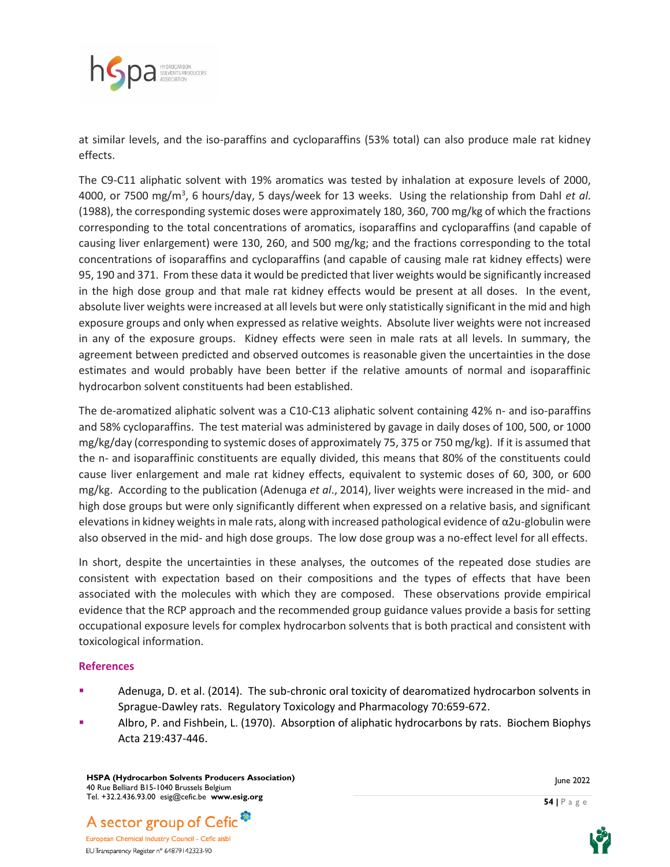

at similar levels, and the iso-paraffins and cycloparaffins (53% total) can also produce male rat kidney effects.

The C9-C11 aliphatic solvent with 19% aromatics was tested by inhalation at exposure levels of 2000, 4000, or 7500 mg/m<sup>3</sup> , 6 hours/day, 5 days/week for 13 weeks. Using the relationship from Dahl *et al*. (1988), the corresponding systemic doses were approximately 180, 360, 700 mg/kg of which the fractions corresponding to the total concentrations of aromatics, isoparaffins and cycloparaffins (and capable of causing liver enlargement) were 130, 260, and 500 mg/kg; and the fractions corresponding to the total concentrations of isoparaffins and cycloparaffins (and capable of causing male rat kidney effects) were 95, 190 and 371. From these data it would be predicted that liver weights would be significantly increased in the high dose group and that male rat kidney effects would be present at all doses. In the event, absolute liver weights were increased at all levels but were only statistically significant in the mid and high exposure groups and only when expressed as relative weights. Absolute liver weights were not increased in any of the exposure groups. Kidney effects were seen in male rats at all levels. In summary, the agreement between predicted and observed outcomes is reasonable given the uncertainties in the dose estimates and would probably have been better if the relative amounts of normal and isoparaffinic hydrocarbon solvent constituents had been established.

The de-aromatized aliphatic solvent was a C10-C13 aliphatic solvent containing 42% n- and iso-paraffins and 58% cycloparaffins. The test material was administered by gavage in daily doses of 100, 500, or 1000 mg/kg/day (corresponding to systemic doses of approximately 75, 375 or 750 mg/kg). If it is assumed that the n- and isoparaffinic constituents are equally divided, this means that 80% of the constituents could cause liver enlargement and male rat kidney effects, equivalent to systemic doses of 60, 300, or 600 mg/kg. According to the publication (Adenuga *et al*., 2014), liver weights were increased in the mid- and high dose groups but were only significantly different when expressed on a relative basis, and significant elevations in kidney weights in male rats, along with increased pathological evidence of  $\alpha$ 2u-globulin were also observed in the mid- and high dose groups. The low dose group was a no-effect level for all effects.

In short, despite the uncertainties in these analyses, the outcomes of the repeated dose studies are consistent with expectation based on their compositions and the types of effects that have been associated with the molecules with which they are composed. These observations provide empirical evidence that the RCP approach and the recommended group guidance values provide a basis for setting occupational exposure levels for complex hydrocarbon solvents that is both practical and consistent with toxicological information.

#### **References**

- **EXECUTE:** Adenuga, D. et al. (2014). The sub-chronic oral toxicity of dearomatized hydrocarbon solvents in Sprague-Dawley rats. Regulatory Toxicology and Pharmacology 70:659-672.
- Albro, P. and Fishbein, L. (1970). Absorption of aliphatic hydrocarbons by rats. Biochem Biophys Acta 219:437-446.

**HSPA (Hydrocarbon Solvents Producers Association)** 40 Rue Belliard B15-1040 Brussels Belgium Tel. +32.2.436.93.00 esig@cefic.be **www.esig.org**

June 2022

**54 |** P a g e